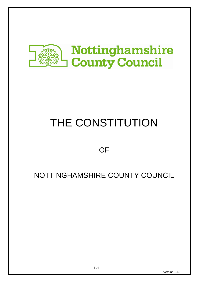

# THE CONSTITUTION

# **OF**

# NOTTINGHAMSHIRE COUNTY COUNCIL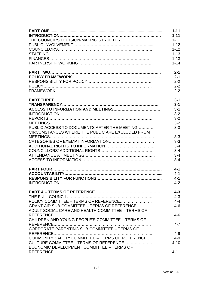|                                                   | $1 - 11$ |
|---------------------------------------------------|----------|
|                                                   | $1 - 11$ |
|                                                   | $1 - 11$ |
|                                                   | $1 - 12$ |
|                                                   | $1 - 12$ |
|                                                   | $1 - 13$ |
|                                                   | $1 - 13$ |
|                                                   | $1 - 14$ |
|                                                   | $2 - 1$  |
|                                                   | $2 - 1$  |
|                                                   | $2 - 2$  |
|                                                   | $2 - 2$  |
|                                                   | $2 - 2$  |
|                                                   | $3 - 1$  |
|                                                   | $3 - 1$  |
|                                                   | $3 - 1$  |
|                                                   | $3 - 2$  |
|                                                   | $3 - 2$  |
|                                                   | $3 - 2$  |
| PUBLIC ACCESS TO DOCUMENTS AFTER THE MEETING      | $3 - 3$  |
| CIRCUMSTANCES WHERE THE PUBLIC ARE EXCLUDED FROM  |          |
|                                                   | $3 - 3$  |
|                                                   | $3 - 3$  |
|                                                   | $3 - 4$  |
|                                                   | $3 - 4$  |
|                                                   | $3 - 4$  |
|                                                   | $3 - 4$  |
|                                                   | $4 - 1$  |
|                                                   | $4 - 1$  |
|                                                   | $4 - 1$  |
|                                                   | $4 - 2$  |
|                                                   | $4 - 3$  |
|                                                   | $4 - 3$  |
|                                                   | $4 - 4$  |
| GRANT AID SUB-COMMITTEE - TERMS OF REFERENCE      | $4 - 6$  |
| ADULT SOCIAL CARE AND HEALTH COMMITTEE - TERMS OF |          |
|                                                   | $4 - 6$  |
| CHILDREN AND YOUNG PEOPLE'S COMMITTEE - TERMS OF  |          |
| CORPORATE PARENTING SUB-COMMITTEE - TERMS OF      | $4 - 7$  |
|                                                   | $4 - 9$  |
| COMMUNITY SAFETY COMMITTEE - TERMS OF REFERENCE   | $4 - 9$  |
| CULTURE COMMITTEE – TERMS OF REFERENCE            | $4 - 10$ |
| ECONOMIC DEVELOPMENT COMMITTEE - TERMS OF         |          |
|                                                   | $4 - 11$ |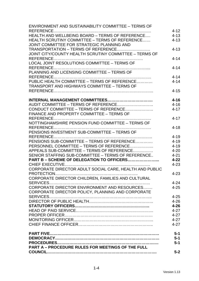| <b>ENVIRONMENT AND SUSTAINABILITY COMMITTEE - TERMS OF</b> |          |
|------------------------------------------------------------|----------|
|                                                            | $4 - 12$ |
| HEALTH AND WELLBEING BOARD - TERMS OF REFERENCE            | $4 - 13$ |
| HEALTH SCRUTINY COMMITTEE - TERMS OF REFERENCE             | $4 - 13$ |
| JOINT COMMITTEE FOR STRATEGIC PLANNING AND                 |          |
| TRANSPORTATION - TERMS OF REFERENCE                        | $4 - 13$ |
| JOINT CITY/COUNTY HEALTH SCRUTINY COMMITTEE - TERMS OF     |          |
|                                                            | $4 - 14$ |
| LOCAL JOINT RESOLUTIONS COMMITTEE - TERMS OF               |          |
|                                                            | $4 - 14$ |
| PLANNING AND LICENSING COMMITTEE - TERMS OF                |          |
|                                                            | $4 - 14$ |
| PUBLIC HEALTH COMMITTEE - TERMS OF REFERENCE               | $4 - 14$ |
| <b>TRANSPORT AND HIGHWAYS COMMITTEE - TERMS OF</b>         |          |
|                                                            | $4 - 15$ |
|                                                            |          |
|                                                            | $4 - 16$ |
| AUDIT COMMITTEE - TERMS OF REFERENCE                       | $4 - 16$ |
| CONDUCT COMMITTEE - TERMS OF REFERENCE                     | $4 - 17$ |
| FINANCE AND PROPERTY COMMITTEE - TERMS OF                  |          |
|                                                            | $4 - 17$ |
| NOTTINGHAMSHIRE PENSION FUND COMMITTEE - TERMS OF          |          |
|                                                            | $4 - 18$ |
| PENSIONS INVESTMENT SUB-COMMITTEE - TERMS OF               |          |
|                                                            | $4 - 19$ |
| PENSIONS SUB-COMMITTEE - TERMS OF REFERENCE                | $4 - 19$ |
| PERSONNEL COMMITTEE - TERMS OF REFERENCE                   | $4 - 19$ |
| APPEALS SUB-COMMITTEE – TERMS OF REFERENCE                 | $4 - 20$ |
| SENIOR STAFFING SUB-COMMITTEE - TERMS OF REFERENCE         | $4 - 21$ |
| PART B - SCHEME OF DELEGATION TO OFFICERS                  | $4 - 22$ |
|                                                            | $4 - 23$ |
| CORPORATE DIRECTOR ADULT SOCIAL CARE, HEALTH AND PUBLIC    |          |
|                                                            | $4 - 23$ |
| CORPORATE DIRECTOR CHILDREN, FAMILIES AND CULTURAL         |          |
|                                                            | $4 - 24$ |
| CORPORATE DIRECTOR ENVIRONMENT AND RESOURCES               | $4 - 25$ |
|                                                            |          |
| CORPORATE DIRECTOR POLICY, PLANNING AND CORPORATE          |          |
|                                                            | $4 - 25$ |
|                                                            | $4 - 26$ |
|                                                            | $4 - 26$ |
|                                                            | $4 - 27$ |
|                                                            | $4 - 27$ |
|                                                            | $4 - 27$ |
|                                                            | $4 - 27$ |
|                                                            | $5-1$    |
|                                                            | $5 - 1$  |
|                                                            | $5-1$    |
| <b>PART A - PROCEDURE RULES FOR MEETINGS OF THE FULL</b>   |          |
|                                                            | $5-2$    |
|                                                            |          |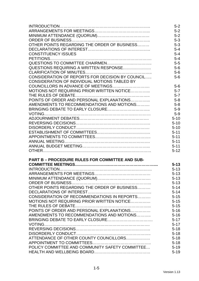|                                                        | $5 - 2$  |
|--------------------------------------------------------|----------|
|                                                        | $5-2$    |
|                                                        | $5-2$    |
|                                                        | $5 - 3$  |
| OTHER POINTS REGARDING THE ORDER OF BUSINESS           | $5 - 3$  |
|                                                        | $5 - 4$  |
| <b>CONSTITUENCY ISSUES</b>                             | $5 - 4$  |
|                                                        | $5 - 4$  |
|                                                        | $5-5$    |
| QUESTIONS REQUIRING A WRITTEN RESPONSE                 | $5-6$    |
|                                                        | $5-6$    |
| CONSIDERATION OF REPORTS FOR DECISION BY COUNCIL       | $5-6$    |
| CONSIDERATION OF INDIVIDUAL MOTIONS TABLED BY          |          |
|                                                        |          |
|                                                        | $5-6$    |
| MOTIONS NOT REQUIRING PRIOR WRITTEN NOTICE             | $5 - 7$  |
|                                                        | $5 - 7$  |
| POINTS OF ORDER AND PERSONAL EXPLANATIONS              | $5 - 8$  |
| AMENDMENTS TO RECOMMENDATIONS AND MOTIONS              | $5 - 8$  |
|                                                        | $5-9$    |
|                                                        | $5-9$    |
|                                                        | $5 - 10$ |
|                                                        | $5 - 10$ |
|                                                        | $5 - 10$ |
|                                                        | $5 - 11$ |
|                                                        | $5 - 11$ |
|                                                        | $5 - 11$ |
|                                                        | $5 - 11$ |
|                                                        | $5 - 12$ |
|                                                        |          |
| <b>PART B - PROCEDURE RULES FOR COMMITTEE AND SUB-</b> |          |
|                                                        | $5 - 13$ |
|                                                        | $5 - 13$ |
|                                                        | $5 - 13$ |
|                                                        | $5 - 13$ |
|                                                        | $5 - 13$ |
| OTHER POINTS REGARDING THE ORDER OF BUSINESS           | $5 - 14$ |
|                                                        | $5 - 14$ |
| CONSIDERATION OF RECOMMENDATIONS IN REPORTS            | $5 - 15$ |
| MOTIONS NOT REQUIRING PRIOR WRITTEN NOTICE             | $5 - 15$ |
|                                                        | $5 - 15$ |
| POINTS OF ORDER AND PERSONAL EXPLANATIONS              | $5 - 16$ |
| AMENDMENTS TO RECOMMENDATIONS AND MOTIONS              | $5 - 16$ |
|                                                        | $5 - 17$ |
|                                                        | $5 - 17$ |
|                                                        | $5 - 18$ |
|                                                        | $5 - 18$ |
| ATTENDANCE OF OTHER COUNTY COUNCILLORS                 | $5 - 18$ |
|                                                        | $5 - 18$ |
| POLICY COMMITTEE AND COMMUNITY SAFETY COMMITTEE        | $5 - 19$ |
|                                                        |          |
|                                                        | $5 - 19$ |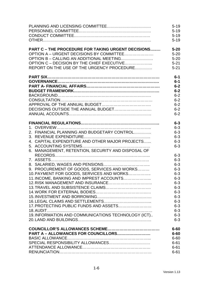|                                                           | $5 - 19$<br>$5 - 19$<br>$5 - 19$ |
|-----------------------------------------------------------|----------------------------------|
|                                                           | $5 - 19$                         |
| <b>PART C - THE PROCEDURE FOR TAKING URGENT DECISIONS</b> | $5 - 20$                         |
| OPTION A - URGENT DECISIONS BY COMMITTEE                  | $5 - 20$                         |
|                                                           | $5 - 20$                         |
| OPTION C - DECISION BY THE CHIEF EXECUTIVE                | $5 - 21$                         |
| REPORT ON THE USE OF THE URGENCY PROCEDURE                | $5 - 21$                         |
|                                                           | $6-1$                            |
|                                                           | $6-1$                            |
|                                                           | $6-2$                            |
|                                                           | $6-2$                            |
|                                                           | $6 - 2$                          |
|                                                           | $6 - 2$                          |
|                                                           | $6 - 2$                          |
|                                                           | $6 - 2$                          |
|                                                           | $6 - 2$                          |
|                                                           | $6 - 3$                          |
|                                                           | $6 - 3$                          |
| 2. FINANCIAL PLANNING AND BUDGETARY CONTROL               | $6 - 3$                          |
|                                                           | $6 - 3$                          |
| 4. CAPITAL EXPENDITURE AND OTHER MAJOR PROJECTS           | $6 - 3$                          |
|                                                           | $6 - 3$                          |
| 6. MANAGEMENT, RETENTION, SECURITY AND DISPOSAL OF        |                                  |
|                                                           | $6 - 3$                          |
|                                                           | $6 - 3$                          |
|                                                           | $6 - 3$                          |
| 9. PROCUREMENT OF GOODS, SERVICES AND WORKS               | $6 - 3$                          |
| 10. PAYMENT FOR GOODS, SERVICES AND WORKS                 | $6 - 3$                          |
| 11. INCOME, BANKING AND IMPREST ACCOUNTS                  | $6 - 3$                          |
|                                                           | $6 - 3$                          |
|                                                           | $6 - 3$                          |
|                                                           | $6 - 3$                          |
|                                                           | $6 - 3$                          |
| 17. PROTECTING PUBLIC FUNDS AND ASSETS                    | $6 - 3$<br>$6 - 3$               |
|                                                           | $6 - 3$                          |
| 19. INFORMATION AND COMMUNICATIONS TECHNOLOGY (ICT)       | $6 - 3$                          |
|                                                           | $6 - 3$                          |
|                                                           |                                  |
| PART A - ALLOWANCES FOR COUNCILLORS                       | $6 - 60$<br>$6 - 60$             |
|                                                           | $6 - 60$                         |
|                                                           | $6 - 61$                         |
|                                                           | $6 - 61$                         |
|                                                           | $6 - 61$                         |
|                                                           |                                  |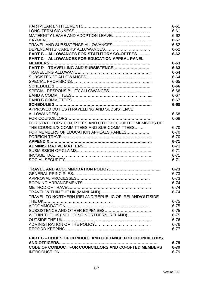|                                                               | $6 - 61$ |
|---------------------------------------------------------------|----------|
|                                                               | $6 - 61$ |
| MATERNITY LEAVE AND ADOPTION LEAVE                            | $6 - 62$ |
|                                                               | $6 - 62$ |
| TRAVEL AND SUBSISTENCE ALLOWANCES                             | $6 - 62$ |
|                                                               | $6 - 62$ |
| <b>PART B - ALLOWANCES FOR STATUTORY CO-OPTEES</b>            | $6 - 62$ |
| <b>PART C - ALLOWANCES FOR EDUCATION APPEAL PANEL</b>         |          |
|                                                               | $6 - 63$ |
| PART D - TRAVELLING AND SUBSISTENCE                           | $6 - 63$ |
|                                                               | $6 - 64$ |
|                                                               | $6 - 64$ |
|                                                               | $6 - 65$ |
|                                                               | $6 - 66$ |
|                                                               | $6 - 66$ |
|                                                               | $6 - 67$ |
|                                                               | $6 - 67$ |
|                                                               | $6 - 68$ |
| APPROVED DUTIES (TRAVELLING AND SUBSISTENCE                   |          |
|                                                               | 6-68     |
|                                                               | $6 - 68$ |
| FOR STATUTORY CO-OPTEES AND OTHER CO-OPTED MEMBERS OF         |          |
| THE COUNCIL'S COMMITTEES AND SUB-COMMITTEES                   | $6 - 70$ |
| FOR MEMBERS OF EDUCATION APPEALS PANELS                       | $6 - 70$ |
|                                                               | $6 - 70$ |
|                                                               | $6 - 71$ |
|                                                               | $6 - 71$ |
|                                                               | $6 - 71$ |
|                                                               | $6 - 71$ |
|                                                               | $6 - 71$ |
|                                                               |          |
|                                                               | $6 - 73$ |
|                                                               | $6 - 73$ |
|                                                               | $6 - 73$ |
|                                                               | $6 - 74$ |
|                                                               | $6 - 74$ |
|                                                               | $6 - 74$ |
| TRAVEL TO NORTHERN IRELAND/REPUBLIC OF IRELAND/OUTSIDE        |          |
|                                                               | $6 - 75$ |
|                                                               | $6 - 75$ |
|                                                               | $6 - 75$ |
| WITHIN THE UK (INCLUDING NORTHERN IRELAND)                    | $6 - 75$ |
|                                                               | $6 - 76$ |
|                                                               | $6 - 76$ |
|                                                               | $6 - 77$ |
| <b>PART B - CODES OF CONDUCT AND GUIDANCE FOR COUNCILLORS</b> |          |
|                                                               | $6 - 79$ |
| CODE OF CONDUCT FOR COUNCILLORS AND CO-OPTED MEMBERS          | $6 - 79$ |
|                                                               | $6 - 79$ |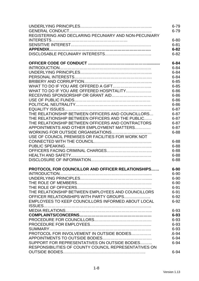| $6 - 79$                                                       |
|----------------------------------------------------------------|
| REGISTERING AND DECLARING PECUNIARY AND NON-PECUNIARY          |
| $6 - 80$                                                       |
| $6 - 81$                                                       |
| $6 - 82$                                                       |
| $6 - 82$                                                       |
| $6 - 84$                                                       |
| $6 - 84$                                                       |
| $6 - 84$                                                       |
| $6 - 84$                                                       |
| $6 - 85$                                                       |
| $6 - 85$                                                       |
| WHAT TO DO IF YOU ARE OFFERED HOSPITALITY<br>$6 - 86$          |
| $6 - 86$                                                       |
| $6 - 86$                                                       |
| $6 - 86$                                                       |
| $6 - 87$                                                       |
| THE RELATIONSHIP BETWEEN OFFICERS AND COUNCILLORS<br>$6 - 87$  |
| THE RELATIONSHIP BETWEEN OFFICERS AND THE PUBLIC<br>$6 - 87$   |
| THE RELATIONSHIP BETWEEN OFFICERS AND CONTRACTORS<br>$6 - 87$  |
| APPOINTMENTS AND OTHER EMPLOYMENT MATTERS<br>$6 - 87$          |
| $6 - 88$                                                       |
| USE OF COUNCIL PREMISES OR FACILITIES FOR WORK NOT             |
| $6 - 88$                                                       |
| $6 - 88$                                                       |
| $6 - 88$                                                       |
| $6 - 88$                                                       |
| $6 - 88$                                                       |
| PROTOCOL FOR COUNCILLOR AND OFFICER RELATIONSHIPS<br>$6 - 90$  |
| $6 - 90$                                                       |
| $6 - 90$                                                       |
| $6 - 90$                                                       |
| $6 - 91$                                                       |
| THE RELATIONSHIP BETWEEN EMPLOYEES AND COUNCILLORS<br>$6 - 91$ |
| OFFICER RELATIONSHIPS WITH PARTY GROUPS<br>$6 - 92$            |
| EMPLOYEES TO KEEP COUNCILLORS INFORMED ABOUT LOCAL<br>$6 - 92$ |
|                                                                |
| $6 - 93$                                                       |
| $6 - 93$                                                       |
| $6 - 93$                                                       |
| $6 - 93$                                                       |
| $6 - 93$                                                       |
| PROTOCOL FOR INVOLVEMENT IN OUTSIDE BODIES<br>$.6 - 94$        |
| $6 - 94$                                                       |
| SUPPORT FOR REPRESENTATIVES ON OUTSIDE BODIES<br>$6 - 94$      |
| RESPONSIBILITIES OF COUNTY COUNCIL REPRESENTATIVES ON          |
| $6 - 94$                                                       |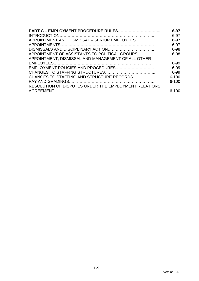| <b>PART C - EMPLOYMENT PROCEDURE RULES</b>            | 6-97      |
|-------------------------------------------------------|-----------|
|                                                       | 6-97      |
| APPOINTMENT AND DISMISSAL – SENIOR EMPLOYEES          | 6-97      |
|                                                       | 6-97      |
|                                                       | 6-98      |
| APPOINTMENT OF ASSISTANTS TO POLITICAL GROUPS         | 6-98      |
| APPOINTMENT, DISMISSAL AND MANAGEMENT OF ALL OTHER    |           |
|                                                       | 6-99      |
| EMPLOYMENT POLICIES AND PROCEDURES                    | 6-99      |
|                                                       | 6-99      |
| CHANGES TO STAFFING AND STRUCTURE RECORDS             | $6 - 100$ |
|                                                       | $6 - 100$ |
| RESOLUTION OF DISPUTES UNDER THE EMPLOYMENT RELATIONS |           |
|                                                       | $6 - 100$ |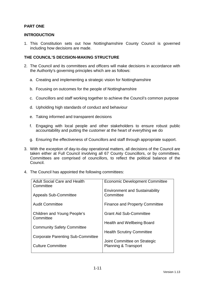# **PART ONE**

# **INTRODUCTION**

1. This Constitution sets out how Nottinghamshire County Council is governed including how decisions are made.

# **THE COUNCIL'S DECISION-MAKING STRUCTURE**

- 2. The Council and its committees and officers will make decisions in accordance with the Authority's governing principles which are as follows:
	- a. Creating and implementing a strategic vision for Nottinghamshire
	- b. Focusing on outcomes for the people of Nottinghamshire
	- c. Councillors and staff working together to achieve the Council's common purpose
	- d. Upholding high standards of conduct and behaviour
	- e. Taking informed and transparent decisions
	- f. Engaging with local people and other stakeholders to ensure robust public accountability and putting the customer at the heart of everything we do
	- g. Ensuring the effectiveness of Councillors and staff through appropriate support.
- 3. With the exception of day-to-day operational matters, all decisions of the Council are taken either at Full Council involving all 67 County Councillors, or by committees. Committees are comprised of councillors, to reflect the political balance of the Council.
- 4. The Council has appointed the following committees:

| <b>Adult Social Care and Health</b><br>Committee | <b>Economic Development Committee</b>              |
|--------------------------------------------------|----------------------------------------------------|
| <b>Appeals Sub-Committee</b>                     | <b>Environment and Sustainability</b><br>Committee |
| <b>Audit Committee</b>                           | <b>Finance and Property Committee</b>              |
| Children and Young People's<br>Committee         | <b>Grant Aid Sub-Committee</b>                     |
|                                                  | Health and Wellbeing Board                         |
| <b>Community Safety Committee</b>                | <b>Health Scrutiny Committee</b>                   |
| <b>Corporate Parenting Sub-Committee</b>         | Joint Committee on Strategic                       |
| <b>Culture Committee</b>                         | <b>Planning &amp; Transport</b>                    |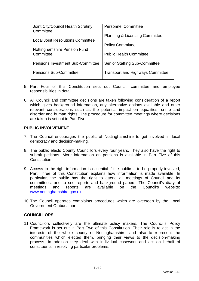| Joint City/Council Health Scrutiny<br>Committee | <b>Personnel Committee</b>                |
|-------------------------------------------------|-------------------------------------------|
| <b>Local Joint Resolutions Committee</b>        | <b>Planning &amp; Licensing Committee</b> |
|                                                 | <b>Policy Committee</b>                   |
| Nottinghamshire Pension Fund<br>Committee       | <b>Public Health Committee</b>            |
| <b>Pensions Investment Sub-Committee</b>        | <b>Senior Staffing Sub-Committee</b>      |
| <b>Pensions Sub-Committee</b>                   | <b>Transport and Highways Committee</b>   |

- 5. Part Four of this Constitution sets out Council, committee and employee responsibilities in detail.
- 6. All Council and committee decisions are taken following consideration of a report which gives background information, any alternative options available and other relevant considerations such as the potential impact on equalities, crime and disorder and human rights. The procedure for committee meetings where decisions are taken is set out in Part Five.

# **PUBLIC INVOLVEMENT**

- 7. The Council encourages the public of Nottinghamshire to get involved in local democracy and decision-making.
- 8. The public elects County Councillors every four years. They also have the right to submit petitions. More information on petitions is available in Part Five of this **Constitution**
- 9. Access to the right information is essential if the public is to be properly involved; Part Three of this Constitution explains how information is made available. In particular, the public has the right to attend all meetings of Council and its committees, and to see reports and background papers. The Council's diary of meetings and reports are available on the Council's website: www.nottinghamshire.gov.uk
- 10. The Council operates complaints procedures which are overseen by the Local Government Ombudsman.

# **COUNCILLORS**

11. Councillors collectively are the ultimate policy makers. The Council's Policy Framework is set out in Part Two of this Constitution. Their role is to act in the interests of the whole county of Nottinghamshire, and also to represent the communities which elected them, bringing their views to the decision-making process. In addition they deal with individual casework and act on behalf of constituents in resolving particular problems.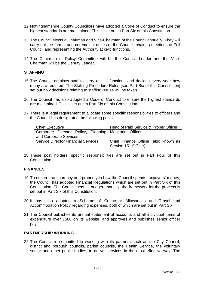- 12. Nottinghamshire County Councillors have adopted a Code of Conduct to ensure the highest standards are maintained. This is set out in Part Six of this Constitution.
- 13. The Council elects a Chairman and Vice-Chairman of the Council annually. They will carry out the formal and ceremonial duties of the Council, chairing meetings of Full Council and representing the Authority at civic functions.
- 14. The Chairman of Policy Committee will be the Council Leader and the Vice-Chairman will be the Deputy Leader.

# **STAFFING**

- 15. The Council employs staff to carry out its functions and decides every year how many are required. The Staffing Procedure Rules [see Part Six of this Constitution] set out how decisions relating to staffing issues will be taken.
- 16. The Council has also adopted a Code of Conduct to ensure the highest standards are maintained. This is set out in Part Six of this Constitution.
- 17. There is a legal requirement to allocate some specific responsibilities to officers and the Council has designated the following posts:

| <b>Chief Executive</b>                                   | Head of Paid Service & Proper Officer |
|----------------------------------------------------------|---------------------------------------|
| Corporate Director Policy, Planning   Monitoring Officer |                                       |
| and Corporate Services                                   |                                       |
| <b>Service Director Financial Services</b>               | Chief Finance Officer (also known as  |
|                                                          | Section 151 Officer)                  |

18. These post holders' specific responsibilities are set out in Part Four of this Constitution.

#### **FINANCES**

- 19. To ensure transparency and propriety in how the Council spends taxpayers' money, the Council has adopted Financial Regulations which are set out in Part Six of this Constitution. The Council sets its budget annually; the framework for the process is set out in Part Six of this Constitution.
- 20. It has also adopted a Scheme of Councillor Allowances and Travel and Accommodation Policy regarding expenses, both of which are set out in Part Six.
- 21. The Council publishes its annual statement of accounts and all individual items of expenditure over £500 on its website, and approves and publishes senior officer pay.

#### **PARTNERSHIP WORKING**

22. The Council is committed to working with its partners such as the City Council, district and borough councils, parish councils, the Health Service, the voluntary sector and other public bodies, to deliver services in the most effective way. The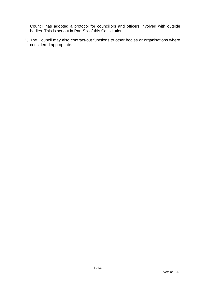Council has adopted a protocol for councillors and officers involved with outside bodies. This is set out in Part Six of this Constitution.

23. The Council may also contract-out functions to other bodies or organisations where considered appropriate.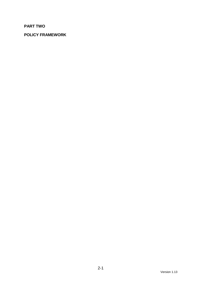# **PART TWO**

# **POLICY FRAMEWORK**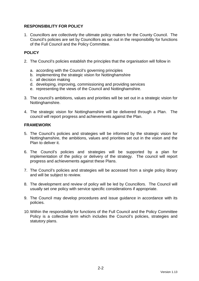# **RESPONSIBILITY FOR POLICY**

1. Councillors are collectively the ultimate policy makers for the County Council. The Council's policies are set by Councillors as set out in the responsibility for functions of the Full Council and the Policy Committee.

# **POLICY**

- 2. The Council's policies establish the principles that the organisation will follow in
	- a. according with the Council's governing principles
	- b. implementing the strategic vision for Nottinghamshire
	- c. all decision making
	- d. developing, improving, commissioning and providing services
	- e. representing the views of the Council and Nottinghamshire.
- 3. The council's ambitions, values and priorities will be set out in a strategic vision for Nottinghamshire.
- 4. The strategic vision for Nottinghamshire will be delivered through a Plan. The council will report progress and achievements against the Plan.

# **FRAMEWORK**

- 5. The Council's policies and strategies will be informed by the strategic vision for Nottinghamshire, the ambitions, values and priorities set out in the vision and the Plan to deliver it.
- 6. The Council's policies and strategies will be supported by a plan for implementation of the policy or delivery of the strategy. The council will report progress and achievements against these Plans.
- 7. The Council's policies and strategies will be accessed from a single policy library and will be subject to review.
- 8. The development and review of policy will be led by Councillors. The Council will usually set one policy with service specific considerations if appropriate.
- 9. The Council may develop procedures and issue guidance in accordance with its policies.
- 10. Within the responsibility for functions of the Full Council and the Policy Committee Policy is a collective term which includes the Council's policies, strategies and statutory plans.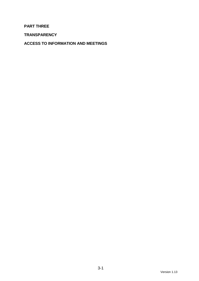# **PART THREE**

**TRANSPARENCY** 

**ACCESS TO INFORMATION AND MEETINGS**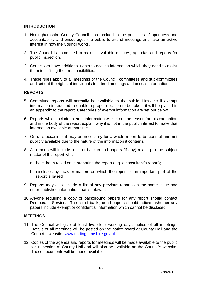# **INTRODUCTION**

- 1. Nottinghamshire County Council is committed to the principles of openness and accountability and encourages the public to attend meetings and take an active interest in how the Council works.
- 2. The Council is committed to making available minutes, agendas and reports for public inspection.
- 3. Councillors have additional rights to access information which they need to assist them in fulfilling their responsibilities.
- 4. These rules apply to all meetings of the Council, committees and sub-committees and set out the rights of individuals to attend meetings and access information.

# **REPORTS**

- 5. Committee reports will normally be available to the public. However if exempt information is required to enable a proper decision to be taken, it will be placed in an appendix to the report. Categories of exempt information are set out below.
- 6. Reports which include exempt information will set out the reason for this exemption and in the body of the report explain why it is not in the public interest to make that information available at that time.
- 7. On rare occasions it may be necessary for a whole report to be exempt and not publicly available due to the nature of the information it contains.
- 8. All reports will include a list of background papers (if any) relating to the subject matter of the report which:
	- a. have been relied on in preparing the report (e.g. a consultant's report);
	- b. disclose any facts or matters on which the report or an important part of the report is based;
- 9. Reports may also include a list of any previous reports on the same issue and other published information that is relevant
- 10. Anyone requiring a copy of background papers for any report should contact Democratic Services. The list of background papers should indicate whether any papers include exempt or confidential information which cannot be disclosed.

#### **MEETINGS**

- 11. The Council will give at least five clear working days' notice of all meetings. Details of all meetings will be posted on the notice board at County Hall and the Council's website: www.nottinghamshire.gov.uk.
- 12. Copies of the agenda and reports for meetings will be made available to the public for inspection at County Hall and will also be available on the Council's website. These documents will be made available: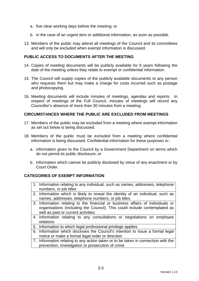- a. five clear working days before the meeting; or
- b. in the case of an urgent item or additional information, as soon as possible.
- 13. Members of the public may attend all meetings of the Council and its committees and will only be excluded when exempt information is discussed.

# **PUBLIC ACCESS TO DOCUMENTS AFTER THE MEETING**

- 14. Copies of meeting documents will be publicly available for 6 years following the date of the meeting unless they relate to exempt or confidential information.
- 15. The Council will supply copies of the publicly available documents to any person who requests them but may make a charge for costs incurred such as postage and photocopying.
- 16. Meeting documents will include minutes of meetings, agendas and reports. In respect of meetings of the Full Council, minutes of meetings will record any Councillor's absence of more than 30 minutes from a meeting.

#### **CIRCUMSTANCES WHERE THE PUBLIC ARE EXCLUDED FROM MEETINGS**

- 17. Members of the public may be excluded from a meeting where exempt information as set out below is being discussed.
- 18. Members of the public must be excluded from a meeting where confidential information is being discussed. Confidential information for these purposes is:
	- a. information given to the Council by a Government Department on terms which do not permit its public disclosure; or
	- b. information which cannot be publicly disclosed by virtue of any enactment or by Court Order.

#### **CATEGORIES OF EXEMPT INFORMATION**

- 1. Information relating to any individual, such as names, addresses, telephone numbers, or job titles
- 2. Information which is likely to reveal the identity of an individual, such as names, addresses, telephone numbers, or job titles
- 3. Information relating to the financial or business affairs of individuals or organisations (including the Council). This could include contemplated as well as past or current activities
- 4. Information relating to any consultations or negotiations on employee relations
- 5. Information to which legal professional privilege applies
- 6. Information which discloses the Council's intention to issue a formal legal notice or make a formal legal order or direction
- 7. Information relating to any action taken or to be taken in connection with the prevention, investigation or prosecution of crime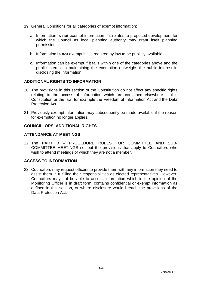- 19. General Conditions for all categories of exempt information:
	- a. Information **is not** exempt information if it relates to proposed development for which the Council as local planning authority may grant itself planning permission.
	- b. Information **is not** exempt if it is required by law to be publicly available.
	- c. Information can be exempt if it falls within one of the categories above and the public interest in maintaining the exemption outweighs the public interest in disclosing the information.

#### **ADDITIONAL RIGHTS TO INFORMATION**

- 20. The provisions in this section of the Constitution do not affect any specific rights relating to the access of information which are contained elsewhere in this Constitution or the law; for example the Freedom of Information Act and the Data Protection Act
- 21. Previously exempt information may subsequently be made available if the reason for exemption no longer applies.

#### **COUNCILLORS' ADDITIONAL RIGHTS**

#### **ATTENDANCE AT MEETINGS**

22. The PART B – PROCEDURE RULES FOR COMMITTEE AND SUB-COMMITTEE MEETINGS set out the provisions that apply to Councillors who wish to attend meetings of which they are not a member.

# **ACCESS TO INFORMATION**

23. Councillors may request officers to provide them with any information they need to assist them in fulfilling their responsibilities as elected representatives. However, Councillors may not be able to access information which in the opinion of the Monitoring Officer is in draft form, contains confidential or exempt information as defined in this section, or where disclosure would breach the provisions of the Data Protection Act.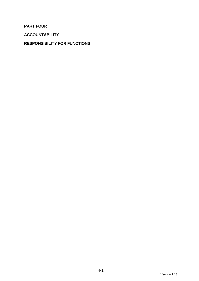**PART FOUR** 

**ACCOUNTABILITY** 

# **RESPONSIBILITY FOR FUNCTIONS**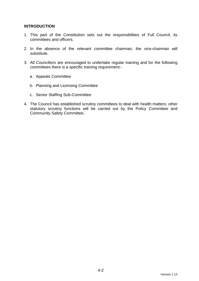# **INTRODUCTION**

- 1. This part of the Constitution sets out the responsibilities of Full Council, its committees and officers.
- 2. In the absence of the relevant committee chairman, the vice-chairman will substitute.
- 3. All Councillors are encouraged to undertake regular training and for the following committees there is a specific training requirement:
	- a. Appeals Committee
	- b. Planning and Licensing Committee
	- c. Senior Staffing Sub-Committee
- 4. The Council has established scrutiny committees to deal with health matters; other statutory scrutiny functions will be carried out by the Policy Committee and Community Safety Committee.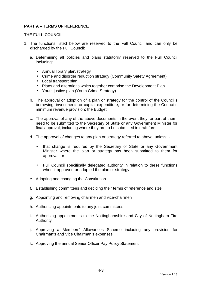# **PART A – TERMS OF REFERENCE**

#### **THE FULL COUNCIL**

- 1. The functions listed below are reserved to the Full Council and can only be discharged by the Full Council:
	- a. Determining all policies and plans statutorily reserved to the Full Council including:
		- Annual library plan/strategy
		- Crime and disorder reduction strategy (Community Safety Agreement)
		- Local transport plan
		- Plans and alterations which together comprise the Development Plan
		- Youth justice plan (Youth Crime Strategy)
	- b. The approval or adoption of a plan or strategy for the control of the Council's borrowing, investments or capital expenditure, or for determining the Council's minimum revenue provision; the Budget
	- c. The approval of any of the above documents in the event they, or part of them, need to be submitted to the Secretary of State or any Government Minister for final approval, including where they are to be submitted in draft form
	- d. The approval of changes to any plan or strategy referred to above, unless:
		- that change is required by the Secretary of State or any Government Minister where the plan or strategy has been submitted to them for approval, or
		- Full Council specifically delegated authority in relation to these functions when it approved or adopted the plan or strategy
	- e. Adopting and changing the Constitution
	- f. Establishing committees and deciding their terms of reference and size
	- g. Appointing and removing chairmen and vice-chairmen
	- h. Authorising appointments to any joint committees
	- i. Authorising appointments to the Nottinghamshire and City of Nottingham Fire Authority
	- j. Approving a Members' Allowances Scheme including any provision for Chairman's and Vice Chairman's expenses
	- k. Approving the annual Senior Officer Pay Policy Statement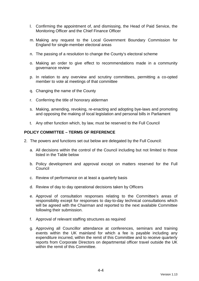- l. Confirming the appointment of, and dismissing, the Head of Paid Service, the Monitoring Officer and the Chief Finance Officer
- m. Making any request to the Local Government Boundary Commission for England for single-member electoral areas
- n. The passing of a resolution to change the County's electoral scheme
- o. Making an order to give effect to recommendations made in a community governance review
- p. In relation to any overview and scrutiny committees, permitting a co-opted member to vote at meetings of that committee
- q. Changing the name of the County
- r. Conferring the title of honorary alderman
- s. Making, amending, revoking, re-enacting and adopting bye-laws and promoting and opposing the making of local legislation and personal bills in Parliament
- t. Any other function which, by law, must be reserved to the Full Council

#### **POLICY COMMITTEE – TERMS OF REFERENCE**

- 2. The powers and functions set out below are delegated by the Full Council:
	- a. All decisions within the control of the Council including but not limited to those listed in the Table below
	- b. Policy development and approval except on matters reserved for the Full Council
	- c. Review of performance on at least a quarterly basis
	- d. Review of day to day operational decisions taken by Officers
	- e. Approval of consultation responses relating to the Committee's areas of responsibility except for responses to day-to-day technical consultations which will be agreed with the Chairman and reported to the next available Committee following their submission.
	- f. Approval of relevant staffing structures as required
	- g. Approving all Councillor attendance at conferences, seminars and training events within the UK mainland for which a fee is payable including any expenditure incurred, within the remit of this Committee and to receive quarterly reports from Corporate Directors on departmental officer travel outside the UK within the remit of this Committee.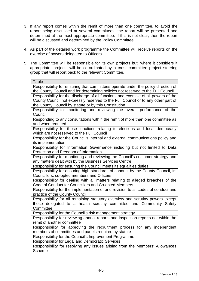- 3. If any report comes within the remit of more than one committee, to avoid the report being discussed at several committees, the report will be presented and determined at the most appropriate committee. If this is not clear, then the report will be discussed and determined by the Policy Committee.
- 4. As part of the detailed work programme the Committee will receive reports on the exercise of powers delegated to Officers.
- 5. The Committee will be responsible for its own projects but, where it considers it appropriate, projects will be co-ordinated by a cross-committee project steering group that will report back to the relevant Committee.

| Table                                                                                             |
|---------------------------------------------------------------------------------------------------|
| Responsibility for ensuring that committees operate under the policy direction of                 |
| the County Council and for determining policies not reserved to the Full Council                  |
| Responsibility for the discharge of all functions and exercise of all powers of the               |
| County Council not expressly reserved to the Full Council or to any other part of                 |
| the County Council by statute or by this Constitution                                             |
| Responsibility for monitoring and reviewing the overall performance of the                        |
| Council                                                                                           |
| Responding to any consultations within the remit of more than one committee as                    |
| and when required                                                                                 |
| Responsibility for those functions relating to elections and local democracy                      |
| which are not reserved to the Full Council                                                        |
| Responsibility for the Council's internal and external communications policy and                  |
| its implementation<br>Responsibility for Information Governance including but not limited to Data |
| Protection and Freedom of Information                                                             |
| Responsibility for monitoring and reviewing the Council's customer strategy and                   |
| any matters dealt with by the Business Services Centre                                            |
| Responsibility for ensuring the Council meets its equalities duties                               |
| Responsibility for ensuring high standards of conduct by the County Council, its                  |
| Councillors, co-opted members and Officers                                                        |
| Responsibility for dealing with all matters relating to alleged breaches of the                   |
| Code of Conduct for Councillors and Co-opted Members                                              |
| Responsibility for the implementation of and revision to all codes of conduct and                 |
| practice of the County Council                                                                    |
| Responsibility for all remaining statutory overview and scrutiny powers except                    |
| those delegated to a health scrutiny committee and Community Safety                               |
| Committee                                                                                         |
| Responsibility for the Council's risk management strategy                                         |
| Responsibility for reviewing annual reports and inspection reports not within the                 |
| remit of another committee                                                                        |
| Responsibility for approving the recruitment process for any independent                          |
| members of committees and panels required by statute                                              |
| Responsibility for the Council's Improvement Programme                                            |
| Responsibility for Legal and Democratic Services                                                  |
| Responsibility for resolving any issues arising from the Members' Allowances                      |
| <b>Scheme</b>                                                                                     |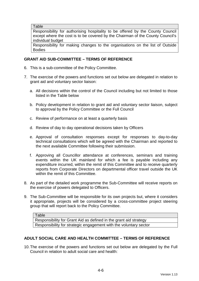**Table** 

Responsibility for authorising hospitality to be offered by the County Council except where the cost is to be covered by the Chairman of the County Council's individual budget

Responsibility for making changes to the organisations on the list of Outside Bodies

# **GRANT AID SUB-COMMITTEE – TERMS OF REFERENCE**

- 6. This is a sub-committee of the Policy Committee.
- 7. The exercise of the powers and functions set out below are delegated in relation to grant aid and voluntary sector liaison:
	- a. All decisions within the control of the Council including but not limited to those listed in the Table below
	- b. Policy development in relation to grant aid and voluntary sector liaison, subject to approval by the Policy Committee or the Full Council
	- c. Review of performance on at least a quarterly basis
	- d. Review of day to day operational decisions taken by Officers
	- e. Approval of consultation responses except for responses to day-to-day technical consultations which will be agreed with the Chairman and reported to the next available Committee following their submission.
	- f. Approving all Councillor attendance at conferences, seminars and training events within the UK mainland for which a fee is payable including any expenditure incurred, within the remit of this Committee and to receive quarterly reports from Corporate Directors on departmental officer travel outside the UK within the remit of this Committee.
- 8. As part of the detailed work programme the Sub-Committee will receive reports on the exercise of powers delegated to Officers.
- 9. The Sub-Committee will be responsible for its own projects but, where it considers it appropriate, projects will be considered by a cross-committee project steering group that will report back to the Policy Committee.

#### **ADULT SOCIAL CARE AND HEALTH COMMITTEE – TERMS OF REFERENCE**

10. The exercise of the powers and functions set out below are delegated by the Full Council in relation to adult social care and health:

Table Responsibility for Grant Aid as defined in the grant aid strategy Responsibility for strategic engagement with the voluntary sector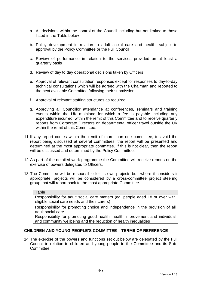- a. All decisions within the control of the Council including but not limited to those listed in the Table below
- b. Policy development in relation to adult social care and health, subject to approval by the Policy Committee or the Full Council
- c. Review of performance in relation to the services provided on at least a quarterly basis
- d. Review of day to day operational decisions taken by Officers
- e. Approval of relevant consultation responses except for responses to day-to-day technical consultations which will be agreed with the Chairman and reported to the next available Committee following their submission.
- f. Approval of relevant staffing structures as required
- g. Approving all Councillor attendance at conferences, seminars and training events within the UK mainland for which a fee is payable including any expenditure incurred, within the remit of this Committee and to receive quarterly reports from Corporate Directors on departmental officer travel outside the UK within the remit of this Committee.
- 11. If any report comes within the remit of more than one committee, to avoid the report being discussed at several committees, the report will be presented and determined at the most appropriate committee. If this is not clear, then the report will be discussed and determined by the Policy Committee.
- 12. As part of the detailed work programme the Committee will receive reports on the exercise of powers delegated to Officers.
- 13. The Committee will be responsible for its own projects but, where it considers it appropriate, projects will be considered by a cross-committee project steering group that will report back to the most appropriate Committee.

| <b>Table</b>                                                                                                                  |
|-------------------------------------------------------------------------------------------------------------------------------|
| Responsibility for adult social care matters (eg. people aged 18 or over with<br>eligible social care needs and their carers) |
| Responsibility for promoting choice and independence in the provision of all                                                  |

adult social care

Responsibility for promoting good health, health improvement and individual and community wellbeing and the reduction of health inequalities

# **CHILDREN AND YOUNG PEOPLE'S COMMITTEE – TERMS OF REFERENCE**

14. The exercise of the powers and functions set out below are delegated by the Full Council in relation to children and young people to the Committee and its Sub-Committee.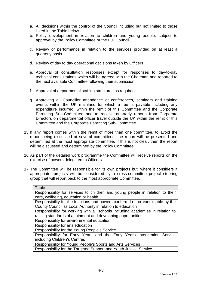- a. All decisions within the control of the Council including but not limited to those listed in the Table below
- b. Policy development in relation to children and young people, subject to approval by the Policy Committee or the Full Council
- c. Review of performance in relation to the services provided on at least a quarterly basis
- d. Review of day to day operational decisions taken by Officers
- e. Approval of consultation responses except for responses to day-to-day technical consultations which will be agreed with the Chairman and reported to the next available Committee following their submission.
- f. Approval of departmental staffing structures as required
- g. Approving all Councillor attendance at conferences, seminars and training events within the UK mainland for which a fee is payable including any expenditure incurred, within the remit of this Committee and the Corporate Parenting Sub-Committee and to receive quarterly reports from Corporate Directors on departmental officer travel outside the UK within the remit of this Committee and the Corporate Parenting Sub-Committee.
- 15. If any report comes within the remit of more than one committee, to avoid the report being discussed at several committees, the report will be presented and determined at the most appropriate committee. If this is not clear, then the report will be discussed and determined by the Policy Committee.
- 16. As part of the detailed work programme the Committee will receive reports on the exercise of powers delegated to Officers.
- 17. The Committee will be responsible for its own projects but, where it considers it appropriate, projects will be considered by a cross-committee project steering group that will report back to the most appropriate Committee.

| Table                                                                          |
|--------------------------------------------------------------------------------|
| Responsibility for services to children and young people in relation to their  |
| care, wellbeing, education or health                                           |
| Responsibility for the functions and powers conferred on or exercisable by the |
| County Council as Local Authority in relation to education                     |
| Responsibility for working with all schools including academies in relation to |
| raising standards of attainment and developing opportunities                   |
| Responsibility for environmental education                                     |
| Responsibility for arts education                                              |
| Responsibility for the Young People's Service                                  |
| Responsibility for Early Years and the Early Years Intervention Service        |
| including Children's Centres                                                   |
| Responsibility for Young People's Sports and Arts Services                     |
| Responsibility for the Targeted Support and Youth Justice Service              |
|                                                                                |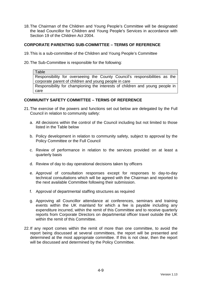18. The Chairman of the Children and Young People's Committee will be designated the lead Councillor for Children and Young People's Services in accordance with Section 19 of the Children Act 2004.

#### **CORPORATE PARENTING SUB-COMMITTEE – TERMS OF REFERENCE**

- 19. This is a sub-committee of the Children and Young People's Committee
- 20. The Sub-Committee is responsible for the following:

Table Responsibility for overseeing the County Council's responsibilities as the corporate parent of children and young people in care Responsibility for championing the interests of children and young people in care

#### **COMMUNITY SAFETY COMMITTEE – TERMS OF REFERENCE**

- 21. The exercise of the powers and functions set out below are delegated by the Full Council in relation to community safety:
	- a. All decisions within the control of the Council including but not limited to those listed in the Table below
	- b. Policy development in relation to community safety, subject to approval by the Policy Committee or the Full Council
	- c. Review of performance in relation to the services provided on at least a quarterly basis
	- d. Review of day to day operational decisions taken by officers
	- e. Approval of consultation responses except for responses to day-to-day technical consultations which will be agreed with the Chairman and reported to the next available Committee following their submission.
	- f. Approval of departmental staffing structures as required
	- g. Approving all Councillor attendance at conferences, seminars and training events within the UK mainland for which a fee is payable including any expenditure incurred, within the remit of this Committee and to receive quarterly reports from Corporate Directors on departmental officer travel outside the UK within the remit of this Committee.
- 22. If any report comes within the remit of more than one committee, to avoid the report being discussed at several committees, the report will be presented and determined at the most appropriate committee. If this is not clear, then the report will be discussed and determined by the Policy Committee.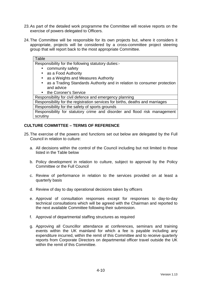- 23. As part of the detailed work programme the Committee will receive reports on the exercise of powers delegated to Officers.
- 24. The Committee will be responsible for its own projects but, where it considers it appropriate, projects will be considered by a cross-committee project steering group that will report back to the most appropriate Committee.

| Table                                                                                |
|--------------------------------------------------------------------------------------|
| Responsibility for the following statutory duties:-                                  |
| community safety                                                                     |
| • as a Food Authority                                                                |
| as a Weights and Measures Authority<br>$\bullet$                                     |
| as a Trading Standards Authority and in relation to consumer protection<br>$\bullet$ |
| and advice                                                                           |
| the Coroner's Service<br>$\bullet$                                                   |
| Responsibility for civil defence and emergency planning                              |
| Responsibility for the registration services for births, deaths and marriages        |
| Responsibility for the safety of sports grounds                                      |
| Responsibility for statutory crime and disorder and flood risk management            |

# **CULTURE COMMITTEE – TERMS OF REFERENCE**

scrutiny

- 25. The exercise of the powers and functions set out below are delegated by the Full Council in relation to culture:
	- a. All decisions within the control of the Council including but not limited to those listed in the Table below
	- b. Policy development in relation to culture, subject to approval by the Policy Committee or the Full Council
	- c. Review of performance in relation to the services provided on at least a quarterly basis
	- d. Review of day to day operational decisions taken by officers
	- e. Approval of consultation responses except for responses to day-to-day technical consultations which will be agreed with the Chairman and reported to the next available Committee following their submission.
	- f. Approval of departmental staffing structures as required
	- g. Approving all Councillor attendance at conferences, seminars and training events within the UK mainland for which a fee is payable including any expenditure incurred, within the remit of this Committee and to receive quarterly reports from Corporate Directors on departmental officer travel outside the UK within the remit of this Committee.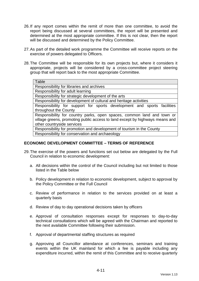- 26. If any report comes within the remit of more than one committee, to avoid the report being discussed at several committees, the report will be presented and determined at the most appropriate committee. If this is not clear, then the report will be discussed and determined by the Policy Committee.
- 27. As part of the detailed work programme the Committee will receive reports on the exercise of powers delegated to Officers.
- 28. The Committee will be responsible for its own projects but, where it considers it appropriate, projects will be considered by a cross-committee project steering group that will report back to the most appropriate Committee.

| Table                                                                        |
|------------------------------------------------------------------------------|
| Responsibility for libraries and archives                                    |
| Responsibility for adult learning                                            |
| Responsibility for strategic development of the arts                         |
| Responsibility for development of cultural and heritage activities           |
| Responsibility for support for sports development and sports facilities      |
| throughout the County                                                        |
| Responsibility for country parks, open spaces, common land and town or       |
| village greens, promoting public access to land except by highways means and |
| other countryside services                                                   |
| Responsibility for promotion and development of tourism in the County        |
| Responsibility for conservation and archaeology                              |

#### **ECONOMIC DEVELOPMENT COMMITTEE – TERMS OF REFERENCE**

- 29. The exercise of the powers and functions set out below are delegated by the Full Council in relation to economic development:
	- a. All decisions within the control of the Council including but not limited to those listed in the Table below
	- b. Policy development in relation to economic development, subject to approval by the Policy Committee or the Full Council
	- c. Review of performance in relation to the services provided on at least a quarterly basis
	- d. Review of day to day operational decisions taken by officers
	- e. Approval of consultation responses except for responses to day-to-day technical consultations which will be agreed with the Chairman and reported to the next available Committee following their submission.
	- f. Approval of departmental staffing structures as required
	- g. Approving all Councillor attendance at conferences, seminars and training events within the UK mainland for which a fee is payable including any expenditure incurred, within the remit of this Committee and to receive quarterly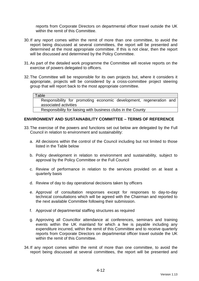reports from Corporate Directors on departmental officer travel outside the UK within the remit of this Committee.

- 30. If any report comes within the remit of more than one committee, to avoid the report being discussed at several committees, the report will be presented and determined at the most appropriate committee. If this is not clear, then the report will be discussed and determined by the Policy Committee.
- 31. As part of the detailed work programme the Committee will receive reports on the exercise of powers delegated to officers.
- 32. The Committee will be responsible for its own projects but, where it considers it appropriate, projects will be considered by a cross-committee project steering group that will report back to the most appropriate committee.

#### Table

Responsibility for promoting economic development, regeneration and associated activities

Responsibility for liaising with business clubs in the County

#### **ENVIRONMENT AND SUSTAINABILITY COMMITTEE – TERMS OF REFERENCE**

- 33. The exercise of the powers and functions set out below are delegated by the Full Council in relation to environment and sustainability:
	- a. All decisions within the control of the Council including but not limited to those listed in the Table below
	- b. Policy development in relation to environment and sustainability, subject to approval by the Policy Committee or the Full Council
	- c. Review of performance in relation to the services provided on at least a quarterly basis
	- d. Review of day to day operational decisions taken by officers
	- e. Approval of consultation responses except for responses to day-to-day technical consultations which will be agreed with the Chairman and reported to the next available Committee following their submission.
	- f. Approval of departmental staffing structures as required
	- g. Approving all Councillor attendance at conferences, seminars and training events within the UK mainland for which a fee is payable including any expenditure incurred, within the remit of this Committee and to receive quarterly reports from Corporate Directors on departmental officer travel outside the UK within the remit of this Committee.
- 34. If any report comes within the remit of more than one committee, to avoid the report being discussed at several committees, the report will be presented and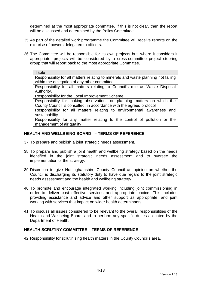determined at the most appropriate committee. If this is not clear, then the report will be discussed and determined by the Policy Committee.

- 35. As part of the detailed work programme the Committee will receive reports on the exercise of powers delegated to officers.
- 36. The Committee will be responsible for its own projects but, where it considers it appropriate, projects will be considered by a cross-committee project steering group that will report back to the most appropriate Committee.

#### **Table**

Responsibility for all matters relating to minerals and waste planning not falling within the delegation of any other committee.

Responsibility for all matters relating to Council's role as Waste Disposal Authority.

Responsibility for the Local Improvement Scheme

Responsibility for making observations on planning matters on which the County Council is consulted, in accordance with the agreed protocol

Responsibility for all matters relating to environmental awareness and sustainability

Responsibility for any matter relating to the control of pollution or the management of air quality

#### **HEALTH AND WELLBEING BOARD – TERMS OF REFERENCE**

- 37. To prepare and publish a joint strategic needs assessment.
- 38. To prepare and publish a joint health and wellbeing strategy based on the needs identified in the joint strategic needs assessment and to oversee the implementation of the strategy.
- 39. Discretion to give Nottinghamshire County Council an opinion on whether the Council is discharging its statutory duty to have due regard to the joint strategic needs assessment and the health and wellbeing strategy.
- 40. To promote and encourage integrated working including joint commissioning in order to deliver cost effective services and appropriate choice. This includes providing assistance and advice and other support as appropriate, and joint working with services that impact on wider health determinants.
- 41. To discuss all issues considered to be relevant to the overall responsibilities of the Health and Wellbeing Board, and to perform any specific duties allocated by the Department of Health.

#### **HEALTH SCRUTINY COMMITTEE – TERMS OF REFERENCE**

42. Responsibility for scrutinising health matters in the County Council's area.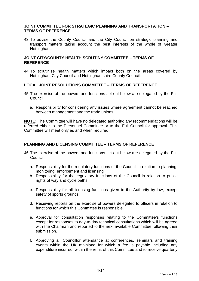#### **JOINT COMMITTEE FOR STRATEGIC PLANNING AND TRANSPORTATION – TERMS OF REFERENCE**

43. To advise the County Council and the City Council on strategic planning and transport matters taking account the best interests of the whole of Greater Nottingham.

### **JOINT CITY/COUNTY HEALTH SCRUTINY COMMITTEE – TERMS OF REFERENCE**

44. To scrutinise health matters which impact both on the areas covered by Nottingham City Council and Nottinghamshire County Council.

#### **LOCAL JOINT RESOLUTIONS COMMITTEE – TERMS OF REFERENCE**

- 45. The exercise of the powers and functions set out below are delegated by the Full Council:
	- a. Responsibility for considering any issues where agreement cannot be reached between management and the trade unions.

**NOTE:** The Committee will have no delegated authority; any recommendations will be referred either to the Personnel Committee or to the Full Council for approval. This Committee will meet only as and when required.

#### **PLANNING AND LICENSING COMMITTEE – TERMS OF REFERENCE**

- 46. The exercise of the powers and functions set out below are delegated by the Full Council:
	- a. Responsibility for the regulatory functions of the Council in relation to planning, monitoring, enforcement and licensing.
	- b. Responsibility for the regulatory functions of the Council in relation to public rights of way and cycle paths.
	- c. Responsibility for all licensing functions given to the Authority by law, except safety of sports grounds.
	- d. Receiving reports on the exercise of powers delegated to officers in relation to functions for which this Committee is responsible.
	- e. Approval for consultation responses relating to the Committee's functions except for responses to day-to-day technical consultations which will be agreed with the Chairman and reported to the next available Committee following their submission.
	- f. Approving all Councillor attendance at conferences, seminars and training events within the UK mainland for which a fee is payable including any expenditure incurred, within the remit of this Committee and to receive quarterly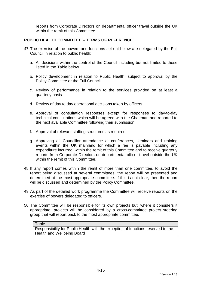reports from Corporate Directors on departmental officer travel outside the UK within the remit of this Committee.

# **PUBLIC HEALTH COMMITTEE – TERMS OF REFERENCE**

- 47. The exercise of the powers and functions set out below are delegated by the Full Council in relation to public health:
	- a. All decisions within the control of the Council including but not limited to those listed in the Table below
	- b. Policy development in relation to Public Health, subject to approval by the Policy Committee or the Full Council
	- c. Review of performance in relation to the services provided on at least a quarterly basis
	- d. Review of day to day operational decisions taken by officers
	- e. Approval of consultation responses except for responses to day-to-day technical consultations which will be agreed with the Chairman and reported to the next available Committee following their submission.
	- f. Approval of relevant staffing structures as required
	- g. Approving all Councillor attendance at conferences, seminars and training events within the UK mainland for which a fee is payable including any expenditure incurred, within the remit of this Committee and to receive quarterly reports from Corporate Directors on departmental officer travel outside the UK within the remit of this Committee.
- 48. If any report comes within the remit of more than one committee, to avoid the report being discussed at several committees, the report will be presented and determined at the most appropriate committee. If this is not clear, then the report will be discussed and determined by the Policy Committee.
- 49. As part of the detailed work programme the Committee will receive reports on the exercise of powers delegated to officers.
- 50. The Committee will be responsible for its own projects but, where it considers it appropriate, projects will be considered by a cross-committee project steering group that will report back to the most appropriate committee.

#### Table

Responsibility for Public Health with the exception of functions reserved to the Health and Wellbeing Board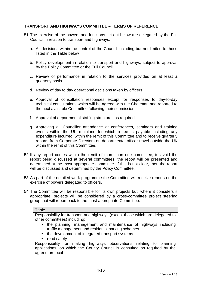# **TRANSPORT AND HIGHWAYS COMMITTEE – TERMS OF REFERENCE**

- 51. The exercise of the powers and functions set out below are delegated by the Full Council in relation to transport and highways:
	- a. All decisions within the control of the Council including but not limited to those listed in the Table below
	- b. Policy development in relation to transport and highways, subject to approval by the Policy Committee or the Full Council
	- c. Review of performance in relation to the services provided on at least a quarterly basis
	- d. Review of day to day operational decisions taken by officers
	- e. Approval of consultation responses except for responses to day-to-day technical consultations which will be agreed with the Chairman and reported to the next available Committee following their submission.
	- f. Approval of departmental staffing structures as required
	- g. Approving all Councillor attendance at conferences, seminars and training events within the UK mainland for which a fee is payable including any expenditure incurred, within the remit of this Committee and to receive quarterly reports from Corporate Directors on departmental officer travel outside the UK within the remit of this Committee.
- 52. If any report comes within the remit of more than one committee, to avoid the report being discussed at several committees, the report will be presented and determined at the most appropriate committee. If this is not clear, then the report will be discussed and determined by the Policy Committee.
- 53. As part of the detailed work programme the Committee will receive reports on the exercise of powers delegated to officers.
- 54. The Committee will be responsible for its own projects but, where it considers it appropriate, projects will be considered by a cross-committee project steering group that will report back to the most appropriate Committee.

#### **Table**

Responsibility for transport and highways (except those which are delegated to other committees) including:

- the planning, management and maintenance of highways including traffic management and residents' parking schemes
- the development of integrated transport systems
- road safety

Responsibility for making highways observations relating to planning applications, on which the County Council is consulted as required by the agreed protocol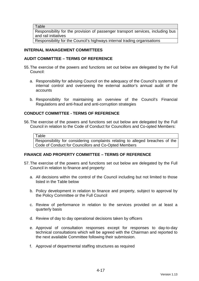**Table** 

Responsibility for the provision of passenger transport services, including bus and rail initiatives

Responsibility for the Council's highways internal trading organisations

## **INTERNAL MANAGEMENT COMMITTEES**

## **AUDIT COMMITTEE – TERMS OF REFERENCE**

- 55. The exercise of the powers and functions set out below are delegated by the Full Council:
	- a. Responsibility for advising Council on the adequacy of the Council's systems of internal control and overseeing the external auditor's annual audit of the accounts
	- b. Responsibility for maintaining an overview of the Council's Financial Regulations and anti-fraud and anti-corruption strategies

## **CONDUCT COMMITTEE - TERMS OF REFERENCE**

56. The exercise of the powers and functions set out below are delegated by the Full Council in relation to the Code of Conduct for Councillors and Co-opted Members:

#### Table

Responsibility for considering complaints relating to alleged breaches of the Code of Conduct for Councillors and Co-Opted Members

## **FINANCE AND PROPERTY COMMITTEE – TERMS OF REFERENCE**

- 57. The exercise of the powers and functions set out below are delegated by the Full Council in relation to finance and property:
	- a. All decisions within the control of the Council including but not limited to those listed in the Table below
	- b. Policy development in relation to finance and property, subject to approval by the Policy Committee or the Full Council
	- c. Review of performance in relation to the services provided on at least a quarterly basis
	- d. Review of day to day operational decisions taken by officers
	- e. Approval of consultation responses except for responses to day-to-day technical consultations which will be agreed with the Chairman and reported to the next available Committee following their submission.
	- f. Approval of departmental staffing structures as required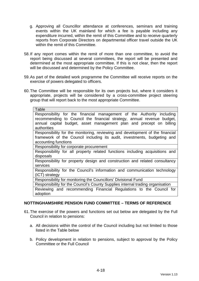- g. Approving all Councillor attendance at conferences, seminars and training events within the UK mainland for which a fee is payable including any expenditure incurred, within the remit of this Committee and to receive quarterly reports from Corporate Directors on departmental officer travel outside the UK within the remit of this Committee.
- 58. If any report comes within the remit of more than one committee, to avoid the report being discussed at several committees, the report will be presented and determined at the most appropriate committee. If this is not clear, then the report will be discussed and determined by the Policy Committee.
- 59. As part of the detailed work programme the Committee will receive reports on the exercise of powers delegated to officers.
- 60. The Committee will be responsible for its own projects but, where it considers it appropriate, projects will be considered by a cross-committee project steering group that will report back to the most appropriate Committee.

| Table                                                                          |
|--------------------------------------------------------------------------------|
| Responsibility for the financial management of the Authority including         |
| recommending to Council the financial strategy, annual revenue budget,         |
| annual capital budget, asset management plan and precept on billing            |
| authorities                                                                    |
| Responsibility for the monitoring, reviewing and development of the financial  |
| framework of the Council including its audit, investments, budgeting and       |
| accounting functions                                                           |
| Responsibility for corporate procurement                                       |
| Responsibility for all property related functions including acquisitions and   |
| disposals                                                                      |
| Responsibility for property design and construction and related consultancy    |
| services                                                                       |
| Responsibility for the Council's information and communication technology      |
| (ICT) strategy                                                                 |
| Responsibility for monitoring the Councillors' Divisional Fund                 |
| Responsibility for the Council's County Supplies internal trading organisation |
| Reviewing and recommending Financial Regulations to the Council for            |
| adoption                                                                       |

## **NOTTINGHAMSHIRE PENSION FUND COMMITTEE – TERMS OF REFERENCE**

- 61. The exercise of the powers and functions set out below are delegated by the Full Council in relation to pensions:
	- a. All decisions within the control of the Council including but not limited to those listed in the Table below
	- b. Policy development in relation to pensions, subject to approval by the Policy Committee or the Full Council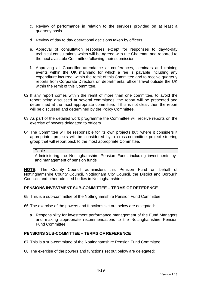- c. Review of performance in relation to the services provided on at least a quarterly basis
- d. Review of day to day operational decisions taken by officers
- e. Approval of consultation responses except for responses to day-to-day technical consultations which will be agreed with the Chairman and reported to the next available Committee following their submission.
- f. Approving all Councillor attendance at conferences, seminars and training events within the UK mainland for which a fee is payable including any expenditure incurred, within the remit of this Committee and to receive quarterly reports from Corporate Directors on departmental officer travel outside the UK within the remit of this Committee.
- 62. If any report comes within the remit of more than one committee, to avoid the report being discussed at several committees, the report will be presented and determined at the most appropriate committee. If this is not clear, then the report will be discussed and determined by the Policy Committee.
- 63. As part of the detailed work programme the Committee will receive reports on the exercise of powers delegated to officers.
- 64. The Committee will be responsible for its own projects but, where it considers it appropriate, projects will be considered by a cross-committee project steering group that will report back to the most appropriate Committee.

Table

Administering the Nottinghamshire Pension Fund, including investments by and management of pension funds

**NOTE:** The County Council administers this Pension Fund on behalf of Nottinghamshire County Council, Nottingham City Council, the District and Borough Councils and other admitted bodies in Nottinghamshire.

## **PENSIONS INVESTMENT SUB-COMMITTEE – TERMS OF REFERENCE**

65. This is a sub-committee of the Nottinghamshire Pension Fund Committee

66. The exercise of the powers and functions set out below are delegated:

a. Responsibility for investment performance management of the Fund Managers and making appropriate recommendations to the Nottinghamshire Pension Fund Committee.

## **PENSIONS SUB-COMMITTEE – TERMS OF REFERENCE**

67. This is a sub-committee of the Nottinghamshire Pension Fund Committee

68. The exercise of the powers and functions set out below are delegated: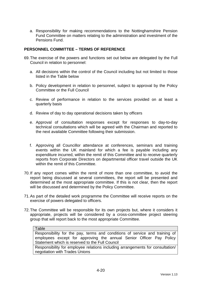a. Responsibility for making recommendations to the Nottinghamshire Pension Fund Committee on matters relating to the administration and investment of the Pensions Fund.

## **PERSONNEL COMMITTEE – TERMS OF REFERENCE**

- 69. The exercise of the powers and functions set out below are delegated by the Full Council in relation to personnel:
	- a. All decisions within the control of the Council including but not limited to those listed in the Table below
	- b. Policy development in relation to personnel, subject to approval by the Policy Committee or the Full Council
	- c. Review of performance in relation to the services provided on at least a quarterly basis
	- d. Review of day to day operational decisions taken by officers
	- e. Approval of consultation responses except for responses to day-to-day technical consultations which will be agreed with the Chairman and reported to the next available Committee following their submission.
	- f. Approving all Councillor attendance at conferences, seminars and training events within the UK mainland for which a fee is payable including any expenditure incurred, within the remit of this Committee and to receive quarterly reports from Corporate Directors on departmental officer travel outside the UK within the remit of this Committee.
- 70. If any report comes within the remit of more than one committee, to avoid the report being discussed at several committees, the report will be presented and determined at the most appropriate committee. If this is not clear, then the report will be discussed and determined by the Policy Committee.
- 71. As part of the detailed work programme the Committee will receive reports on the exercise of powers delegated to officers.
- 72. The Committee will be responsible for its own projects but, where it considers it appropriate, projects will be considered by a cross-committee project steering group that will report back to the most appropriate Committee.

#### **Table**

Responsibility for the pay, terms and conditions of service and training of employees except for approving the annual Senior Officer Pay Policy Statement which is reserved to the Full Council

Responsibility for employee relations including arrangements for consultation/ negotiation with Trades Unions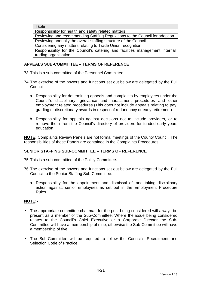**Table** 

Responsibility for health and safety related matters Reviewing and recommending Staffing Regulations to the Council for adoption Reviewing annually the overall staffing structure of the Council Considering any matters relating to Trade Union recognition Responsibility for the Council's catering and facilities management internal trading organisation

# **APPEALS SUB-COMMITTEE – TERMS OF REFERENCE**

- 73. This is a sub-committee of the Personnel Committee
- 74. The exercise of the powers and functions set out below are delegated by the Full Council:
	- a. Responsibility for determining appeals and complaints by employees under the Council's disciplinary, grievance and harassment procedures and other employment related procedures (This does not include appeals relating to pay, grading or discretionary awards in respect of redundancy or early retirement)
	- b. Responsibility for appeals against decisions not to include providers, or to remove them from the Council's directory of providers for funded early years education

**NOTE:** Complaints Review Panels are not formal meetings of the County Council. The responsibilities of these Panels are contained in the Complaints Procedures.

# **SENIOR STAFFING SUB-COMMITTEE – TERMS OF REFERENCE**

- 75. This is a sub-committee of the Policy Committee.
- 76. The exercise of the powers and functions set out below are delegated by the Full Council to the Senior Staffing Sub-Committee:
	- a. Responsibility for the appointment and dismissal of, and taking disciplinary action against, senior employees as set out in the Employment Procedure Rules

# **NOTE:-**

- The appropriate committee chairman for the post being considered will always be present as a member of the Sub-Committee. Where the issue being considered relates to the Council's Chief Executive or a Corporate Director the Sub-Committee will have a membership of nine; otherwise the Sub-Committee will have a membership of five.
- The Sub-Committee will be required to follow the Council's Recruitment and Selection Code of Practice.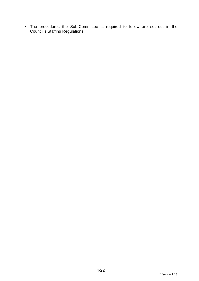• The procedures the Sub-Committee is required to follow are set out in the Council's Staffing Regulations.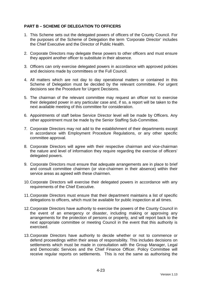# **PART B – SCHEME OF DELEGATION TO OFFICERS**

- 1. This Scheme sets out the delegated powers of officers of the County Council. For the purposes of the Scheme of Delegation the term 'Corporate Director' includes the Chief Executive and the Director of Public Health.
- 2. Corporate Directors may delegate these powers to other officers and must ensure they appoint another officer to substitute in their absence.
- 3. Officers can only exercise delegated powers in accordance with approved policies and decisions made by committees or the Full Council.
- 4. All matters which are not day to day operational matters or contained in this Scheme of Delegation must be decided by the relevant committee. For urgent decisions see the Procedure for Urgent Decisions.
- 5. The chairman of the relevant committee may request an officer not to exercise their delegated power in any particular case and, if so, a report will be taken to the next available meeting of this committee for consideration.
- 6. Appointments of staff below Service Director level will be made by Officers. Any other appointment must be made by the Senior Staffing Sub-Committee.
- 7. Corporate Directors may not add to the establishment of their departments except in accordance with Employment Procedure Regulations, or any other specific committee approval.
- 8. Corporate Directors will agree with their respective chairman and vice-chairman the nature and level of information they require regarding the exercise of officers' delegated powers.
- 9. Corporate Directors must ensure that adequate arrangements are in place to brief and consult committee chairmen (or vice-chairmen in their absence) within their service areas as agreed with these chairmen.
- 10. Corporate Directors will exercise their delegated powers in accordance with any requirements of the Chief Executive.
- 11. Corporate Directors must ensure that their department maintains a list of specific delegations to officers, which must be available for public inspection at all times.
- 12. Corporate Directors have authority to exercise the powers of the County Council in the event of an emergency or disaster, including making or approving any arrangements for the protection of persons or property, and will report back to the next appropriate committee or meeting Council in the event that this authority is exercised.
- 13. Corporate Directors have authority to decide whether or not to commence or defend proceedings within their areas of responsibility. This includes decisions on settlements which must be made in consultation with the Group Manager, Legal and Democratic Services and the Chief Finance Officer. Policy Committee will receive regular reports on settlements. This is not the same as authorising the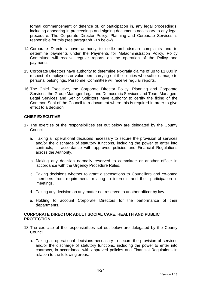formal commencement or defence of, or participation in, any legal proceedings, including appearing in proceedings and signing documents necessary to any legal procedure. The Corporate Director Policy, Planning and Corporate Services is responsible for this (see paragraph 21b below).

- 14. Corporate Directors have authority to settle ombudsman complaints and to determine payments under the Payments for Maladministration Policy. Policy Committee will receive regular reports on the operation of the Policy and payments.
- 15. Corporate Directors have authority to determine ex-gratia claims of up to £1,000 in respect of employees or volunteers carrying out their duties who suffer damage to personal belongings. Personnel Committee will receive regular reports.
- 16. The Chief Executive, the Corporate Director Policy, Planning and Corporate Services, the Group Manager Legal and Democratic Services and Team Managers Legal Services and Senior Solicitors have authority to certify the fixing of the Common Seal of the Council to a document where this is required in order to give effect to a decision.

## **CHIEF EXECUTIVE**

- 17. The exercise of the responsibilities set out below are delegated by the County Council:
	- a. Taking all operational decisions necessary to secure the provision of services and/or the discharge of statutory functions, including the power to enter into contracts, in accordance with approved policies and Financial Regulations across the Authority.
	- b. Making any decision normally reserved to committee or another officer in accordance with the Urgency Procedure Rules.
	- c. Taking decisions whether to grant dispensations to Councillors and co-opted members from requirements relating to interests and their participation in meetings.
	- d. Taking any decision on any matter not reserved to another officer by law.
	- e. Holding to account Corporate Directors for the performance of their departments.

## **CORPORATE DIRECTOR ADULT SOCIAL CARE, HEALTH AND PUBLIC PROTECTION**

- 18. The exercise of the responsibilities set out below are delegated by the County Council:
	- a. Taking all operational decisions necessary to secure the provision of services and/or the discharge of statutory functions, including the power to enter into contracts, in accordance with approved policies and Financial Regulations in relation to the following areas: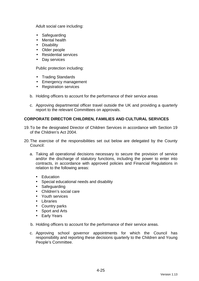Adult social care including:

- Safeguarding
- Mental health
- Disability
- Older people
- Residential services
- Day services

Public protection including:

- Trading Standards
- Emergency management
- Registration services
- b. Holding officers to account for the performance of their service areas
- c. Approving departmental officer travel outside the UK and providing a quarterly report to the relevant Committees on approvals.

## **CORPORATE DIRECTOR CHILDREN, FAMILIES AND CULTURAL SERVICES**

- 19. To be the designated Director of Children Services in accordance with Section 19 of the Children's Act 2004.
- 20. The exercise of the responsibilities set out below are delegated by the County Council:
	- a. Taking all operational decisions necessary to secure the provision of service and/or the discharge of statutory functions, including the power to enter into contracts, in accordance with approved policies and Financial Regulations in relation to the following areas:
		- Education
		- Special educational needs and disability
		- Safeguarding
		- Children's social care
		- Youth services
		- Libraries
		- Country parks
		- Sport and Arts
		- Early Years
	- b. Holding officers to account for the performance of their service areas.
	- c. Approving school governor appointments for which the Council has responsibility and reporting these decisions quarterly to the Children and Young People's Committee.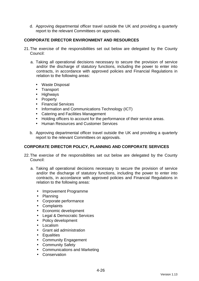d. Approving departmental officer travel outside the UK and providing a quarterly report to the relevant Committees on approvals.

# **CORPORATE DIRECTOR ENVIRONMENT AND RESOURCES**

- 21. The exercise of the responsibilities set out below are delegated by the County Council:
	- a. Taking all operational decisions necessary to secure the provision of service and/or the discharge of statutory functions, including the power to enter into contracts, in accordance with approved policies and Financial Regulations in relation to the following areas:
		- Waste Disposal
		- Transport
		- Highways
		- Property
		- Financial Services
		- Information and Communications Technology (ICT)
		- Catering and Facilities Management
		- Holding officers to account for the performance of their service areas.
		- Human Resources and Customer Services
	- b. Approving departmental officer travel outside the UK and providing a quarterly report to the relevant Committees on approvals.

## **CORPORATE DIRECTOR POLICY, PLANNING AND CORPORATE SERVICES**

- 22. The exercise of the responsibilities set out below are delegated by the County Council:
	- a. Taking all operational decisions necessary to secure the provision of service and/or the discharge of statutory functions, including the power to enter into contracts, in accordance with approved policies and Financial Regulations in relation to the following areas:
		- Improvement Programme
		- Planning
		- Corporate performance
		- Complaints
		- Economic development
		- Legal & Democratic Services
		- Policy development
		- Localism
		- Grant aid administration
		- Equalities
		- Community Engagement
		- Community Safety
		- Communications and Marketing
		- Conservation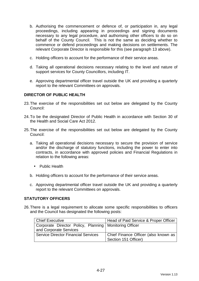- b. Authorising the commencement or defence of, or participation in, any legal proceedings, including appearing in proceedings and signing documents necessary to any legal procedure, and authorising other officers to do so on behalf of the County Council. This is not the same as deciding whether to commence or defend proceedings and making decisions on settlements. The relevant Corporate Director is responsible for this (see paragraph 13 above).
- c. Holding officers to account for the performance of their service areas.
- d. Taking all operational decisions necessary relating to the level and nature of support services for County Councillors, including IT.
- e. Approving departmental officer travel outside the UK and providing a quarterly report to the relevant Committees on approvals.

## **DIRECTOR OF PUBLIC HEALTH**

- 23. The exercise of the responsibilities set out below are delegated by the County Council:
- 24. To be the designated Director of Public Health in accordance with Section 30 of the Health and Social Care Act 2012.
- 25. The exercise of the responsibilities set out below are delegated by the County Council:
	- a. Taking all operational decisions necessary to secure the provision of service and/or the discharge of statutory functions, including the power to enter into contracts, in accordance with approved policies and Financial Regulations in relation to the following areas:
		- Public Health
	- b. Holding officers to account for the performance of their service areas.
	- c. Approving departmental officer travel outside the UK and providing a quarterly report to the relevant Committees on approvals.

## **STATUTORY OFFICERS**

26. There is a legal requirement to allocate some specific responsibilities to officers and the Council has designated the following posts:

| Chief Executive                                          | Head of Paid Service & Proper Officer |
|----------------------------------------------------------|---------------------------------------|
| Corporate Director Policy, Planning   Monitoring Officer |                                       |
| and Corporate Services                                   |                                       |
| <b>Service Director Financial Services</b>               | Chief Finance Officer (also known as  |
|                                                          | Section 151 Officer)                  |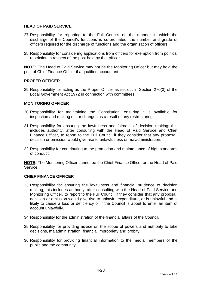## **HEAD OF PAID SERVICE**

- 27. Responsibility for reporting to the Full Council on the manner in which the discharge of the Council's functions is co-ordinated, the number and grade of officers required for the discharge of functions and the organisation of officers.
- 28. Responsibility for considering applications from officers for exemption from political restriction in respect of the post held by that officer.

**NOTE:** The Head of Paid Service may not be the Monitoring Officer but may hold the post of Chief Finance Officer if a qualified accountant.

## **PROPER OFFICER**

29. Responsibility for acting as the Proper Officer as set out in Section 270(3) of the Local Government Act 1972 in connection with committees.

## **MONITORING OFFICER**

- 30. Responsibility for maintaining the Constitution, ensuring it is available for inspection and making minor changes as a result of any restructuring.
- 31. Responsibility for ensuring the lawfulness and fairness of decision making; this includes authority, after consulting with the Head of Paid Service and Chief Finance Officer, to report to the Full Council if they consider that any proposal, decision or omission would give rise to unlawfulness or maladministration.
- 32. Responsibility for contributing to the promotion and maintenance of high standards of conduct.

**NOTE:** The Monitoring Officer cannot be the Chief Finance Officer or the Head of Paid Service.

## **CHIEF FINANCE OFFICER**

- 33. Responsibility for ensuring the lawfulness and financial prudence of decision making; this includes authority, after consulting with the Head of Paid Service and Monitoring Officer, to report to the Full Council if they consider that any proposal, decision or omission would give rise to unlawful expenditure, or is unlawful and is likely to cause a loss or deficiency or if the Council is about to enter an item of account unlawfully.
- 34. Responsibility for the administration of the financial affairs of the Council.
- 35. Responsibility for providing advice on the scope of powers and authority to take decisions, maladministration, financial impropriety and probity.
- 36. Responsibility for providing financial information to the media, members of the public and the community.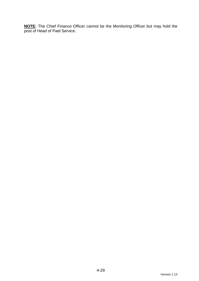**NOTE:** The Chief Finance Officer cannot be the Monitoring Officer but may hold the post of Head of Paid Service.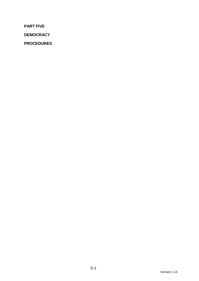**PART FIVE** 

**DEMOCRACY** 

**PROCEDURES**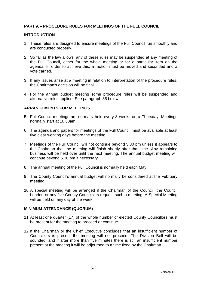# **PART A – PROCEDURE RULES FOR MEETINGS OF THE FULL COUNCIL**

#### **INTRODUCTION**

- 1. These rules are designed to ensure meetings of the Full Council run smoothly and are conducted properly.
- 2. So far as the law allows, any of these rules may be suspended at any meeting of the Full Council, either for the whole meeting or for a particular item on the agenda. In order to achieve this, a motion must be moved and seconded and a vote carried.
- 3. If any issues arise at a meeting in relation to interpretation of the procedure rules, the Chairman's decision will be final.
- 4. For the annual budget meeting some procedure rules will be suspended and alternative rules applied. See paragraph 85 below.

## **ARRANGEMENTS FOR MEETINGS**

- 5. Full Council meetings are normally held every 8 weeks on a Thursday. Meetings normally start at 10.30am.
- 6. The agenda and papers for meetings of the Full Council must be available at least five clear working days before the meeting.
- 7. Meetings of the Full Council will not continue beyond 5.30 pm unless it appears to the Chairman that the meeting will finish shortly after that time. Any remaining business will be held over until the next meeting. The annual budget meeting will continue beyond 5.30 pm if necessary.
- 8. The annual meeting of the Full Council is normally held each May.
- 9. The County Council's annual budget will normally be considered at the February meeting.
- 10. A special meeting will be arranged if the Chairman of the Council, the Council Leader, or any five County Councillors request such a meeting. A Special Meeting will be held on any day of the week.

#### **MINIMUM ATTENDANCE (QUORUM)**

- 11. At least one quarter (17) of the whole number of elected County Councillors must be present for the meeting to proceed or continue.
- 12. If the Chairman or the Chief Executive concludes that an insufficient number of Councillors is present the meeting will not proceed. The Division Bell will be sounded, and if after more than five minutes there is still an insufficient number present at the meeting it will be adjourned to a time fixed by the Chairman.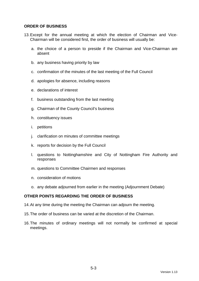## **ORDER OF BUSINESS**

- 13. Except for the annual meeting at which the election of Chairman and Vice-Chairman will be considered first, the order of business will usually be:
	- a. the choice of a person to preside if the Chairman and Vice-Chairman are absent
	- b. any business having priority by law
	- c. confirmation of the minutes of the last meeting of the Full Council
	- d. apologies for absence, including reasons
	- e. declarations of interest
	- f. business outstanding from the last meeting
	- g. Chairman of the County Council's business
	- h. constituency issues
	- i. petitions
	- j. clarification on minutes of committee meetings
	- k. reports for decision by the Full Council
	- l. questions to Nottinghamshire and City of Nottingham Fire Authority and responses
	- m. questions to Committee Chairmen and responses
	- n. consideration of motions
	- o. any debate adjourned from earlier in the meeting (Adjournment Debate)

## **OTHER POINTS REGARDING THE ORDER OF BUSINESS**

- 14. At any time during the meeting the Chairman can adjourn the meeting.
- 15. The order of business can be varied at the discretion of the Chairman.
- 16. The minutes of ordinary meetings will not normally be confirmed at special meetings.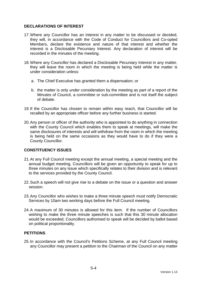## **DECLARATIONS OF INTEREST**

- 17. Where any Councillor has an interest in any matter to be discussed or decided, they will, in accordance with the Code of Conduct for Councillors and Co-opted Members, declare the existence and nature of that interest and whether the interest is a Disclosable Pecuniary Interest. Any declaration of interest will be recorded in the minutes of the meeting.
- 18. Where any Councillor has declared a Disclosable Pecuniary Interest in any matter, they will leave the room in which the meeting is being held while the matter is under consideration unless:
	- a. The Chief Executive has granted them a dispensation; or
	- b. the matter is only under consideration by the meeting as part of a report of the Minutes of Council, a committee or sub-committee and is not itself the subject of debate.
- 19. If the Councillor has chosen to remain within easy reach, that Councillor will be recalled by an appropriate officer before any further business is started.
- 20. Any person or officer of the authority who is appointed to do anything in connection with the County Council which enables them to speak at meetings, will make the same disclosures of interests and will withdraw from the room in which the meeting is being held on the same occasions as they would have to do if they were a County Councillor.

# **CONSTITUENCY ISSUES**

- 21. At any Full Council meeting except the annual meeting, a special meeting and the annual budget meeting, Councillors will be given an opportunity to speak for up to three minutes on any issue which specifically relates to their division and is relevant to the services provided by the County Council.
- 22. Such a speech will not give rise to a debate on the issue or a question and answer session.
- 23. Any Councillor who wishes to make a three minute speech must notify Democratic Services by 10am two working days before the Full Council meeting.
- 24. A maximum of 30 minutes is allowed for this item. If the number of Councillors wishing to make the three minute speeches is such that this 30 minute allocation would be exceeded, Councillors authorised to speak will be decided by ballot based on political proportionality.

## **PETITIONS**

25. In accordance with the Council's Petitions Scheme, at any Full Council meeting any Councillor may present a petition to the Chairman of the Council on any matter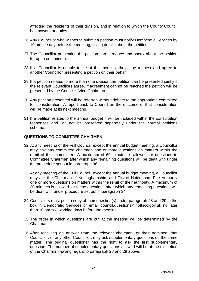affecting the residents of their division, and in relation to which the County Council has powers or duties.

- 26. Any Councillor who wishes to submit a petition must notify Democratic Services by 10 am the day before the meeting, giving details about the petition.
- 27. The Councillor presenting the petition can introduce and speak about the petition for up to one minute.
- 28. If a Councillor is unable to be at the meeting, they may request and agree to another Councillor presenting a petition on their behalf.
- 29. If a petition relates to more than one division the petition can be presented jointly if the relevant Councillors agree. If agreement cannot be reached the petition will be presented by the Council's Vice-Chairman.
- 30. Any petition presented will be referred without debate to the appropriate committee for consideration. A report back to Council on the outcome of that consideration will be made at its next meeting.
- 31. If a petition relates to the annual budget it will be included within the consultation responses and will not be presented separately under the normal petitions scheme.

## **QUESTIONS TO COMMITTEE CHAIRMEN**

- 32. At any meeting of the Full Council, except the annual budget meeting, a Councillor may ask any committee chairman one or more questions on matters within the remit of their committee. A maximum of 60 minutes is allowed for questions to Committee Chairmen after which any remaining questions will be dealt with under the procedure set out in paragraph 36.
- 33. At any meeting of the Full Council, except the annual budget meeting, a Councillor may ask the Chairman of Nottinghamshire and City of Nottingham Fire Authority one or more questions on matters within the remit of their authority. A maximum of 30 minutes is allowed for these questions after which any remaining questions will be dealt with under procedure set out in paragraph 34.
- 34. Councillors must post a copy of their question(s) under paragraph 28 and 29 in the box in Democratic Services or email council.questions@nottscc.gov.uk no later than 10 am two working days before the meeting.
- 35. The order in which questions are put at the meeting will be determined by the Chairman.
- 36. After receiving an answer from the relevant chairman, or their nominee, that Councillor, or any other Councillor, may ask supplementary questions on the same matter. The original questioner has the right to ask the first supplementary question. The number of supplementary questions allowed will be at the discretion of the Chairman having regard to paragraph 28 and 29 above.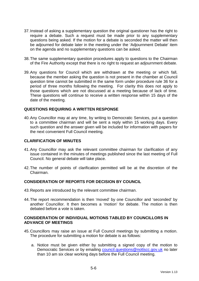- 37. Instead of asking a supplementary question the original questioner has the right to require a debate. Such a request must be made prior to any supplementary questions being asked. If the motion for a debate is seconded the matter will then be adjourned for debate later in the meeting under the 'Adjournment Debate' item on the agenda and no supplementary questions can be asked.
- 38. The same supplementary question procedures apply to questions to the Chairman of the Fire Authority except that there is no right to request an adjournment debate.
- 39. Any questions for Council which are withdrawn at the meeting or which fall, because the member asking the question is not present in the chamber at Council question time cannot be submitted in the same form under procedure rule 36 for a period of three months following the meeting. For clarity this does not apply to those questions which are not discussed at a meeting because of lack of time. These questions will continue to receive a written response within 15 days of the date of the meeting.

#### **QUESTIONS REQUIRING A WRITTEN RESPONSE**

40. Any Councillor may at any time, by writing to Democratic Services, put a question to a committee chairman and will be sent a reply within 15 working days. Every such question and the answer given will be included for information with papers for the next convenient Full Council meeting.

#### **CLARIFICATION OF MINUTES**

- 41. Any Councillor may ask the relevant committee chairman for clarification of any issue contained in the minutes of meetings published since the last meeting of Full Council. No general debate will take place.
- 42. The number of points of clarification permitted will be at the discretion of the Chairman.

#### **CONSIDERATION OF REPORTS FOR DECISION BY COUNCIL**

- 43. Reports are introduced by the relevant committee chairman.
- 44. The report recommendation is then 'moved' by one Councillor and 'seconded' by another Councillor. It then becomes a 'motion' for debate. The motion is then debated before a vote is taken.

#### **CONSIDERATION OF INDIVIDUAL MOTIONS TABLED BY COUNCILLORS IN ADVANCE OF MEETINGS**

- 45. Councillors may raise an issue at Full Council meetings by submitting a motion. The procedure for submitting a motion for debate is as follows:
	- a. Notice must be given either by submitting a signed copy of the motion to Democratic Services or by emailing council.questions@nottscc.gov.uk no later than 10 am six clear working days before the Full Council meeting.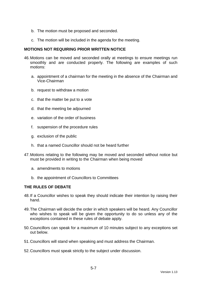- b. The motion must be proposed and seconded.
- c. The motion will be included in the agenda for the meeting.

#### **MOTIONS NOT REQUIRING PRIOR WRITTEN NOTICE**

- 46. Motions can be moved and seconded orally at meetings to ensure meetings run smoothly and are conducted properly. The following are examples of such motions:
	- a. appointment of a chairman for the meeting in the absence of the Chairman and Vice-Chairman
	- b. request to withdraw a motion
	- c. that the matter be put to a vote
	- d. that the meeting be adjourned
	- e. variation of the order of business
	- f. suspension of the procedure rules
	- g. exclusion of the public
	- h. that a named Councillor should not be heard further
- 47. Motions relating to the following may be moved and seconded without notice but must be provided in writing to the Chairman when being moved
	- a. amendments to motions
	- b. the appointment of Councillors to Committees

## **THE RULES OF DEBATE**

- 48. If a Councillor wishes to speak they should indicate their intention by raising their hand.
- 49. The Chairman will decide the order in which speakers will be heard. Any Councillor who wishes to speak will be given the opportunity to do so unless any of the exceptions contained in these rules of debate apply.
- 50. Councillors can speak for a maximum of 10 minutes subject to any exceptions set out below.
- 51. Councillors will stand when speaking and must address the Chairman.
- 52. Councillors must speak strictly to the subject under discussion.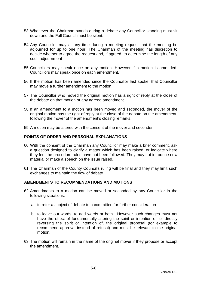- 53. Whenever the Chairman stands during a debate any Councillor standing must sit down and the Full Council must be silent.
- 54. Any Councillor may at any time during a meeting request that the meeting be adjourned for up to one hour. The Chairman of the meeting has discretion to decide whether to agree the request and, if agreed, to determine the length of any such adjournment
- 55. Councillors may speak once on any motion. However if a motion is amended, Councillors may speak once on each amendment.
- 56. If the motion has been amended since the Councillor last spoke, that Councillor may move a further amendment to the motion.
- 57. The Councillor who moved the original motion has a right of reply at the close of the debate on that motion or any agreed amendment.
- 58. If an amendment to a motion has been moved and seconded, the mover of the original motion has the right of reply at the close of the debate on the amendment, following the mover of the amendment's closing remarks.
- 59. A motion may be altered with the consent of the mover and seconder.

## **POINTS OF ORDER AND PERSONAL EXPLANATIONS**

- 60. With the consent of the Chairman any Councillor may make a brief comment, ask a question designed to clarify a matter which has been raised, or indicate where they feel the procedure rules have not been followed. They may not introduce new material or make a speech on the issue raised.
- 61. The Chairman of the County Council's ruling will be final and they may limit such exchanges to maintain the flow of debate.

## **AMENDMENTS TO RECOMMENDATIONS AND MOTIONS**

- 62. Amendments to a motion can be moved or seconded by any Councillor in the following situations:
	- a. to refer a subject of debate to a committee for further consideration
	- b. to leave out words, to add words or both. However such changes must not have the effect of fundamentally altering the spirit or intention of, or directly reversing the spirit or intention of, the original proposal (for example to recommend approval instead of refusal) and must be relevant to the original motion.
- 63. The motion will remain in the name of the original mover if they propose or accept the amendment.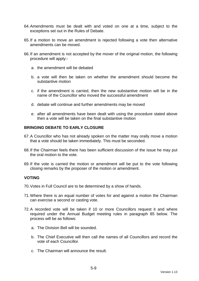- 64. Amendments must be dealt with and voted on one at a time, subject to the exceptions set out in the Rules of Debate.
- 65. If a motion to move an amendment is rejected following a vote then alternative amendments can be moved.
- 66. If an amendment is not accepted by the mover of the original motion, the following procedure will apply:
	- a. the amendment will be debated
	- b. a vote will then be taken on whether the amendment should become the substantive motion
	- c. if the amendment is carried, then the new substantive motion will be in the name of the Councillor who moved the successful amendment
	- d. debate will continue and further amendments may be moved
	- e. after all amendments have been dealt with using the procedure stated above then a vote will be taken on the final substantive motion

# **BRINGING DEBATE TO EARLY CLOSURE**

- 67. A Councillor who has not already spoken on the matter may orally move a motion that a vote should be taken immediately. This must be seconded.
- 68. If the Chairman feels there has been sufficient discussion of the issue he may put the oral motion to the vote.
- 69. If the vote is carried the motion or amendment will be put to the vote following closing remarks by the proposer of the motion or amendment.

## **VOTING**

- 70. Votes in Full Council are to be determined by a show of hands.
- 71. Where there is an equal number of votes for and against a motion the Chairman can exercise a second or casting vote.
- 72. A recorded vote will be taken if 10 or more Councillors request it and where required under the Annual Budget meeting rules in paragraph 85 below. The process will be as follows:
	- a. The Division Bell will be sounded.
	- b. The Chief Executive will then call the names of all Councillors and record the vote of each Councillor.
	- c. The Chairman will announce the result.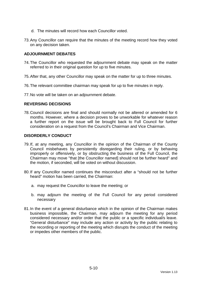- d. The minutes will record how each Councillor voted.
- 73. Any Councillor can require that the minutes of the meeting record how they voted on any decision taken.

#### **ADJOURNMENT DEBATES**

- 74. The Councillor who requested the adjournment debate may speak on the matter referred to in their original question for up to five minutes.
- 75. After that, any other Councillor may speak on the matter for up to three minutes.
- 76. The relevant committee chairman may speak for up to five minutes in reply.
- 77. No vote will be taken on an adjournment debate.

## **REVERSING DECISIONS**

78. Council decisions are final and should normally not be altered or amended for 6 months. However, where a decision proves to be unworkable for whatever reason a further report on the issue will be brought back to Full Council for further consideration on a request from the Council's Chairman and Vice Chairman.

#### **DISORDERLY CONDUCT**

- 79. If, at any meeting, any Councillor in the opinion of the Chairman of the County Council misbehaves by persistently disregarding their ruling, or by behaving improperly or offensively, or by obstructing the business of the Full Council, the Chairman may move "that [the Councillor named] should not be further heard" and the motion, if seconded, will be voted on without discussion.
- 80. If any Councillor named continues the misconduct after a "should not be further heard" motion has been carried, the Chairman:
	- a. may request the Councillor to leave the meeting; or
	- b. may adjourn the meeting of the Full Council for any period considered necessary
- 81. In the event of a general disturbance which in the opinion of the Chairman makes business impossible, the Chairman, may adjourn the meeting for any period considered necessary and/or order that the public or a specific individual/s leave. "General disturbance" may include any action or activity by the public relating to the recording or reporting of the meeting which disrupts the conduct of the meeting or impedes other members of the public.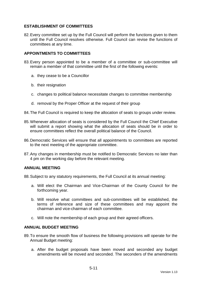# **ESTABLISHMENT OF COMMITTEES**

82. Every committee set up by the Full Council will perform the functions given to them until the Full Council resolves otherwise. Full Council can revise the functions of committees at any time.

## **APPOINTMENTS TO COMMITTEES**

- 83. Every person appointed to be a member of a committee or sub-committee will remain a member of that committee until the first of the following events:
	- a. they cease to be a Councillor
	- b. their resignation
	- c. changes to political balance necessitate changes to committee membership
	- d. removal by the Proper Officer at the request of their group
- 84. The Full Council is required to keep the allocation of seats to groups under review.
- 85. Whenever allocation of seats is considered by the Full Council the Chief Executive will submit a report showing what the allocation of seats should be in order to ensure committees reflect the overall political balance of the Council.
- 86. Democratic Services will ensure that all appointments to committees are reported to the next meeting of the appropriate committee.
- 87. Any changes in membership must be notified to Democratic Services no later than 4 pm on the working day before the relevant meeting.

## **ANNUAL MEETING**

88. Subject to any statutory requirements, the Full Council at its annual meeting:

- a. Will elect the Chairman and Vice-Chairman of the County Council for the forthcoming year.
- b. Will resolve what committees and sub-committees will be established, the terms of reference and size of these committees and may appoint the chairman and vice-chairman of each committee.
- c. Will note the membership of each group and their agreed officers.

## **ANNUAL BUDGET MEETING**

- 89. To ensure the smooth flow of business the following provisions will operate for the Annual Budget meeting:
	- a. After the budget proposals have been moved and seconded any budget amendments will be moved and seconded. The seconders of the amendments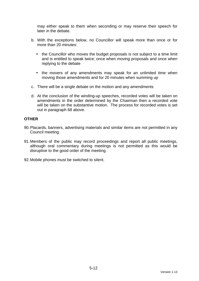may either speak to them when seconding or may reserve their speech for later in the debate.

- b. With the exceptions below, no Councillor will speak more than once or for more than 20 minutes:
	- the Councillor who moves the budget proposals is not subject to a time limit and is entitled to speak twice; once when moving proposals and once when replying to the debate
	- the movers of any amendments may speak for an unlimited time when moving those amendments and for 20 minutes when summing up
- c. There will be a single debate on the motion and any amendments
- d. At the conclusion of the winding-up speeches, recorded votes will be taken on amendments in the order determined by the Chairman then a recorded vote will be taken on the substantive motion. The process for recorded votes is set out in paragraph 68 above.

## **OTHER**

- 90. Placards, banners, advertising materials and similar items are not permitted in any Council meeting.
- 91. Members of the public may record proceedings and report all public meetings, although oral commentary during meetings is not permitted as this would be disruptive to the good order of the meeting.
- 92. Mobile phones must be switched to silent.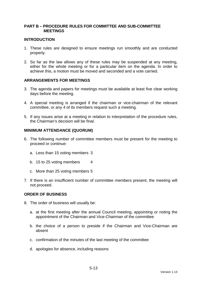## **PART B – PROCEDURE RULES FOR COMMITTEE AND SUB-COMMITTEE MEETINGS**

#### **INTRODUCTION**

- 1. These rules are designed to ensure meetings run smoothly and are conducted properly.
- 2. So far as the law allows any of these rules may be suspended at any meeting, either for the whole meeting or for a particular item on the agenda. In order to achieve this, a motion must be moved and seconded and a vote carried.

## **ARRANGEMENTS FOR MEETINGS**

- 3. The agenda and papers for meetings must be available at least five clear working days before the meeting.
- 4. A special meeting is arranged if the chairman or vice-chairman of the relevant committee, or any 4 of its members request such a meeting.
- 5. If any issues arise at a meeting in relation to interpretation of the procedure rules, the Chairman's decision will be final.

#### **MINIMUM ATTENDANCE (QUORUM)**

- 6. The following number of committee members must be present for the meeting to proceed or continue:
	- a. Less than 15 voting members 3
	- b. 15 to 25 voting members 4
	- c. More than 25 voting members 5
- 7. If there is an insufficient number of committee members present, the meeting will not proceed.

#### **ORDER OF BUSINESS**

- 8. The order of business will usually be:
	- a. at the first meeting after the annual Council meeting, appointing or noting the appointment of the Chairman and Vice-Chairman of the committee
	- b. the choice of a person to preside if the Chairman and Vice-Chairman are absent
	- c. confirmation of the minutes of the last meeting of the committee
	- d. apologies for absence, including reasons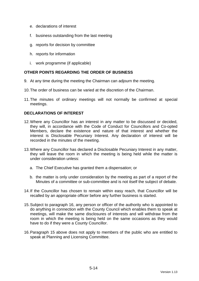- e. declarations of interest
- f. business outstanding from the last meeting
- g. reports for decision by committee
- h. reports for information
- i. work programme (if applicable)

# **OTHER POINTS REGARDING THE ORDER OF BUSINESS**

- 9. At any time during the meeting the Chairman can adjourn the meeting.
- 10. The order of business can be varied at the discretion of the Chairman.
- 11. The minutes of ordinary meetings will not normally be confirmed at special meetings.

## **DECLARATIONS OF INTEREST**

- 12. Where any Councillor has an interest in any matter to be discussed or decided, they will, in accordance with the Code of Conduct for Councillors and Co-opted Members, declare the existence and nature of that interest and whether the interest is Disclosable Pecuniary Interest. Any declaration of interest will be recorded in the minutes of the meeting.
- 13. Where any Councillor has declared a Disclosable Pecuniary Interest in any matter, they will leave the room in which the meeting is being held while the matter is under consideration unless:
	- a. The Chief Executive has granted them a dispensation; or
	- b. the matter is only under consideration by the meeting as part of a report of the Minutes of a committee or sub-committee and is not itself the subject of debate.
- 14. If the Councillor has chosen to remain within easy reach, that Councillor will be recalled by an appropriate officer before any further business is started.
- 15. Subject to paragraph 16, any person or officer of the authority who is appointed to do anything in connection with the County Council which enables them to speak at meetings, will make the same disclosures of interests and will withdraw from the room in which the meeting is being held on the same occasions as they would have to do if they were a County Councillor.
- 16. Paragraph 15 above does not apply to members of the public who are entitled to speak at Planning and Licensing Committee.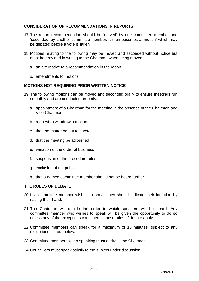# **CONSIDERATION OF RECOMMENDATIONS IN REPORTS**

- 17. The report recommendation should be 'moved' by one committee member and 'seconded' by another committee member. It then becomes a 'motion' which may be debated before a vote is taken.
- 18. Motions relating to the following may be moved and seconded without notice but must be provided in writing to the Chairman when being moved:
	- a. an alternative to a recommendation in the report
	- b. amendments to motions

## **MOTIONS NOT REQUIRING PRIOR WRITTEN NOTICE**

- 19. The following motions can be moved and seconded orally to ensure meetings run smoothly and are conducted properly:
	- a. appointment of a Chairman for the meeting in the absence of the Chairman and Vice-Chairman
	- b. request to withdraw a motion
	- c. that the matter be put to a vote
	- d. that the meeting be adjourned
	- e. variation of the order of business
	- f. suspension of the procedure rules
	- g. exclusion of the public
	- h. that a named committee member should not be heard further

## **THE RULES OF DEBATE**

- 20. If a committee member wishes to speak they should indicate their intention by raising their hand.
- 21. The Chairman will decide the order in which speakers will be heard. Any committee member who wishes to speak will be given the opportunity to do so unless any of the exceptions contained in these rules of debate apply.
- 22. Committee members can speak for a maximum of 10 minutes, subject to any exceptions set out below.
- 23. Committee members when speaking must address the Chairman.
- 24. Councillors must speak strictly to the subject under discussion.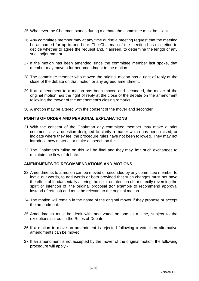- 25. Whenever the Chairman stands during a debate the committee must be silent.
- 26. Any committee member may at any time during a meeting request that the meeting be adjourned for up to one hour. The Chairman of the meeting has discretion to decide whether to agree the request and, if agreed, to determine the length of any such adjournment.
- 27. If the motion has been amended since the committee member last spoke, that member may move a further amendment to the motion.
- 28. The committee member who moved the original motion has a right of reply at the close of the debate on that motion or any agreed amendment.
- 29. If an amendment to a motion has been moved and seconded, the mover of the original motion has the right of reply at the close of the debate on the amendment following the mover of the amendment's closing remarks.
- 30. A motion may be altered with the consent of the mover and seconder.

## **POINTS OF ORDER AND PERSONAL EXPLANATIONS**

- 31. With the consent of the Chairman any committee member may make a brief comment, ask a question designed to clarify a matter which has been raised, or indicate where they feel the procedure rules have not been followed. They may not introduce new material or make a speech on this.
- 32. The Chairman's ruling on this will be final and they may limit such exchanges to maintain the flow of debate.

#### **AMENDMENTS TO RECOMMENDATIONS AND MOTIONS**

- 33. Amendments to a motion can be moved or seconded by any committee member to leave out words, to add words or both provided that such changes must not have the effect of fundamentally altering the spirit or intention of, or directly reversing the spirit or intention of, the original proposal (for example to recommend approval instead of refusal) and must be relevant to the original motion.
- 34. The motion will remain in the name of the original mover if they propose or accept the amendment.
- 35. Amendments must be dealt with and voted on one at a time, subject to the exceptions set out in the Rules of Debate.
- 36. If a motion to move an amendment is rejected following a vote then alternative amendments can be moved.
- 37. If an amendment is not accepted by the mover of the original motion, the following procedure will apply:-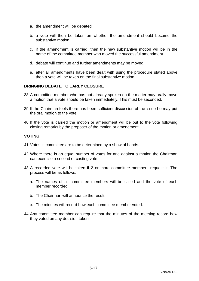- a. the amendment will be debated
- b. a vote will then be taken on whether the amendment should become the substantive motion
- c. if the amendment is carried, then the new substantive motion will be in the name of the committee member who moved the successful amendment
- d. debate will continue and further amendments may be moved
- e. after all amendments have been dealt with using the procedure stated above then a vote will be taken on the final substantive motion

## **BRINGING DEBATE TO EARLY CLOSURE**

- 38. A committee member who has not already spoken on the matter may orally move a motion that a vote should be taken immediately. This must be seconded.
- 39. If the Chairman feels there has been sufficient discussion of the issue he may put the oral motion to the vote.
- 40. If the vote is carried the motion or amendment will be put to the vote following closing remarks by the proposer of the motion or amendment.

## **VOTING**

- 41. Votes in committee are to be determined by a show of hands.
- 42. Where there is an equal number of votes for and against a motion the Chairman can exercise a second or casting vote.
- 43. A recorded vote will be taken if 2 or more committee members request it. The process will be as follows:
	- a. The names of all committee members will be called and the vote of each member recorded.
	- b. The Chairman will announce the result.
	- c. The minutes will record how each committee member voted.
- 44. Any committee member can require that the minutes of the meeting record how they voted on any decision taken.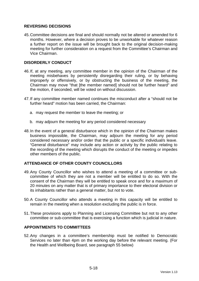# **REVERSING DECISIONS**

45. Committee decisions are final and should normally not be altered or amended for 6 months. However, where a decision proves to be unworkable for whatever reason a further report on the issue will be brought back to the original decision-making meeting for further consideration on a request from the Committee's Chairman and Vice Chairman.

## **DISORDERLY CONDUCT**

- 46. If, at any meeting, any committee member in the opinion of the Chairman of the meeting misbehaves by persistently disregarding their ruling, or by behaving improperly or offensively, or by obstructing the business of the meeting, the Chairman may move "that [the member named] should not be further heard" and the motion, if seconded, will be voted on without discussion.
- 47. If any committee member named continues the misconduct after a "should not be further heard" motion has been carried, the Chairman:
	- a. may request the member to leave the meeting; or
	- b. may adjourn the meeting for any period considered necessary
- 48. In the event of a general disturbance which in the opinion of the Chairman makes business impossible, the Chairman, may adjourn the meeting for any period considered necessary and/or order that the public or a specific individual/s leave. "General disturbance" may include any action or activity by the public relating to the recording of the meeting which disrupts the conduct of the meeting or impedes other members of the public.

## **ATTENDANCE OF OTHER COUNTY COUNCILLORS**

- 49. Any County Councillor who wishes to attend a meeting of a committee or subcommittee of which they are not a member will be entitled to do so. With the consent of the Chairman they will be entitled to speak once and for a maximum of 20 minutes on any matter that is of primary importance to their electoral division or its inhabitants rather than a general matter, but not to vote.
- 50. A County Councillor who attends a meeting in this capacity will be entitled to remain in the meeting when a resolution excluding the public is in force.
- 51. These provisions apply to Planning and Licensing Committee but not to any other committee or sub-committee that is exercising a function which is judicial in nature.

## **APPOINTMENTS TO COMMITTEES**

52. Any changes in a committee's membership must be notified to Democratic Services no later than 4pm on the working day before the relevant meeting. (For the Health and Wellbeing Board, see paragraph 55 below)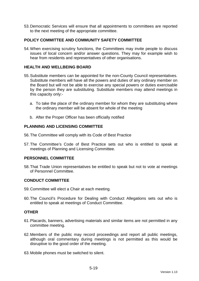53. Democratic Services will ensure that all appointments to committees are reported to the next meeting of the appropriate committee.

## **POLICY COMMITTEE AND COMMUNITY SAFETY COMMITTEE**

54. When exercising scrutiny functions, the Committees may invite people to discuss issues of local concern and/or answer questions. They may for example wish to hear from residents and representatives of other organisations.

## **HEALTH AND WELLBEING BOARD**

- 55. Substitute members can be appointed for the non-County Council representatives. Substitute members will have all the powers and duties of any ordinary member on the Board but will not be able to exercise any special powers or duties exercisable by the person they are substituting. Substitute members may attend meetings in this capacity only:
	- a. To take the place of the ordinary member for whom they are substituting where the ordinary member will be absent for whole of the meeting
	- b. After the Proper Officer has been officially notified

## **PLANNING AND LICENSING COMMITTEE**

- 56. The Committee will comply with its Code of Best Practice
- 57. The Committee's Code of Best Practice sets out who is entitled to speak at meetings of Planning and Licensing Committee.

## **PERSONNEL COMMITTEE**

58. That Trade Union representatives be entitled to speak but not to vote at meetings of Personnel Committee.

## **CONDUCT COMMITTEE**

- 59. Committee will elect a Chair at each meeting.
- 60. The Council's Procedure for Dealing with Conduct Allegations sets out who is entitled to speak at meetings of Conduct Committee.

#### **OTHER**

- 61. Placards, banners, advertising materials and similar items are not permitted in any committee meeting.
- 62. Members of the public may record proceedings and report all public meetings, although oral commentary during meetings is not permitted as this would be disruptive to the good order of the meeting.
- 63. Mobile phones must be switched to silent.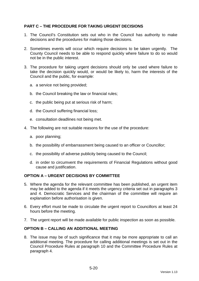# **PART C – THE PROCEDURE FOR TAKING URGENT DECISIONS**

- 1. The Council's Constitution sets out who in the Council has authority to make decisions and the procedures for making those decisions.
- 2. Sometimes events will occur which require decisions to be taken urgently. The County Council needs to be able to respond quickly where failure to do so would not be in the public interest.
- 3. The procedure for taking urgent decisions should only be used where failure to take the decision quickly would, or would be likely to, harm the interests of the Council and the public, for example:
	- a. a service not being provided;
	- b. the Council breaking the law or financial rules;
	- c. the public being put at serious risk of harm;
	- d. the Council suffering financial loss;
	- e. consultation deadlines not being met.
- 4. The following are not suitable reasons for the use of the procedure:
	- a. poor planning;
	- b. the possibility of embarrassment being caused to an officer or Councillor;
	- c. the possibility of adverse publicity being caused to the Council;
	- d. in order to circumvent the requirements of Financial Regulations without good cause and justification.

## **OPTION A – URGENT DECISIONS BY COMMITTEE**

- 5. Where the agenda for the relevant committee has been published, an urgent item may be added to the agenda if it meets the urgency criteria set out in paragraphs 3 and 4. Democratic Services and the chairman of the committee will require an explanation before authorisation is given.
- 6. Every effort must be made to circulate the urgent report to Councillors at least 24 hours before the meeting.
- 7. The urgent report will be made available for public inspection as soon as possible.

## **OPTION B – CALLING AN ADDITIONAL MEETING**

8. The issue may be of such significance that it may be more appropriate to call an additional meeting. The procedure for calling additional meetings is set out in the Council Procedure Rules at paragraph 10 and the Committee Procedure Rules at paragraph 4.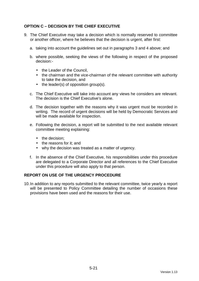# **OPTION C – DECISION BY THE CHIEF EXECUTIVE**

- 9. The Chief Executive may take a decision which is normally reserved to committee or another officer, where he believes that the decision is urgent, after first:
	- a. taking into account the guidelines set out in paragraphs 3 and 4 above; and
	- b. where possible, seeking the views of the following in respect of the proposed decision:-
		- the Leader of the Council.
		- the chairman and the vice-chairman of the relevant committee with authority to take the decision, and
		- the leader(s) of opposition group(s).
	- c. The Chief Executive will take into account any views he considers are relevant. The decision is the Chief Executive's alone.
	- d. The decision together with the reasons why it was urgent must be recorded in writing. The record of urgent decisions will be held by Democratic Services and will be made available for inspection.
	- e. Following the decision, a report will be submitted to the next available relevant committee meeting explaining:
		- the decision:
		- the reasons for it: and
		- why the decision was treated as a matter of urgency.
	- f. In the absence of the Chief Executive, his responsibilities under this procedure are delegated to a Corporate Director and all references to the Chief Executive under this procedure will also apply to that person.

## **REPORT ON USE OF THE URGENCY PROCEDURE**

10. In addition to any reports submitted to the relevant committee, twice yearly a report will be presented to Policy Committee detailing the number of occasions these provisions have been used and the reasons for their use.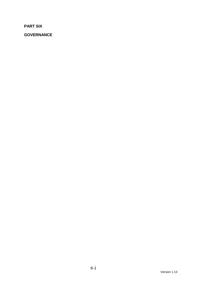**PART SIX** 

**GOVERNANCE**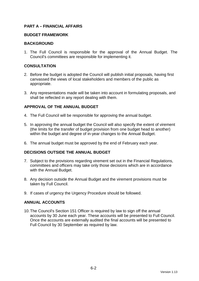## **PART A – FINANCIAL AFFAIRS**

### **BUDGET FRAMEWORK**

### **BACKGROUND**

1. The Full Council is responsible for the approval of the Annual Budget. The Council's committees are responsible for implementing it.

## **CONSULTATION**

- 2. Before the budget is adopted the Council will publish initial proposals, having first canvassed the views of local stakeholders and members of the public as appropriate.
- 3. Any representations made will be taken into account in formulating proposals, and shall be reflected in any report dealing with them.

## **APPROVAL OF THE ANNUAL BUDGET**

- 4. The Full Council will be responsible for approving the annual budget.
- 5. In approving the annual budget the Council will also specify the extent of virement (the limits for the transfer of budget provision from one budget head to another) within the budget and degree of in-year changes to the Annual Budget.
- 6. The annual budget must be approved by the end of February each year.

## **DECISIONS OUTSIDE THE ANNUAL BUDGET**

- 7. Subject to the provisions regarding virement set out in the Financial Regulations, committees and officers may take only those decisions which are in accordance with the Annual Budget.
- 8. Any decision outside the Annual Budget and the virement provisions must be taken by Full Council.
- 9. If cases of urgency the Urgency Procedure should be followed.

## **ANNUAL ACCOUNTS**

10. The Council's Section 151 Officer is required by law to sign off the annual accounts by 30 June each year. These accounts will be presented to Full Council. Once the accounts are externally audited the final accounts will be presented to Full Council by 30 September as required by law.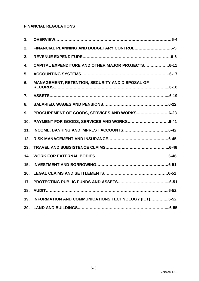# **FINANCIAL REGULATIONS**

| 1.  |                                                     |
|-----|-----------------------------------------------------|
| 2.  |                                                     |
| 3.  |                                                     |
| 4.  | CAPITAL EXPENDITURE AND OTHER MAJOR PROJECTS6-11    |
| 5.  |                                                     |
| 6.  | MANAGEMENT, RETENTION, SECURITY AND DISPOSAL OF     |
| 7.  |                                                     |
| 8.  |                                                     |
| 9.  | PROCUREMENT OF GOODS, SERVICES AND WORKS6-23        |
| 10. |                                                     |
| 11. |                                                     |
| 12. |                                                     |
| 13. |                                                     |
| 14. |                                                     |
| 15. |                                                     |
| 16. |                                                     |
| 17. |                                                     |
| 18. |                                                     |
| 19. | INFORMATION AND COMMUNICATIONS TECHNOLOGY (ICT)6-52 |
| 20. |                                                     |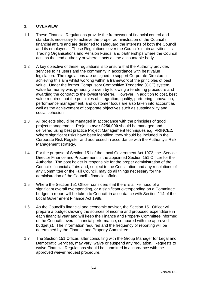## **1. OVERVIEW**

- 1.1 These Financial Regulations provide the framework of financial control and standards necessary to achieve the proper administration of the Council's financial affairs and are designed to safeguard the interests of both the Council and its employees. These Regulations cover the Council's main activities, its Trading Organisations and Pension Funds, and partnerships where the Council acts as the lead authority or where it acts as the accountable body.
- 1.2 A key objective of these regulations is to ensure that the Authority provides services to its users and the community in accordance with best value legislation. The regulations are designed to support Corporate Directors in achieving this aim whilst working within a framework of the principles of best value. Under the former Compulsory Competitive Tendering (CCT) system, value for money was generally proven by following a tendering procedure and awarding the contract to the lowest tenderer. However, in addition to cost, best value requires that the principles of integration, quality, partnering, innovation, performance management, and customer focus are also taken into account as well as the achievement of corporate objectives such as sustainability and social cohesion.
- 1.3 All projects should be managed in accordance with the principles of good project management. Projects **over £250,000** should be managed and delivered using best practice Project Management techniques e.g. PRINCE2. Where significant risks have been identified, they should be included in the Corporate Risk Register and addressed in accordance with the Authority's Risk Management strategy.
- 1.4 For the purpose of Section 151 of the Local Government Act 1972, the Service Director Finance and Procurement is the appointed Section 151 Officer for the Authority. The post holder is responsible for the proper administration of the Council's financial affairs and, subject to the Constitution and any resolutions of any Committee or the Full Council, may do all things necessary for the administration of the Council's financial affairs.
- 1.5 Where the Section 151 Officer considers that there is a likelihood of a significant overall overspending, or a significant overspending on a Committee budget, a report will be taken to Council, in accordance with Section 114 of the Local Government Finance Act 1988.
- 1.6 As the Council's financial and economic advisor, the Section 151 Officer will prepare a budget showing the sources of income and proposed expenditure in each financial year and will keep the Finance and Property Committee informed of the Council's overall financial performance, compared with the approved budget(s). The information required and the frequency of reporting will be determined by the Finance and Property Committee.
- 1.7 The Section 151 Officer, after consulting with the Group Manager for Legal and Democratic Services, may vary, waive or suspend any regulation. Requests to waive Financial Regulations should be submitted in accordance with the approved waiver request procedure.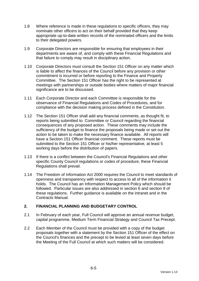- 1.8 Where reference is made in these regulations to specific officers, they may nominate other officers to act on their behalf provided that they keep appropriate up-to-date written records of the nominated officers and the limits to their delegated powers.
- 1.9 Corporate Directors are responsible for ensuring that employees in their departments are aware of, and comply with these Financial Regulations and that failure to comply may result in disciplinary action.
- 1.10 Corporate Directors must consult the Section 151 Officer on any matter which is liable to affect the finances of the Council before any provision or other commitment is incurred or before reporting to the Finance and Property Committee. The Section 151 Officer has the right to be represented at meetings with partnerships or outside bodies where matters of major financial significance are to be discussed.
- 1.11 Each Corporate Director and each Committee is responsible for the observance of Financial Regulations and Codes of Procedures, and for compliance with the decision making process defined in the Constitution.
- 1.12 The Section 151 Officer shall add any financial comments, as thought fit, to reports being submitted to Committee or Council regarding the financial consequences of any proposed action. These comments may include the sufficiency of the budget to finance the proposals being made or set out the action to be taken to make the necessary finance available. All reports will have a Section 151 Officer financial comment. These reports must be submitted to the Section 151 Officer or his/her representative, at least 5 working days before the distribution of papers.
- 1.13 If there is a conflict between the Council's Financial Regulations and other specific County Council regulations or codes of procedure, these Financial Regulations shall prevail.
- 1.14 The Freedom of Information Act 2000 requires the Council to meet standards of openness and transparency with respect to access to all of the information it holds. The Council has an Information Management Policy which should be followed. Particular issues are also addressed in section 6 and section 9 of these regulations. Further guidance is available on the intranet and in the Contracts Manual.

## **2. FINANCIAL PLANNING AND BUDGETARY CONTROL**

- 2.1 In February of each year, Full Council will approve an annual revenue budget, capital programme, Medium Term Financial Strategy and Council Tax Precept.
- 2.2 Each Member of the Council must be provided with a copy of the budget proposals together with a statement by the Section 151 Officer of the effect on the Council's finances and the precept to be levied at least seven days before the Meeting of the Full Council at which such matters will be considered.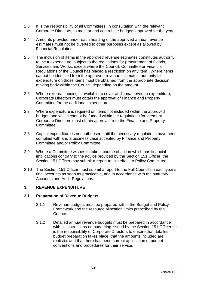- 2.3 It is the responsibility of all Committees, in consultation with the relevant Corporate Directors, to monitor and control the budgets approved for the year.
- 2.4 Amounts provided under each heading of the approved annual revenue estimates must not be diverted to other purposes except as allowed by Financial Regulations.
- 2.5 The inclusion of items in the approved revenue estimates constitutes authority to incur expenditure, subject to the regulations for procurement of Goods, Services and Works, except where the Council, Committee or Financial Regulations of the Council has placed a restriction on any item. Where items cannot be identified from the approved revenue estimates, authority for expenditure on those items must be obtained from the appropriate decision making body within the Council depending on the amount.
- 2.6 Where external funding is available to cover additional revenue expenditure, Corporate Directors must obtain the approval of Finance and Property Committee for the additional expenditure.
- 2.7 Where expenditure is required on items not included within the approved budget, and which cannot be funded within the regulations for virement Corporate Directors must obtain approval from the Finance and Property Committee.
- 2.8 Capital expenditure is not authorised until the necessary regulations have been complied with and a business case accepted by Finance and Property Committee and/or Policy Committee.
- 2.9 Where a Committee wishes to take a course of action which has financial implications contrary to the advice provided by the Section 151 Officer, the Section 151 Officer may submit a report to this effect to Policy Committee.
- 2.10 The Section 151 Officer must submit a report to the Full Council on each year's final accounts as soon as practicable, and in accordance with the statutory Accounts and Audit Regulations.

## **3. REVENUE EXPENDITURE**

## **3.1 Preparation of Revenue Budgets**

- 3.1.1 Revenue budgets must be prepared within the Budget and Policy Framework and the resource allocation limits prescribed by the Council.
- 3.1.2 Detailed annual revenue budgets must be prepared in accordance with all instructions on budgeting issued by the Section 151 Officer. It is the responsibility of Corporate Directors to ensure that detailed budget preparation takes place, that the amounts included are realistic, and that there has been correct application of budget conventions and procedures for their service.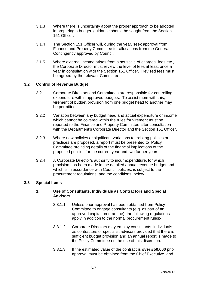- 3.1.3 Where there is uncertainty about the proper approach to be adopted in preparing a budget, guidance should be sought from the Section 151 Officer.
- 3.1.4 The Section 151 Officer will, during the year, seek approval from Finance and Property Committee for allocations from the General Contingency approved by Council.
- 3.1.5 Where external income arises from a set scale of charges, fees etc., the Corporate Director must review the level of fees at least once a year in consultation with the Section 151 Officer. Revised fees must be agreed by the relevant Committee.

## **3.2 Control of Revenue Budget**

- 3.2.1 Corporate Directors and Committees are responsible for controlling expenditure within approved budgets. To assist them with this, virement of budget provision from one budget head to another may be permitted.
- 3.2.2 Variation between any budget head and actual expenditure or income which cannot be covered within the rules for virement must be reported to the Finance and Property Committee after consultation with the Department's Corporate Director and the Section 151 Officer.
- 3.2.3 Where new policies or significant variations to existing policies or practices are proposed, a report must be presented to Policy Committee providing details of the financial implications of the proposed policies for the current year and two further years.
- 3.2.4 A Corporate Director's authority to incur expenditure, for which provision has been made in the detailed annual revenue budget and which is in accordance with Council policies, is subject to the procurement regulations and the conditions below.

## **3.3 Special Items**

## **1. Use of Consultants, Individuals as Contractors and Special Advisors**

- 3.3.1.1 Unless prior approval has been obtained from Policy Committee to engage consultants (e.g. as part of an approved capital programme), the following regulations apply in addition to the normal procurement rules:-
- 3.3.1.2 Corporate Directors may employ consultants, individuals as contractors or specialist advisors provided that there is sufficient budget provision and an annual report is made to the Policy Committee on the use of this discretion.
- 3.3.1.3 If the estimated value of the contract is **over £50,000** prior approval must be obtained from the Chief Executive and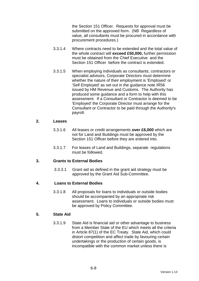the Section 151 Officer. Requests for approval must be submitted on the approved form. (NB Regardless of value, all consultants must be procured in accordance with procurement procedures.)

- 3.3.1.4 Where contracts need to be extended and the total value of the whole contract will **exceed £50,000,** further permission must be obtained from the Chief Executive and the Section 151 Officer before the contract is extended.
- 3.3.1.5 When employing individuals as consultants, contractors or specialist advisors, Corporate Directors must determine whether the nature of their employment is 'Employed' or 'Self Employed' as set out in the guidance note IR56 issued by HM Revenue and Customs. The Authority has produced some guidance and a form to help with this assessment. If a Consultant or Contractor is deemed to be 'Employed' the Corporate Director must arrange for the Consultant or Contractor to be paid through the Authority's payroll.

### **2. Leases**

- 3.3.1.6 All leases or credit arrangements **over £6,000** which are not for Land and Buildings must be approved by the Section 151 Officer before they are entered into.
- 3.3.1.7 For leases of Land and Buildings, separate regulations must be followed.

## **3. Grants to External Bodies**

3.3.3.1 Grant aid as defined in the grant aid strategy must be approved by the Grant Aid Sub-Committee.

## **4. Loans to External Bodies**

3.3.1.8 All proposals for loans to individuals or outside bodies should be accompanied by an appropriate risk assessment. Loans to individuals or outside bodies must be approved by Policy Committee.

## **5. State Aid**

3.3.1.9 State Aid is financial aid or other advantage to business from a Member State of the EU which meets all the criteria in Article 87(1) of the EC Treaty. State Aid, which could distort competition and affect trade by favouring certain undertakings or the production of certain goods, is incompatible with the common market unless there is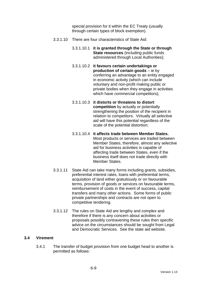special provision for it within the EC Treaty (usually through certain types of block exemption).

- 3.3.1.10 There are four characteristics of State Aid:
	- 3.3.1.10.1 **it is granted through the State or through State resources** (including public funds administered through Local Authorities);
	- 3.3.1.10.2 **it favours certain undertakings or production of certain goods** – ie by conferring an advantage to an entity engaged in economic activity (which can include voluntary and non-profit making public or private bodies when they engage in activities which have commercial competitors);
	- 3.3.1.10.3 **it distorts or threatens to distort competition** by actually or potentially strengthening the position of the recipient in relation to competitors. Virtually all selective aid will have this potential regardless of the scale of the potential distortion;
	- 3.3.1.10.4 **it affects trade between Member States.** Most products or services are traded between Member States, therefore, almost any selective aid for business activities is capable of affecting trade between States, even if the business itself does not trade directly with Member States.
- 3.3.1.11 State Aid can take many forms including grants, subsidies, preferential interest rates, loans with preferential terms, acquisition of land either gratuitously or on favourable terms, provision of goods or services on favourable terms, reimbursement of costs in the event of success, capital transfers and many other actions. Some forms of public private partnerships and contracts are not open to competitive tendering.
- 3.3.1.12 The rules on State Aid are lengthy and complex and therefore if there is any concern about activities or proposals possibly contravening these rules then specific advice on the circumstances should be sought from Legal and Democratic Services. See the state aid website.

## **3.4 Virement**

3.4.1 The transfer of budget provision from one budget head to another is permitted as follows: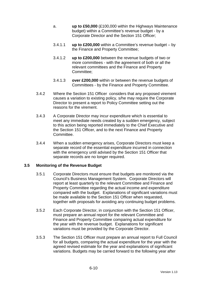- a. **up to £50,000** (£100,000 within the Highways Maintenance budget) within a Committee's revenue budget - by a Corporate Director and the Section 151 Officer;
- 3.4.1.1 **up to £200,000** within a Committee's revenue budget by the Finance and Property Committee;
- 3.4.1.2 **up to £200,000** between the revenue budgets of two or more committees - with the agreement of both or all the relevant committees and the Finance and Property Committee;
- 3.4.1.3 **over £200,000** within or between the revenue budgets of Committees - by the Finance and Property Committee.
- 3.4.2 Where the Section 151 Officer considers that any proposed virement causes a variation to existing policy, s/he may require the Corporate Director to present a report to Policy Committee setting out the reasons for the virement.
- 3.4.3 A Corporate Director may incur expenditure which is essential to meet any immediate needs created by a sudden emergency, subject to this action being reported immediately to the Chief Executive and the Section 151 Officer, and to the next Finance and Property Committee.
- 3.4.4 When a sudden emergency arises, Corporate Directors must keep a separate record of the essential expenditure incurred in connection with the emergency until advised by the Section 151 Officer that separate records are no longer required.

## **3.5 Monitoring of the Revenue Budget**

- 3.5.1 Corporate Directors must ensure that budgets are monitored via the Council's Business Management System. Corporate Directors will report at least quarterly to the relevant Committee and Finance and Property Committee regarding the actual income and expenditure compared with the budget. Explanations of significant variations must be made available to the Section 151 Officer when requested, together with proposals for avoiding any continuing budget problems.
- 3.5.2 Each Corporate Director, in conjunction with the Section 151 Officer, must prepare an annual report for the relevant Committee and Finance and Property Committee comparing actual expenditure for the year with the revenue budget. Explanations for significant variations must be provided by the Corporate Director.
- 3.5.3 The Section 151 Officer must prepare an annual report to Full Council for all budgets, comparing the actual expenditure for the year with the agreed revised estimate for the year and explanations of significant variations. Budgets may be carried forward to the following year after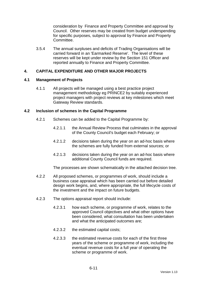consideration by Finance and Property Committee and approval by Council. Other reserves may be created from budget underspending for specific purposes, subject to approval by Finance and Property Committee.

3.5.4 The annual surpluses and deficits of Trading Organisations will be carried forward in an 'Earmarked Reserve'. The level of these reserves will be kept under review by the Section 151 Officer and reported annually to Finance and Property Committee.

## **4. CAPITAL EXPENDITURE AND OTHER MAJOR PROJECTS**

### **4.1 Management of Projects**

4.1.1 All projects will be managed using a best practice project management methodology eg PRINCE2 by suitably experienced project managers with project reviews at key milestones which meet Gateway Review standards.

### **4.2 Inclusion of schemes in the Capital Programme**

- 4.2.1 Schemes can be added to the Capital Programme by:
	- 4.2.1.1 the Annual Review Process that culminates in the approval of the County Council's budget each February; or
	- 4.2.1.2 decisions taken during the year on an ad-hoc basis where the schemes are fully funded from external sources; or
	- 4.2.1.3 decisions taken during the year on an ad-hoc basis where additional County Council funds are required.

The processes are shown schematically in the attached decision tree.

- 4.2.2 All proposed schemes, or programmes of work, should include a business case appraisal which has been carried out before detailed design work begins, and, where appropriate, the full lifecycle costs of the investment and the impact on future budgets.
- 4.2.3 The options appraisal report should include:
	- 4.2.3.1 how each scheme, or programme of work, relates to the approved Council objectives and what other options have been considered, what consultation has been undertaken and what the anticipated outcomes are;
	- 4.2.3.2 the estimated capital costs;
	- 4.2.3.3 the estimated revenue costs for each of the first three years of the scheme or programme of work, including the eventual revenue costs for a full year of operating the scheme or programme of work.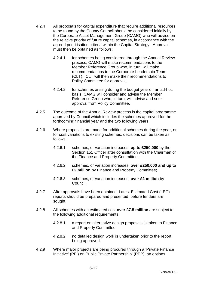- 4.2.4 All proposals for capital expenditure that require additional resources to be found by the County Council should be considered initially by the Corporate Asset Management Group (CAMG) who will advise on the relative priority of future capital schemes, in accordance with the agreed prioritisation criteria within the Capital Strategy. Approval must then be obtained as follows:
	- 4.2.4.1 for schemes being considered through the Annual Review process, CAMG will make recommendations to the Member Reference Group who, in turn, will make recommendations to the Corporate Leadership Team (CLT). CLT will then make their recommendations to Policy Committee for approval;
	- 4.2.4.2 for schemes arising during the budget year on an ad-hoc basis, CAMG will consider and advise the Member Reference Group who, in turn, will advise and seek approval from Policy Committee.
- 4.2.5 The outcome of the Annual Review process is the capital programme approved by Council which includes the schemes approved for the forthcoming financial year and the two following years.
- 4.2.6 Where proposals are made for additional schemes during the year, or for cost variations to existing schemes, decisions can be taken as follows:
	- 4.2.6.1 schemes, or variation increases, **up to £250,000** by the Section 151 Officer after consultation with the Chairman of the Finance and Property Committee;
	- 4.2.6.2 schemes, or variation increases, **over £250,000 and up to £2 million** by Finance and Property Committee;
	- 4.2.6.3 schemes, or variation increases, **over £2 million** by Council.
- 4.2.7 After approvals have been obtained, Latest Estimated Cost (LEC) reports should be prepared and presented before tenders are sought.
- 4.2.8 All schemes with an estimated cost **over £7.5 million** are subject to the following additional requirements:
	- 4.2.8.1 a report on alternative design proposals is taken to Finance and Property Committee;
	- 4.2.8.2 no detailed design work is undertaken prior to the report being approved.
- 4.2.9 Where major projects are being procured through a 'Private Finance Initiative' (PFI) or 'Public Private Partnership' (PPP), an options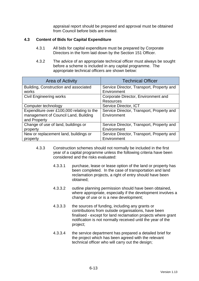appraisal report should be prepared and approval must be obtained from Council before bids are invited.

## **4.3 Content of Bids for Capital Expenditure**

- 4.3.1 All bids for capital expenditure must be prepared by Corporate Directors in the form laid down by the Section 151 Officer.
- 4.3.2 The advice of an appropriate technical officer must always be sought before a scheme is included in any capital programme. The appropriate technical officers are shown below:

| Area of Activity                          | <b>Technical Officer</b>                  |  |
|-------------------------------------------|-------------------------------------------|--|
| Building, Construction and associated     | Service Director, Transport, Property and |  |
| works                                     | Environment                               |  |
| <b>Civil Engineering works</b>            | Corporate Director, Environment and       |  |
|                                           | <b>Resources</b>                          |  |
| Computer technology                       | Service Director, ICT                     |  |
| Expenditure over £100,000 relating to the | Service Director, Transport, Property and |  |
| management of Council Land, Building      | Environment                               |  |
| and Property                              |                                           |  |
| Change of use of land, buildings or       | Service Director, Transport, Property and |  |
| property                                  | Environment                               |  |
| New or replacement land, buildings or     | Service Director, Transport, Property and |  |
| property                                  | Environment                               |  |

- 4.3.3 Construction schemes should not normally be included in the first year of a capital programme unless the following criteria have been considered and the risks evaluated:
	- 4.3.3.1 purchase, lease or lease option of the land or property has been completed. In the case of transportation and land reclamation projects, a right of entry should have been obtained;
	- 4.3.3.2 outline planning permission should have been obtained, where appropriate, especially if the development involves a change of use or is a new development;
	- 4.3.3.3 the sources of funding, including any grants or contributions from outside organisations, have been finalised - except for land reclamation projects where grant notification is not normally received until the year of the project;
	- 4.3.3.4 the service department has prepared a detailed brief for the project which has been agreed with the relevant technical officer who will carry out the design;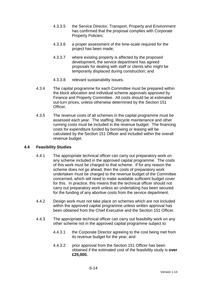- 4.3.3.5 the Service Director, Transport, Property and Environment has confirmed that the proposal complies with Corporate Property Policies;
- 4.3.3.6 a proper assessment of the time-scale required for the project has been made;
- 4.3.3.7 where existing property is affected by the proposed development, the service department has agreed proposals for dealing with staff or clients who might be temporarily displaced during construction; and
- 4.3.3.8 relevant sustainability issues.
- 4.3.4 The capital programme for each Committee must be prepared within the block allocation and individual scheme approvals approved by Finance and Property Committee. All costs should be at estimated out-turn prices, unless otherwise determined by the Section 151 Officer.
- 4.3.5 The revenue costs of all schemes in the capital programme must be assessed each year. The staffing, lifecycle maintenance and other running costs must be included in the revenue budget. The financing costs for expenditure funded by borrowing or leasing will be calculated by the Section 151 Officer and included within the overall revenue budget.

## **4.4 Feasibility Studies**

- 4.4.1 The appropriate technical officer can carry out preparatory work on any scheme included in the approved capital programme. The costs of this work must be charged to that scheme. If for any reason the scheme does not go ahead, then the costs of preparatory work undertaken must be charged to the revenue budget of the Committee concerned, which will need to make available sufficient budget cover for this. In practice, this means that the technical officer should not carry out preparatory work unless an undertaking has been secured for the funding of any abortive costs from the service department.
- 4.4.2 Design work must not take place on schemes which are not included within the approved capital programme unless written approval has been obtained from the Chief Executive and the Section 151 Officer.
- 4.4.3 The appropriate technical officer can carry out feasibility work on any other scheme not in the approved capital programme subject to:
	- 4.4.3.1 the Corporate Director agreeing to the cost being met from its revenue budget for the year; and
	- 4.4.3.2 prior approval from the Section 151 Officer has been obtained if the estimated cost of the feasibility study is **over £25,000.**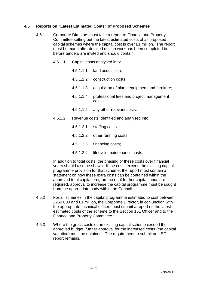## **4.5 Reports on "Latest Estimated Costs" of Proposed Schemes**

- 4.5.1 Corporate Directors must take a report to Finance and Property Committee setting out the latest estimated costs of all proposed capital schemes where the capital cost is over £1 million. The report must be made after detailed design work has been completed but before tenders are invited and should contain:
	- 4.5.1.1 Capital costs analysed into:
		- 4.5.1.1.1 land acquisition;
		- 4.5.1.1.2 construction costs;
		- 4.5.1.1.3 acquisition of plant, equipment and furniture;
		- 4.5.1.1.4 professional fees and project management costs;
		- 4.5.1.1.5 any other relevant costs.
	- 4.5.1.2 Revenue costs identified and analysed into:
		- 4.5.1.2.1 staffing costs;
		- 4.5.1.2.2 other running costs;
		- 4.5.1.2.3 financing costs;
		- 4.5.1.2.4 lifecycle maintenance costs.

In addition to total costs, the phasing of these costs over financial years should also be shown. If the costs exceed the existing capital programme provision for that scheme, the report must contain a statement on how these extra costs can be contained within the approved total capital programme or, if further capital funds are required, approval to increase the capital programme must be sought from the appropriate body within the Council.

- 4.5.2 For all schemes in the capital programme estimated to cost between £250,000 and £1 million**,** the Corporate Director, in conjunction with the appropriate technical officer, must submit a report on the latest estimated costs of the scheme to the Section 151 Officer and to the Finance and Property Committee.
- 4.5.3 Where the gross costs of an existing capital scheme exceed the approved budget, further approval for the increased costs (the capital variation) must be obtained. The requirement to submit an LEC report remains.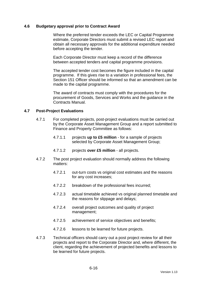### **4.6 Budgetary approval prior to Contract Award**

 Where the preferred tender exceeds the LEC or Capital Programme estimate, Corporate Directors must submit a revised LEC report and obtain all necessary approvals for the additional expenditure needed before accepting the tender.

 Each Corporate Director must keep a record of the difference between accepted tenders and capital programme provisions.

 The accepted tender cost becomes the figure included in the capital programme. If this gives rise to a variation in professional fees, the Section 151 Officer should be informed so that an amendment can be made to the capital programme.

 The award of contracts must comply with the procedures for the procurement of Goods, Services and Works and the guidance in the Contracts Manual.

### **4.7 Post-Project Evaluations**

- 4.7.1 For completed projects, post-project evaluations must be carried out by the Corporate Asset Management Group and a report submitted to Finance and Property Committee as follows:
	- 4.7.1.1 projects **up to £5 million** for a sample of projects selected by Corporate Asset Management Group;
	- 4.7.1.2 projects **over £5 million** all projects.
- 4.7.2 The post project evaluation should normally address the following matters:
	- 4.7.2.1 out-turn costs vs original cost estimates and the reasons for any cost increases;
	- 4.7.2.2 breakdown of the professional fees incurred;
	- 4.7.2.3 actual timetable achieved vs original planned timetable and the reasons for slippage and delays;
	- 4.7.2.4 overall project outcomes and quality of project management;
	- 4.7.2.5 achievement of service objectives and benefits;
	- 4.7.2.6 lessons to be learned for future projects.
- 4.7.3 Technical officers should carry out a post project review for all their projects and report to the Corporate Director and, where different, the client, regarding the achievement of projected benefits and lessons to be learned for future projects.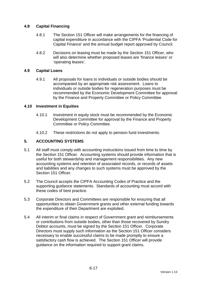## **4.8 Capital Financing**

- 4.8.1 The Section 151 Officer will make arrangements for the financing of capital expenditure in accordance with the CIPFA 'Prudential Code for Capital Finance' and the annual budget report approved by Council.
- 4.8.2 Decisions on leasing must be made by the Section 151 Officer, who will also determine whether proposed leases are 'finance leases' or 'operating leases'.

## **4.9 Capital Loans**

4.9.1 All proposals for loans to individuals or outside bodies should be accompanied by an appropriate risk assessment. Loans to individuals or outside bodies for regeneration purposes must be recommended by the Economic Development Committee for approval by the Finance and Property Committee or Policy Committee.

## **4.10 Investment in Equities**

- 4.10.1 Investment in equity stock must be recommended by the Economic Development Committee for approval by the Finance and Property Committee or Policy Committee.
- 4.10.2 These restrictions do not apply to pension fund investments.

## **5. ACCOUNTING SYSTEMS**

- 5.1 All staff must comply with accounting instructions issued from time to time by the Section 151 Officer. Accounting systems should provide information that is useful for both stewardship and management responsibilities. Any new accounting systems and retention of associated records, or records of assets and liabilities and any changes to such systems must be approved by the Section 151 Officer.
- 5.2 The Council accepts the CIPFA Accounting Codes of Practice and the supporting guidance statements. Standards of accounting must accord with these codes of best practice.
- 5.3 Corporate Directors and Committees are responsible for ensuring that all opportunities to obtain Government grants and other external funding towards the expenditure of their Department are exploited.
- 5.4 All interim or final claims in respect of Government grant and reimbursements or contributions from outside bodies, other than those recovered by Sundry Debtor accounts, must be signed by the Section 151 Officer. Corporate Directors must supply such information as the Section 151 Officer considers necessary to enable successful claims to be made promptly to ensure a satisfactory cash flow is achieved. The Section 151 Officer will provide guidance on the information required to support grant claims.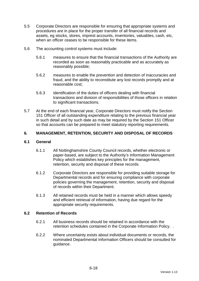- 5.5 Corporate Directors are responsible for ensuring that appropriate systems and procedures are in place for the proper transfer of all financial records and assets, eg stocks, stores, imprest accounts, inventories, valuables, cash, etc, when an officer ceases to be responsible for these items.
- 5.6 The accounting control systems must include:
	- 5.6.1 measures to ensure that the financial transactions of the Authority are recorded as soon as reasonably practicable and as accurately as reasonably possible;
	- 5.6.2 measures to enable the prevention and detection of inaccuracies and fraud, and the ability to reconstitute any lost records promptly and at reasonable cost;
	- 5.6.3 identification of the duties of officers dealing with financial transactions and division of responsibilities of those officers in relation to significant transactions.
- 5.7 At the end of each financial year, Corporate Directors must notify the Section 151 Officer of all outstanding expenditure relating to the previous financial year in such detail and by such date as may be required by the Section 151 Officer so that accounts can be prepared to meet statutory reporting requirements.

## **6. MANAGEMENT, RETENTION, SECURITY AND DISPOSAL OF RECORDS**

## **6.1 General**

- 6.1.1 All Nottinghamshire County Council records, whether electronic or paper-based, are subject to the Authority's Information Management Policy which establishes key principles for the management, retention, security and disposal of these records.
- 6.1.2 Corporate Directors are responsible for providing suitable storage for Departmental records and for ensuring compliance with corporate policies governing the management, retention, security and disposal of records within their Department.
- 6.1.3 All retained records must be held in a manner which allows speedy and efficient retrieval of information, having due regard for the appropriate security requirements.

## **6.2 Retention of Records**

- 6.2.1 All business records should be retained in accordance with the retention schedules contained in the Corporate Information Policy. .
- 6.2.2 Where uncertainty exists about individual documents or records, the nominated Departmental Information Officers should be consulted for guidance.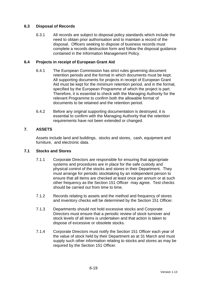## **6.3 Disposal of Records**

6.3.1 All records are subject to disposal policy standards which include the need to obtain prior authorisation and to maintain a record of the disposal. Officers seeking to dispose of business records must complete a records destruction form and follow the disposal guidance contained in the Information Management Policy.

## **6.4 Projects in receipt of European Grant Aid**

- 6.4.1 The European Commission has strict rules governing document retention periods and the format in which documents must be kept. All supporting documents for projects in receipt of European Grant Aid must be kept for the minimum retention period, and in the format, specified by the European Programme of which the project is part. Therefore, it is essential to check with the Managing Authority for the relevant Programme to confirm both the allowable format of documents to be retained and the retention period.
- 6.4.2 Before any original supporting documentation is destroyed, it is essential to confirm with the Managing Authority that the retention requirements have not been extended or changed.

## **7. ASSETS**

Assets include land and buildings, stocks and stores, cash, equipment and furniture, and electronic data.

## **7.1 Stocks and Stores**

- 7.1.1 Corporate Directors are responsible for ensuring that appropriate systems and procedures are in place for the safe custody and physical control of the stocks and stores in their Department. They must arrange for periodic stocktaking by an independent person to ensure that all items are checked at least once per annum or at such other frequency as the Section 151 Officer may agree. Test checks should be carried out from time to time.
- 7.1.2 Records relating to assets and the method and frequency of stores and inventory checks will be determined by the Section 151 Officer.
- 7.1.3 Departments should not hold excessive stocks and Corporate Directors must ensure that a periodic review of stock turnover and stock levels of all items is undertaken and that action is taken to dispose of excessive or obsolete stocks.
- 7.1.4 Corporate Directors must notify the Section 151 Officer each year of the value of stock held by their Department as at 31 March and must supply such other information relating to stocks and stores as may be required by the Section 151 Officer.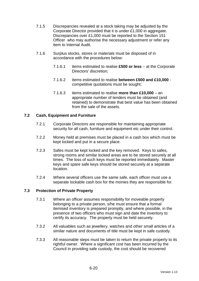- 7.1.5 Discrepancies revealed at a stock taking may be adjusted by the Corporate Director provided that it is under £1,000 in aggregate. Discrepancies over £1,000 must be reported to the Section 151 Officer who may authorise the necessary adjustment or refer any item to Internal Audit.
- 7.1.6 Surplus stocks, stores or materials must be disposed of in accordance with the procedures below:
	- 7.1.6.1 items estimated to realise **£500 or less** at the Corporate Directors' discretion;
	- 7.1.6.2 items estimated to realise **between £500 and £10,000** competitive quotations must be sought;
	- 7.1.6.3 items estimated to realise **more than £10,000** an appropriate number of tenders must be obtained (and retained) to demonstrate that best value has been obtained from the sale of the assets.

## **7.2 Cash, Equipment and Furniture**

- 7.2.1 Corporate Directors are responsible for maintaining appropriate security for all cash, furniture and equipment etc under their control.
- 7.2.2 Money held at premises must be placed in a cash box which must be kept locked and put in a secure place.
- 7.2.3 Safes must be kept locked and the key removed. Keys to safes, strong rooms and similar locked areas are to be stored securely at all times. The loss of such keys must be reported immediately. Master keys and spare safe keys should be stored securely at a separate location.
- 7.2.4 Where several officers use the same safe, each officer must use a separate lockable cash box for the monies they are responsible for.

## **7.3 Protection of Private Property**

- 7.3.1 Where an officer assumes responsibility for moveable property belonging to a private person, s/he must ensure that a formal itemised inventory is prepared promptly, and where possible, in the presence of two officers who must sign and date the inventory to certify its accuracy. The property must be held securely.
- 7.3.2 All valuables such as jewellery, watches and other small articles of a similar nature and documents of title must be kept in safe custody.
- 7.3.3 All reasonable steps must be taken to return the private property to its rightful owner. Where a significant cost has been incurred by the Council in providing safe custody, the cost should be recovered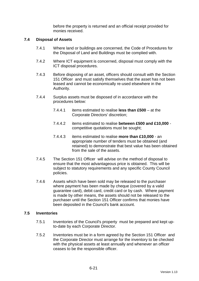before the property is returned and an official receipt provided for monies received.

## **7.4 Disposal of Assets**

- 7.4.1 Where land or buildings are concerned, the Code of Procedures for the Disposal of Land and Buildings must be complied with.
- 7.4.2 Where ICT equipment is concerned, disposal must comply with the ICT disposal procedures.
- 7.4.3 Before disposing of an asset, officers should consult with the Section 151 Officer and must satisfy themselves that the asset has not been leased and cannot be economically re-used elsewhere in the Authority.
- 7.4.4 Surplus assets must be disposed of in accordance with the procedures below:
	- 7.4.4.1 items estimated to realise **less than £500** at the Corporate Directors' discretion;
	- 7.4.4.2 items estimated to realise **between £500 and £10,000** competitive quotations must be sought;
	- 7.4.4.3 items estimated to realise **more than £10,000** an appropriate number of tenders must be obtained (and retained) to demonstrate that best value has been obtained from the sale of the assets.
- 7.4.5 The Section 151 Officer will advise on the method of disposal to ensure that the most advantageous price is obtained. This will be subject to statutory requirements and any specific County Council policies.
- 7.4.6 Assets which have been sold may be released to the purchaser where payment has been made by cheque (covered by a valid guarantee card), debit card, credit card or by cash. Where payment is made by other means, the assets should not be released to the purchaser until the Section 151 Officer confirms that monies have been deposited in the Council's bank account.

#### **7.5 Inventories**

- 7.5.1 Inventories of the Council's property must be prepared and kept upto-date by each Corporate Director.
- 7.5.2 Inventories must be in a form agreed by the Section 151 Officer and the Corporate Director must arrange for the inventory to be checked with the physical assets at least annually and whenever an officer ceases to be the responsible officer.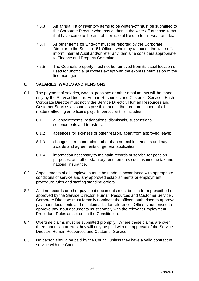- 7.5.3 An annual list of inventory items to be written-off must be submitted to the Corporate Director who may authorise the write-off of those items that have come to the end of their useful life due to fair wear and tear.
- 7.5.4 All other items for write-off must be reported by the Corporate Director to the Section 151 Officer who may authorise the write-off, inform Internal Audit and/or refer any item s/he considers appropriate to Finance and Property Committee.
- 7.5.5 The Council's property must not be removed from its usual location or used for unofficial purposes except with the express permission of the line manager.

## **8. SALARIES, WAGES AND PENSIONS**

- 8.1 The payment of salaries, wages, pensions or other emoluments will be made only by the Service Director, Human Resources and Customer Service. Each Corporate Director must notify the Service Director, Human Resources and Customer Service as soon as possible, and in the form prescribed, of all matters affecting an officer's pay. In particular this includes:
	- 8.1.1 all appointments, resignations, dismissals, suspensions, secondments and transfers;
	- 8.1.2 absences for sickness or other reason, apart from approved leave;
	- 8.1.3 changes in remuneration, other than normal increments and pay awards and agreements of general application;
	- 8.1.4 information necessary to maintain records of service for pension purposes, and other statutory requirements such as income tax and national insurance.
- 8.2 Appointments of all employees must be made in accordance with appropriate conditions of service and any approved establishments or employment procedure rules and staffing standing orders.
- 8.3 All time records or other pay input documents must be in a form prescribed or approved by the Service Director, Human Resources and Customer Service . Corporate Directors must formally nominate the officers authorised to approve pay input documents and maintain a list for reference. Officers authorised to approve pay input documents must comply with the relevant Employment Procedure Rules as set out in the Constitution.
- 8.4 Overtime claims must be submitted promptly. Where these claims are over three months in arrears they will only be paid with the approval of the Service Director, Human Resources and Customer Service.
- 8.5 No person should be paid by the Council unless they have a valid contract of service with the Council.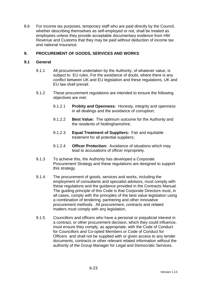8.6 For income tax purposes, temporary staff who are paid directly by the Council, whether describing themselves as self-employed or not, shall be treated as employees unless they provide acceptable documentary evidence from HM Revenue and Customs that they may be paid without deduction of income tax and national insurance.

## **9. PROCUREMENT OF GOODS, SERVICES AND WORKS**

## **9.1 General**

- 9.1.1 All procurement undertaken by the Authority, of whatever value, is subject to EU rules. For the avoidance of doubt, where there is any conflict between UK and EU legislation and these regulations, UK and EU law shall prevail.
- 9.1.2 These procurement regulations are intended to ensure the following objectives are met:
	- 9.1.2.1 **Probity and Openness:** Honesty, integrity and openness in all dealings and the avoidance of corruption;
	- 9.1.2.2 **Best Value:** The optimum outcome for the Authority and the residents of Nottinghamshire;
	- 9.1.2.3 **Equal Treatment of Suppliers:** Fair and equitable treatment for all potential suppliers;
	- 9.1.2.4 **Officer Protection:** Avoidance of situations which may lead to accusations of officer impropriety.
- 9.1.3 To achieve this, the Authority has developed a Corporate Procurement Strategy and these regulations are designed to support this strategy.
- 9.1.4 The procurement of goods, services and works, including the employment of consultants and specialist advisors, must comply with these regulations and the guidance provided in the Contracts Manual. The guiding principle of this Code is that Corporate Directors must, in all cases, comply with the principles of the best value legislation using a combination of tendering, partnering and other innovative procurement methods. All procurement, contracts and related matters must comply with any legislation.
- 9.1.5 Councillors and officers who have a personal or prejudicial interest in a contract, or other procurement decision, which they could influence, must ensure they comply, as appropriate, with the Code of Conduct for Councillors and Co-opted Members or Code of Conduct for Officers and shall not be supplied with or given access to any tender documents, contracts or other relevant related information without the authority of the Group Manager for Legal and Democratic Services.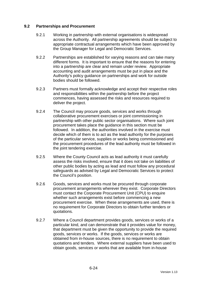## **9.2 Partnerships and Procurement**

- 9.2.1 Working in partnership with external organisations is widespread across the Authority. All partnership agreements should be subject to appropriate contractual arrangements which have been approved by the Group Manager for Legal and Democratic Services.
- 9.2.2 Partnerships are established for varying reasons and can take many different forms. It is important to ensure that the reasons for entering into a partnership are clear and remain under review. Appropriate accounting and audit arrangements must be put in place and the Authority's policy guidance on partnerships and work for outside bodies should be followed.
- 9.2.3 Partners must formally acknowledge and accept their respective roles and responsibilities within the partnership before the project commences, having assessed the risks and resources required to deliver the project.
- 9.2.4 The Council may procure goods, services and works through collaborative procurement exercises or joint commissioning in partnership with other public sector organisations. Where such joint procurement takes place the guidance in this section must be followed. In addition, the authorities involved in the exercise must decide which of them is to act as the lead authority for the purposes of the particular service, supplies or works being commissioned and the procurement procedures of the lead authority must be followed in the joint tendering exercise.
- 9.2.5 Where the County Council acts as lead authority it must carefully assess the risks involved, ensure that it does not take on liabilities of other public bodies by acting as lead and must follow any procedural safeguards as advised by Legal and Democratic Services to protect the Council's position.
- 9.2.6 Goods, services and works must be procured through corporate procurement arrangements wherever they exist. Corporate Directors must contact the Corporate Procurement Unit (CPU) to enquire whether such arrangements exist before commencing a new procurement exercise. When these arrangements are used, there is no requirement for Corporate Directors to obtain further tenders or quotations.
- 9.2.7 Where a Council department provides goods, services or works of a particular kind, and can demonstrate that it provides value for money, that department must be given the opportunity to provide the required goods, services or works. If the goods, services or works are obtained from in-house sources, there is no requirement to obtain quotations and tenders. Where external suppliers have been used to obtain goods, services or works that are available from in-house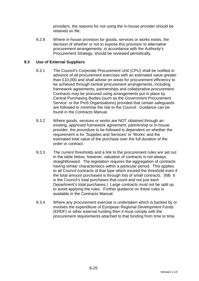providers, the reasons for not using the in-house provider should be retained on file.

9.2.8 Where in-house provision for goods, services or works exists, the decision of whether or not to expose this provision to alternative procurement arrangements, in accordance with the Authority's Procurement Strategy, should be reviewed periodically.

## **9.3 Use of External Suppliers**

- 9.3.1 The Council's Corporate Procurement Unit (CPU) shall be notified in advance of all procurement exercises with an estimated value greater than £10,000 and shall advise on areas for procurement efficiency to be achieved through central procurement arrangements, including framework agreements, partnerships and collaborative procurement. Contracts may be procured using arrangements put in place by Central Purchasing Bodies (such as the Government Procurement Service or the Pro5 Organisations) provided that certain safeguards are followed to minimise the risk to the Council. Guidance can be found in the Contracts Manual.
- 9.3.2 Where goods, services or works are NOT obtained through an existing, approved framework agreement, partnership or in-house provider, the procedure to be followed is dependent on whether the requirement is for 'Supplies and Services' or 'Works' and the estimated total value of the purchase over the full duration of the order or contract.
- 9.3.3 The current thresholds and a link to the procurement rules are set out in the table below, however, valuation of contracts is not always straightforward. The legislation requires the aggregation of contracts having similar characteristics within a particular period. This applies to all Council contracts of that type which exceed the threshold even if the total amount purchased is through lots of small contracts. (NB It is the Council's total purchases that count and not just each Department's total purchases.) Large contracts must not be split up to avoid applying the rules. Further guidance on these rules is available in the Contracts Manual.
- 9.3.4 Where any procurement exercise is undertaken which is backed by or involves the expenditure of European Regional Development Funds (ERDF) or other external funding then it must comply with the procurement requirements attached to that funding from time to time.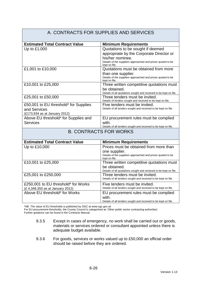#### A. CONTRACTS FOR SUPPLIES AND SERVICES **Estimated Total Contract Value Minimum Requirements** Up to £1,000  $\vert$  Quotations to be sought if deemed appropriate by the Corporate Director or his/her nominee. Details of the suppliers approached and prices quoted to be kept on file. £1,001 to £10,000 Quotations must be obtained from more than one supplier. Details of the suppliers approached and prices quoted to be kept on file. £10,001 to £25,000 Three written competitive quotations must be obtained. Details of all quotations sought and received to be kept on file. £25,001 to £50,000 Three tenders must be invited. Details of tenders sought and received to be kept on file. £50,001 to EU threshold\* for Supplies and Services (£173,934 as at January 2012) Five tenders must be invited. Details of all tenders sought and received to be kept on file. Above EU threshold\* for Supplies and **Services** EU procurement rules must be complied with. Details of all tenders sought and received to be kept on file. B. CONTRACTS FOR WORKS **Estimated Total Contract Value | Minimum Requirements** Up to £10,000 Prices must be obtained from more than one supplier. Details of the suppliers approached and prices quoted to be kept on file. £10,001 to £25,000 Three written competitive quotations must be obtained. Details of all quotations sought and received to be kept on file. £25,001 to £250,000 Three tenders must be invited. Details of all tenders sought and received to be kept on file. £250,001 to EU threshold\* for Works (£ 4,348,350 as at January 2012) Five tenders must be invited. Details of all tenders sought and received to be kept on file. Above EU threshold\* for Works **EU** procurement rules must be complied with. Details of all tenders sought and received to be kept on file.

\*NB The value of EU thresholds is published by OGC at www.ogc.gov.uk

For EU procurement thresholds, the County Council is categorised as 'Other public sector contracting authorities'.

Further guidance can be found in the Contracts Manual.

- 9.3.5 Except in cases of emergency, no work shall be carried out or goods, materials or services ordered or consultant appointed unless there is adequate budget available.
- 9.3.6 For goods, services or works valued up to £50,000 an official order should be raised before they are ordered.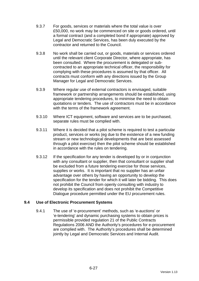- 9.3.7 For goods, services or materials where the total value is over £50,000, no work may be commenced on site or goods ordered, until a formal contract (and a completed bond if appropriate) approved by Legal and Democratic Services, has been duly executed by the contractor and returned to the Council.
- 9.3.8 No work shall be carried out, or goods, materials or services ordered until the relevant client Corporate Director, where appropriate, has been consulted. Where the procurement is delegated or subcontracted to an appropriate technical officer, the responsibility for complying with these procedures is assumed by that officer. All contracts must conform with any directions issued by the Group Manager for Legal and Democratic Services.
- 9.3.9 Where regular use of external contractors is envisaged, suitable framework or partnership arrangements should be established, using appropriate tendering procedures, to minimise the need to obtain quotations or tenders. The use of contractors must be in accordance with the terms of the framework agreement.
- 9.3.10 Where ICT equipment, software and services are to be purchased, separate rules must be complied with.
- 9.3.11 Where it is decided that a pilot scheme is required to test a particular product, services or works (eg due to the existence of a new funding stream or new technological developments that are best assessed through a pilot exercise) then the pilot scheme should be established in accordance with the rules on tendering.
- 9.3.12 If the specification for any tender is developed by or in conjunction with any consultant or supplier, then that consultant or supplier shall be excluded from a future tendering exercise for those services, supplies or works. It is important that no supplier has an unfair advantage over others by having an opportunity to develop the specification for the tender for which it will later be bidding. This does not prohibit the Council from openly consulting with industry to develop its specification and does not prohibit the Competitive Dialogue procedure permitted under the EU procurement rules.

## **9.4 Use of Electronic Procurement Systems**

9.4.1 The use of 'e-procurement' methods, such as 'e-auctions' or 'e-tendering' and dynamic purchasing systems to obtain prices is permissible provided regulation 21 of the Public Contracts Regulations 2006 AND the Authority's procedures for e-procurement are complied with. The Authority's procedures shall be determined jointly by Legal and Democratic Services and Internal Audit.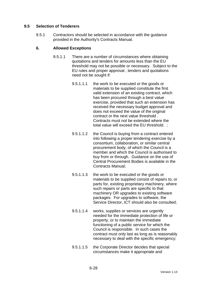## **9.5 Selection of Tenderers**

9.5.1 Contractors should be selected in accordance with the guidance provided in the Authority's Contracts Manual.

## **6. Allowed Exceptions**

- 9.5.1.1 There are a number of circumstances where obtaining quotations and tenders for amounts less than the EU threshold may not be possible or necessary. Subject to the EU rules and proper approval , tenders and quotations need not be sought if:
	- 9.5.1.1.1 the work to be executed or the goods or materials to be supplied constitute the first valid extension of an existing contract, which has been procured through a best value exercise, provided that such an extension has received the necessary budget approval and does not exceed the value of the original contract or the next value threshold . Contracts must not be extended where the total value will exceed the EU threshold. ;
	- 9.5.1.1.2 the Council is buying from a contract entered into following a proper tendering exercise by a consortium, collaboration, or similar central procurement body, of which the Council is a member and which the Council is authorised to buy from or through. Guidance on the use of Central Procurement Bodies is available in the Contracts Manual;
	- 9.5.1.1.3 the work to be executed or the goods or materials to be supplied consist of repairs to, or parts for, existing proprietary machinery, where such repairs or parts are specific to that machinery OR upgrades to existing software packages. For upgrades to software, the Service Director, ICT should also be consulted;
	- 9.5.1.1.4 works, supplies or services are urgently needed for the immediate protection of life or property, or to maintain the immediate functioning of a public service for which the Council is responsible. In such cases the contract must only last as long as is reasonably necessary to deal with the specific emergency;
	- 9.5.1.1.5 the Corporate Director decides that special circumstances make it appropriate and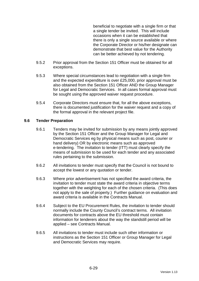beneficial to negotiate with a single firm or that a single tender be invited. This will include occasions when it can be established that there is only a single source available or where the Corporate Director or his/her designate can demonstrate that best value for the Authority can be better achieved by not tendering.

- 9.5.2 Prior approval from the Section 151 Officer must be obtained for all exceptions.
- 9.5.3 Where special circumstances lead to negotiation with a single firm and the expected expenditure is over £25,000, prior approval must be also obtained from the Section 151 Officer AND the Group Manager for Legal and Democratic Services. In all cases formal approval must be sought using the approved waiver request procedure.
- 9.5.4 Corporate Directors must ensure that, for all the above exceptions, there is documented justification for the waiver request and a copy of the formal approval in the relevant project file.

## **9.6 Tender Preparation**

- 9.6.1 Tenders may be invited for submission by any means jointly approved by the Section 151 Officer and the Group Manager for Legal and Democratic Services eg by physical means such as post, courier or hand delivery) OR by electronic means such as approved e-tendering. The invitation to tender (ITT) must clearly specify the means of submission to be used for each tender and any associated rules pertaining to the submission.
- 9.6.2 All invitations to tender must specify that the Council is not bound to accept the lowest or any quotation or tender.
- 9.6.3 Where prior advertisement has not specified the award criteria, the invitation to tender must state the award criteria in objective terms together with the weighting for each of the chosen criteria. (This does not apply to the sale of property.) Further guidance on evaluation and award criteria is available in the Contracts Manual.
- 9.6.4 Subject to the EU Procurement Rules, the invitation to tender should normally include the County Council's contract terms. All invitation documents for contracts above the EU threshold must contain information for tenderers about the way the standstill period will be applied – see Contracts Manual.
- 9.6.5 All invitations to tender must include such other information or instructions as the Section 151 Officer or Group Manager for Legal and Democratic Services may require.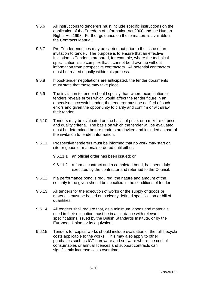- 9.6.6 All instructions to tenderers must include specific instructions on the application of the Freedom of Information Act 2000 and the Human Rights Act 1998. Further guidance on these matters is available in the Contracts Manual.
- 9.6.7 Pre-Tender enquiries may be carried out prior to the issue of an invitation to tender. The purpose is to ensure that an effective Invitation to Tender is prepared, for example, where the technical specification is so complex that it cannot be drawn up without information from prospective contractors. All potential contractors must be treated equally within this process.
- 9.6.8 If post-tender negotiations are anticipated, the tender documents must state that these may take place.
- 9.6.9 The invitation to tender should specify that, where examination of tenders reveals errors which would affect the tender figure in an otherwise successful tender, the tenderer must be notified of such errors and given the opportunity to clarify and confirm or withdraw their tender.
- 9.6.10 Tenders may be evaluated on the basis of price, or a mixture of price and quality criteria. The basis on which the tender will be evaluated must be determined before tenders are invited and included as part of the invitation to tender information.
- 9.6.11 Prospective tenderers must be informed that no work may start on site or goods or materials ordered until either:
	- 9.6.11.1 an official order has been issued; or
	- 9.6.11.2 a formal contract and a completed bond, has been duly executed by the contractor and returned to the Council.
- 9.6.12 If a performance bond is required, the nature and amount of the security to be given should be specified in the conditions of tender.
- 9.6.13 All tenders for the execution of works or the supply of goods or materials must be based on a clearly defined specification or bill of quantities.
- 9.6.14 All tenders shall require that, as a minimum, goods and materials used in their execution must be in accordance with relevant specifications issued by the British Standards Institute, or by the European Union, or its equivalent.
- 9.6.15 Tenders for capital works should include evaluation of the full lifecycle costs applicable to the works. This may also apply to other purchases such as ICT hardware and software where the cost of consumables or annual licences and support contracts can significantly increase costs over time.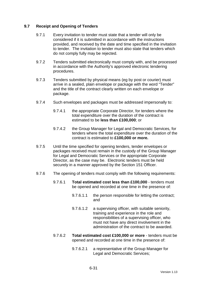## **9.7 Receipt and Opening of Tenders**

- 9.7.1 Every invitation to tender must state that a tender will only be considered if it is submitted in accordance with the instructions provided, and received by the date and time specified in the invitation to tender. The invitation to tender must also state that tenders which do not comply fully may be rejected.
- 9.7.2 Tenders submitted electronically must comply with, and be processed in accordance with the Authority's approved electronic tendering procedures.
- 9.7.3 Tenders submitted by physical means (eg by post or courier) must arrive in a sealed, plain envelope or package with the word "Tender" and the title of the contract clearly written on each envelope or package.
- 9.7.4 Such envelopes and packages must be addressed impersonally to:
	- 9.7.4.1 the appropriate Corporate Director, for tenders where the total expenditure over the duration of the contract is estimated to be **less than £100,000**; or
	- 9.7.4.2 the Group Manager for Legal and Democratic Services, for tenders where the total expenditure over the duration of the contract is estimated to **£100,000 or more.**
- 9.7.5 Until the time specified for opening tenders, tender envelopes or packages received must remain in the custody of the Group Manager for Legal and Democratic Services or the appropriate Corporate Director, as the case may be. Electronic tenders must be held securely in a manner approved by the Section 151 Officer.
- 9.7.6 The opening of tenders must comply with the following requirements:
	- 9.7.6.1 **Total estimated cost less than £100,000** tenders must be opened and recorded at one time in the presence of:
		- 9.7.6.1.1 the person responsible for letting the contract; and
		- 9.7.6.1.2 a supervising officer, with suitable seniority, training and experience in the role and responsibilities of a supervising officer, who must not have any direct involvement in the administration of the contract to be awarded.
	- 9.7.6.2 **Total estimated cost £100,000 or more** tenders must be opened and recorded at one time in the presence of:
		- 9.7.6.2.1 a representative of the Group Manager for Legal and Democratic Services;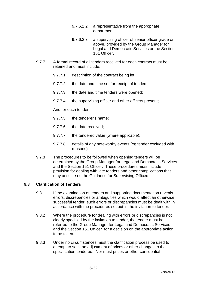- 9.7.6.2.2 a representative from the appropriate department;
- 9.7.6.2.3 a supervising officer of senior officer grade or above, provided by the Group Manager for Legal and Democratic Services or the Section 151 Officer.
- 9.7.7 A formal record of all tenders received for each contract must be retained and must include:
	- 9.7.7.1 description of the contract being let;
	- 9.7.7.2 the date and time set for receipt of tenders;
	- 9.7.7.3 the date and time tenders were opened;
	- 9.7.7.4 the supervising officer and other officers present;

And for each tender:

- 9.7.7.5 the tenderer's name;
- 9.7.7.6 the date received;
- 9.7.7.7 the tendered value (where applicable);
- 9.7.7.8 details of any noteworthy events (eg tender excluded with reasons).
- 9.7.8 The procedures to be followed when opening tenders will be determined by the Group Manager for Legal and Democratic Services and the Section 151 Officer. These procedures must include provision for dealing with late tenders and other complications that may arise – see the Guidance for Supervising Officers.

## **9.8 Clarification of Tenders**

- 9.8.1 If the examination of tenders and supporting documentation reveals errors, discrepancies or ambiguities which would affect an otherwise successful tender, such errors or discrepancies must be dealt with in accordance with the procedures set out in the invitation to tender.
- 9.8.2 Where the procedure for dealing with errors or discrepancies is not clearly specified by the invitation to tender, the tender must be referred to the Group Manager for Legal and Democratic Services and the Section 151 Officer for a decision on the appropriate action to be taken.
- 9.8.3 Under no circumstances must the clarification process be used to attempt to seek an adjustment of prices or other changes to the specification tendered. Nor must prices or other confidential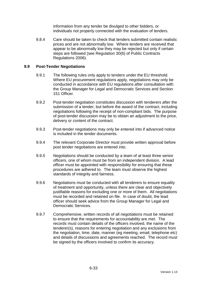information from any tender be divulged to other bidders, or individuals not properly connected with the evaluation of tenders.

9.8.4 Care should be taken to check that tenders submitted contain realistic prices and are not abnormally low. Where tenders are received that appear to be abnormally low they may be rejected but only if certain steps are followed (see Regulation 30(6) of Public Contracts Regulations 2006).

## **9.9 Post-Tender Negotiations**

- 9.9.1 The following rules only apply to tenders under the EU threshold. Where EU procurement regulations apply, negotiations may only be conducted in accordance with EU regulations after consultation with the Group Manager for Legal and Democratic Services and Section 151 Officer.
- 9.9.2 Post-tender negotiation constitutes discussion with tenderers after the submission of a tender, but before the award of the contract, including negotiations following the receipt of non-compliant bids. The purpose of post-tender discussion may be to obtain an adjustment to the price, delivery or content of the contract.
- 9.9.3 Post-tender negotiations may only be entered into if advanced notice is included in the tender documents.
- 9.9.4 The relevant Corporate Director must provide written approval before post tender negotiations are entered into.
- 9.9.5 Negotiations should be conducted by a team of at least three senior officers, one of whom must be from an independent division. A lead officer must be appointed with responsibility for ensuring that these procedures are adhered to. The team must observe the highest standards of integrity and fairness.
- 9.9.6 Negotiations must be conducted with all tenderers to ensure equality of treatment and opportunity, unless there are clear and objectively justifiable reasons for excluding one or more of them. All negotiations must be recorded and retained on file. In case of doubt, the lead officer should seek advice from the Group Manager for Legal and Democratic Services.
- 9.9.7 Comprehensive, written records of all negotiations must be retained to ensure that the requirements for accountability are met. The records must contain details of the officers involved, the name of the tenderer(s), reasons for entering negotiation and any exclusions from the negotiation, time, date, manner (eg meeting, email, telephone etc) and details of discussions and agreements reached. The record must be signed by the officers involved to confirm its accuracy.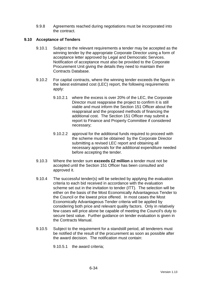9.9.8 Agreements reached during negotiations must be incorporated into the contract.

## **9.10 Acceptance of Tenders**

- 9.10.1 Subject to the relevant requirements a tender may be accepted as the winning tender by the appropriate Corporate Director using a form of acceptance letter approved by Legal and Democratic Services. Notification of acceptance must also be provided to the Corporate Procurement Unit giving the details they need to maintain their Contracts Database.
- 9.10.2 For capital contracts, where the winning tender exceeds the figure in the latest estimated cost (LEC) report, the following requirements apply:
	- 9.10.2.1 where the excess is over 20% of the LEC, the Corporate Director must reappraise the project to confirm it is still viable and must inform the Section 151 Officer about the reappraisal and the proposed methods of financing the additional cost. The Section 151 Officer may submit a report to Finance and Property Committee if considered necessary;
	- 9.10.2.2 approval for the additional funds required to proceed with the scheme must be obtained by the Corporate Director submitting a revised LEC report and obtaining all necessary approvals for the additional expenditure needed before accepting the tender.
- 9.10.3 Where the tender sum **exceeds £2 million** a tender must not be accepted until the Section 151 Officer has been consulted and approved it.
- 9.10.4 The successful tender(s) will be selected by applying the evaluation criteria to each bid received in accordance with the evaluation scheme set out in the invitation to tender (ITT). The selection will be either on the basis of the Most Economically Advantageous Tender to the Council or the lowest price offered. In most cases the Most Economically Advantageous Tender criteria will be applied by considering both price and relevant quality factors. Only in relatively few cases will price alone be capable of meeting the Council's duty to secure best value. Further guidance on tender evaluation is given in the Contracts Manual.
- 9.10.5 Subject to the requirement for a standstill period, all tenderers must be notified of the result of the procurement as soon as possible after the award decision. The notification must contain:

9.10.5.1 the award criteria;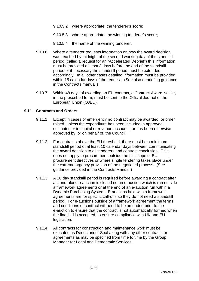- 9.10.5.2 where appropriate, the tenderer's score;
- 9.10.5.3 where appropriate, the winning tenderer's score;
- 9.10.5.4 the name of the winning tenderer.
- 9.10.6 Where a tenderer requests information on how the award decision was reached by midnight of the second working day of the standstill period (called a request for an "Accelerated Debrief") this information must be provided at least 3 days before the end of the standstill period or if necessary the standstill period must be extended accordingly. In all other cases detailed information must be provided within 15 calendar days of the request. (See also debriefing guidance in the Contracts manual.)
- 9.10.7 Within 48 days of awarding an EU contract, a Contract Award Notice, in the prescribed form, must be sent to the Official Journal of the European Union (OJEU).

### **9.11 Contracts and Orders**

- 9.11.1 Except in cases of emergency no contract may be awarded, or order raised, unless the expenditure has been included in approved estimates or in capital or revenue accounts, or has been otherwise approved by, or on behalf of, the Council.
- 9.11.2 For contracts above the EU threshold, there must be a minimum standstill period of at least 10 calendar days between communicating the award decision to all tenderers and contract conclusion. This does not apply to procurement outside the full scope of EU procurement directives or where single tendering takes place under the extreme urgency provision of the negotiated process. (See guidance provided in the Contracts Manual.)
- 9.11.3 A 10 day standstill period is required before awarding a contract after a stand-alone e-auction is closed (ie an e-auction which is run outside a framework agreement) or at the end of an e-auction run within a Dynamic Purchasing System. E-auctions held within framework agreements are for specific call-offs so they do not need a standstill period. For e-auctions outside of a framework agreement the terms and conditions of contract will need to be amended prior to the e-auction to ensure that the contract is not automatically formed when the final bid is accepted, to ensure compliance with UK and EU legislation.
- 9.11.4 All contracts for construction and maintenance work must be executed as Deeds under Seal along with any other contracts or agreements as may be specified from time to time by the Group Manager for Legal and Democratic Services.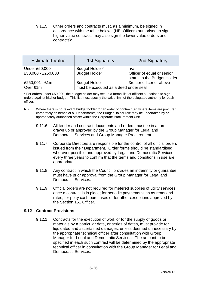9.11.5 Other orders and contracts must, as a minimum, be signed in accordance with the table below. (NB Officers authorised to sign higher value contracts may also sign the lower value orders and contracts):

| <b>Estimated Value</b> | <b>1st Signatory</b>                  | 2nd Signatory               |  |
|------------------------|---------------------------------------|-----------------------------|--|
| <b>Under £50,000</b>   | Budget Holder*                        | n/a                         |  |
| £50,000 - £250,000     | <b>Budget Holder</b>                  | Officer of equal or senior  |  |
|                        |                                       | status to the Budget Holder |  |
| £250,001 - £1m         | <b>Budget Holder</b>                  | 3rd tier officer or above   |  |
| Over £1m               | must be executed as a deed under seal |                             |  |

\* For orders under £50,000, the budget holder may set up a formal list of officers authorised to sign orders against his/her budget. This list must specify the value limit of the delegated authority for each officer.

- NB Where there is no relevant budget holder for an order or contract (eg where items are procured corporately on behalf of all Departments) the Budget Holder role may be undertaken by an appropriately authorised officer within the Corporate Procurement Unit.
	- 9.11.6 All tender and contract documents and orders must be in a form drawn up or approved by the Group Manager for Legal and Democratic Services and Group Manager Procurement.
	- 9.11.7 Corporate Directors are responsible for the control of all official orders issued from their Department. Order forms should be standardised wherever possible and approved by Legal and Democratic Services every three years to confirm that the terms and conditions in use are appropriate.
	- 9.11.8 Any contract in which the Council provides an indemnity or guarantee must have prior approval from the Group Manager for Legal and Democratic Services.
	- 9.11.9 Official orders are not required for metered supplies of utility services once a contract is in place; for periodic payments such as rents and rates; for petty cash purchases or for other exceptions approved by the Section 151 Officer.

## **9.12 Contract Provisions**

9.12.1 Contracts for the execution of work or for the supply of goods or materials by a particular date, or series of dates, must provide for liquidated and ascertained damages, unless deemed unnecessary by the appropriate technical officer after consultation with Group Manager for Legal and Democratic Services. The amount to be specified in each such contract will be determined by the appropriate technical officer in consultation with the Group Manager for Legal and Democratic Services.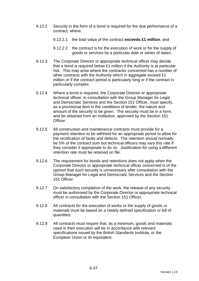- 9.12.2 Security in the form of a bond is required for the due performance of a contract, where:
	- 9.12.2.1 the total value of the contract **exceeds £1 million**; and
	- 9.12.2.2 the contract is for the execution of work or for the supply of goods or services by a particular date or series of dates.
- 9.12.3 The Corporate Director or appropriate technical officer may decide that a bond is required below £1 million if the Authority is at particular risk. This may arise where the contractor concerned has a number of other contracts with the Authority which in aggregate exceed £1 million or if the contract period is particularly long or if the contract is particularly complex.
- 9.12.4 Where a bond is required, the Corporate Director or appropriate technical officer, in consultation with the Group Manager for Legal and Democratic Services and the Section 151 Officer, must specify, as a provisional item in the conditions of tender, the nature and amount of the security to be given. The security must be in a form, and be obtained from an institution, approved by the Section 151 Officer.
- 9.12.5 All construction and maintenance contracts must provide for a payment retention to be withheld for an appropriate period to allow for the rectification of faults and defects. The retention should normally be 5% of the contract sum but technical officers may vary this rate if they consider it appropriate to do so. Justification for using a different retention rate must be retained on file.
- 9.12.6 The requirement for bonds and retentions does not apply when the Corporate Director or appropriate technical officer concerned is of the opinion that such security is unnecessary after consultation with the Group Manager for Legal and Democratic Services and the Section 151 Officer.
- 9.12.7 On satisfactory completion of the work, the release of any security must be authorised by the Corporate Director or appropriate technical officer in consultation with the Section 151 Officer.
- 9.12.8 All contracts for the execution of works or the supply of goods or materials must be based on a clearly defined specification or bill of quantities.
- 9.12.9 All contracts must require that, as a minimum, goods and materials used in their execution will be in accordance with relevant specifications issued by the British Standards Institute, or the European Union or its equivalent.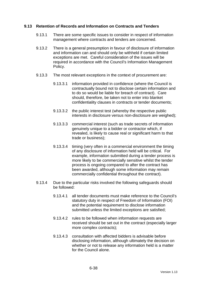### **9.13 Retention of Records and Information on Contracts and Tenders**

- 9.13.1 There are some specific issues to consider in respect of information management where contracts and tenders are concerned.
- 9.13.2 There is a general presumption in favour of disclosure of information and information can and should only be withheld if certain limited exceptions are met. Careful consideration of the issues will be required in accordance with the Council's Information Management Policy.
- 9.13.3 The most relevant exceptions in the context of procurement are:
	- 9.13.3.1 information provided in confidence (where the Council is contractually bound not to disclose certain information and to do so would be liable for breach of contract). Care should, therefore, be taken not to enter into blanket confidentiality clauses in contracts or tender documents;
	- 9.13.3.2 the public interest test (whereby the respective public interests in disclosure versus non-disclosure are weighed);
	- 9.13.3.3 commercial interest (such as trade secrets of information genuinely unique to a bidder or contractor which, if revealed, is likely to cause real or significant harm to that trade or business);
	- 9.13.3.4 timing (very often in a commercial environment the timing of any disclosure of information held will be critical. For example, information submitted during a tender process is more likely to be commercially sensitive whilst the tender process is ongoing compared to after the contract has been awarded, although some information may remain commercially confidential throughout the contract).
- 9.13.4 Due to the particular risks involved the following safeguards should be followed:
	- 9.13.4.1 all tender documents must make reference to the Council's statutory duty in respect of Freedom of Information (FOI) and the potential requirement to disclose information submitted unless the limited exceptions are satisfied;
	- 9.13.4.2 rules to be followed when information requests are received should be set out in the contract (especially larger more complex contracts);
	- 9.13.4.3 consultation with affected bidders is advisable before disclosing information, although ultimately the decision on whether or not to release any information held is a matter for the Council alone.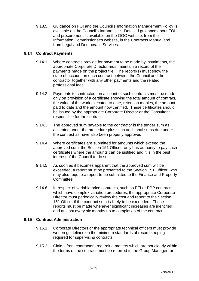9.13.5 Guidance on FOI and the Council's Information Management Policy is available on the Council's Intranet site. Detailed guidance about FOI and procurement is available on the OGC website, from the Information Commissioner's website, in the Contracts Manual and from Legal and Democratic Services.

# **9.14 Contract Payments**

- 9.14.1 Where contracts provide for payment to be made by instalments, the appropriate Corporate Director must maintain a record of the payments made on the project file. The record(s) must show the state of account on each contract between the Council and the contractor together with any other payments and the related professional fees.
- 9.14.2 Payments to contractors on account of such contracts must be made only on provision of a certificate showing the total amount of contract, the value of the work executed to date, retention monies, the amount paid to date and the amount now certified. These certificates should be issued by the appropriate Corporate Director or the Consultant responsible for the contract.
- 9.14.3 The approved sum payable to the contractor is the tender sum as accepted under the procedure plus such additional sums due under the contract as have also been properly approved.
- 9.14.4 Where certificates are submitted for amounts which exceed the approved sum, the Section 151 Officer only has authority to pay such certificates where the amounts can be justified and it is in the best interest of the Council to do so.
- 9.14.5 As soon as it becomes apparent that the approved sum will be exceeded, a report must be presented to the Section 151 Officer, who may also require a report to be submitted to the Finance and Property Committee.
- 9.14.6 In respect of variable price contracts, such as PFI or PPP contracts which have complex variation procedures, the appropriate Corporate Director must periodically review the cost and report to the Section 151 Officer if the contract sum is likely to be exceeded. These reports must be made whenever significant increases are identified and at least every six months up to completion of the contract.

### **9.15 Contract Administration**

- 9.15.1 Corporate Directors or the appropriate technical officers must provide written guidelines on the minimum standards of record keeping required for supervising contracts.
- 9.15.2 Claims from contractors regarding matters which are not clearly within the terms of the contract must be referred to the Group Manager for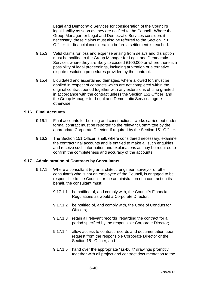Legal and Democratic Services for consideration of the Council's legal liability as soon as they are notified to the Council. Where the Group Manager for Legal and Democratic Services considers it necessary, these claims must also be referred to the Section 151 Officer for financial consideration before a settlement is reached.

- 9.15.3 Valid claims for loss and expense arising from delays and disruption must be notified to the Group Manager for Legal and Democratic Services where they are likely to exceed £100,000 or where there is a possibility of legal proceedings, including arbitration or alternative dispute resolution procedures provided by the contract.
- 9.15.4 Liquidated and ascertained damages, where allowed for, must be applied in respect of contracts which are not completed within the original contract period together with any extensions of time granted in accordance with the contract unless the Section 151 Officer and the Group Manager for Legal and Democratic Services agree otherwise.

#### **9.16 Final Accounts**

- 9.16.1 Final accounts for building and constructional works carried out under formal contract must be reported to the relevant Committee by the appropriate Corporate Director, if required by the Section 151 Officer.
- 9.16.2 The Section 151 Officer shall, where considered necessary, examine the contract final accounts and is entitled to make all such enquiries and receive such information and explanations as may be required to confirm the completeness and accuracy of the accounts.

### **9.17 Administration of Contracts by Consultants**

- 9.17.1 Where a consultant (eg an architect, engineer, surveyor or other consultant) who is not an employee of the Council, is engaged to be responsible to the Council for the administration of a contract on its behalf, the consultant must:
	- 9.17.1.1 be notified of, and comply with, the Council's Financial Regulations as would a Corporate Director;
	- 9.17.1.2 be notified of, and comply with, the Code of Conduct for Officers;
	- 9.17.1.3 retain all relevant records regarding the contract for a period specified by the responsible Corporate Director;
	- 9.17.1.4 allow access to contract records and documentation upon request from the responsible Corporate Director or the Section 151 Officer: and
	- 9.17.1.5 hand over the appropriate "as-built" drawings promptly together with all project and contract documentation to the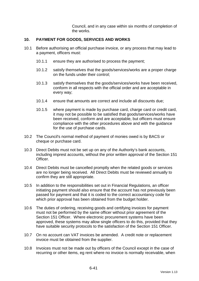Council, and in any case within six months of completion of the works.

### **10. PAYMENT FOR GOODS, SERVICES AND WORKS**

- 10.1 Before authorising an official purchase invoice, or any process that may lead to a payment, officers must:
	- 10.1.1 ensure they are authorised to process the payment;
	- 10.1.2 satisfy themselves that the goods/services/works are a proper charge on the funds under their control;
	- 10.1.3 satisfy themselves that the goods/services/works have been received, conform in all respects with the official order and are acceptable in every way;
	- 10.1.4 ensure that amounts are correct and include all discounts due;
	- 10.1.5 where payment is made by purchase card, charge card or credit card, it may not be possible to be satisfied that goods/services/works have been received, conform and are acceptable, but officers must ensure compliance with the other procedures above and with the guidance for the use of purchase cards.
- 10.2 The Council's normal method of payment of monies owed is by BACS or cheque or purchase card.
- 10.3 Direct Debits must not be set up on any of the Authority's bank accounts, including imprest accounts, without the prior written approval of the Section 151 Officer.
- 10.4 Direct Debits must be cancelled promptly when the related goods or services are no longer being received. All Direct Debits must be reviewed annually to confirm they are still appropriate.
- 10.5 In addition to the responsibilities set out in Financial Regulations, an officer initiating payment should also ensure that the account has not previously been passed for payment and that it is coded to the correct accountancy code for which prior approval has been obtained from the budget holder.
- 10.6 The duties of ordering, receiving goods and certifying invoices for payment must not be performed by the same officer without prior agreement of the Section 151 Officer. Where electronic procurement systems have been approved, these systems may allow single officers to do this, provided that they have suitable security protocols to the satisfaction of the Section 151 Officer.
- 10.7 On no account can VAT invoices be amended. A credit note or replacement invoice must be obtained from the supplier.
- 10.8 Invoices must not be made out by officers of the Council except in the case of recurring or other items, eg rent where no invoice is normally receivable, when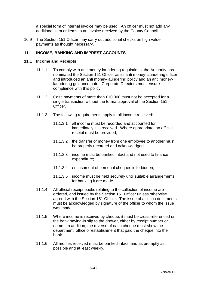a special form of internal invoice may be used. An officer must not add any additional item or items to an invoice received by the County Council.

10.9 The Section 151 Officer may carry out additional checks on high value payments as thought necessary.

### **11. INCOME, BANKING AND IMPREST ACCOUNTS**

#### **11.1 Income and Receipts**

- 11.1.1 To comply with anti money-laundering regulations, the Authority has nominated the Section 151 Officer as its anti money-laundering officer and introduced an anti money-laundering policy and an anti moneylaundering guidance note. Corporate Directors must ensure compliance with this policy.
- 11.1.2 Cash payments of more than £10,000 must not be accepted for a single transaction without the formal approval of the Section 151 Officer.
- 11.1.3 The following requirements apply to all income received:
	- 11.1.3.1 all income must be recorded and accounted for immediately it is received. Where appropriate, an official receipt must be provided;
	- 11.1.3.2 the transfer of money from one employee to another must be properly recorded and acknowledged;
	- 11.1.3.3 income must be banked intact and not used to finance expenditure;
	- 11.1.3.4 encashment of personal cheques is forbidden;
	- 11.1.3.5 income must be held securely until suitable arrangements for banking it are made.
- 11.1.4 All official receipt books relating to the collection of income are ordered, and issued by the Section 151 Officer unless otherwise agreed with the Section 151 Officer. The issue of all such documents must be acknowledged by signature of the officer to whom the issue was made.
- 11.1.5 Where income is received by cheque, it must be cross-referenced on the bank paying-in slip to the drawer, either by receipt number or name. In addition, the reverse of each cheque must show the department, office or establishment that paid the cheque into the bank.
- 11.1.6 All monies received must be banked intact, and as promptly as possible and at least weekly.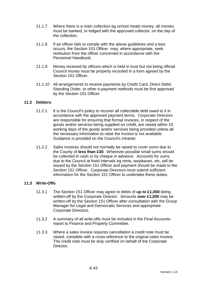- 11.1.7 Where there is a main collection eg school meals money, all monies must be banked, or lodged with the approved collector, on the day of the collection.
- 11.1.8 If an officer fails to comply with the above guidelines and a loss occurs, the Section 151 Officer may, where appropriate, seek restitution from the officer concerned in accordance with the Personnel Handbook.
- 11.1.9 Money received by officers which is held in trust but not being official Council money must be properly recorded in a form agreed by the Section 151 Officer
- 11.1.10 All arrangements to receive payments by Credit Card, Direct Debit, Standing Order, or other e-payment methods must be first approved by the Section 151 Officer.

### **11.2 Debtors**

- 11.2.1 It is the Council's policy to recover all collectable debt owed to it in accordance with the approved payment terms. Corporate Directors are responsible for ensuring that formal invoices, in respect of the goods and/or services being supplied on credit, are raised within 10 working days of the goods and/or services being provided unless all the necessary information to raise the invoice is not available. Guidance is provided on the Council's intranet.
- 11.2.2 Sales invoices should not normally be raised to cover sums due to the County of **less than £30**. Wherever possible small sums should be collected in cash or by cheque in advance. Accounts for sums due to the Council at fixed intervals eg rents, wayleaves, etc, will be issued by the Section 151 Officer and payment should be made to the Section 151 Officer. Corporate Directors must submit sufficient information for the Section 151 Officer to undertake these duties.

### **11.3 Write-Offs**

- 11.3.1 The Section 151 Officer may agree to debts of **up to £1,000** being written-off by the Corporate Director. Amounts **over £1,000** may be written-off by the Section 151 Officer after consultation with the Group Manager for Legal and Democratic Services and appropriate Corporate Directors.
- 11.3.2 A summary of all write-offs must be included in the Final Accounts report to Finance and Property Committee.
- 11.3.3 Where a sales invoice requires cancellation a credit note must be raised, complete with a cross-reference to the original sales invoice. The credit note must be duly certified on behalf of the Corporate Director.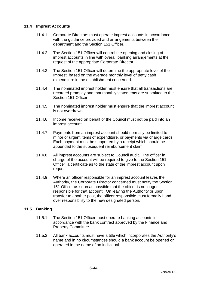### **11.4 Imprest Accounts**

- 11.4.1 Corporate Directors must operate imprest accounts in accordance with the guidance provided and arrangements between their department and the Section 151 Officer.
- 11.4.2 The Section 151 Officer will control the opening and closing of imprest accounts in line with overall banking arrangements at the request of the appropriate Corporate Director.
- 11.4.3 The Section 151 Officer will determine the appropriate level of the Imprest, based on the average monthly level of petty cash expenditure in the establishment concerned.
- 11.4.4 The nominated imprest holder must ensure that all transactions are recorded promptly and that monthly statements are submitted to the Section 151 Officer.
- 11.4.5 The nominated imprest holder must ensure that the imprest account is not overdrawn.
- 11.4.6 Income received on behalf of the Council must not be paid into an imprest account.
- 11.4.7 Payments from an imprest account should normally be limited to minor or urgent items of expenditure, or payments via charge cards. Each payment must be supported by a receipt which should be appended to the subsequent reimbursement claim.
- 11.4.8 All imprest accounts are subject to Council audit. The officer in charge of the account will be required to give to the Section 151 Officer a certificate as to the state of the imprest account upon request.
- 11.4.9 Where an officer responsible for an imprest account leaves the Authority, the Corporate Director concerned must notify the Section 151 Officer as soon as possible that the officer is no longer responsible for that account. On leaving the Authority or upon transfer to another post, the officer responsible must formally hand over responsibility to the new designated person.

### **11.5 Banking**

- 11.5.1 The Section 151 Officer must operate banking accounts in accordance with the bank contract approved by the Finance and Property Committee.
- 11.5.2 All bank accounts must have a title which incorporates the Authority's name and in no circumstances should a bank account be opened or operated in the name of an individual.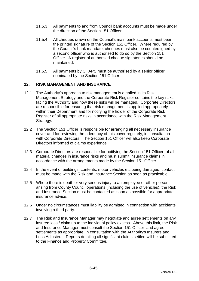- 11.5.3 All payments to and from Council bank accounts must be made under the direction of the Section 151 Officer.
- 11.5.4 All cheques drawn on the Council's main bank accounts must bear the printed signature of the Section 151 Officer. Where required by the Council's bank mandate, cheques must also be countersigned by a second officer who is authorised to do so by the Section 151 Officer. A register of authorised cheque signatories should be maintained.
- 11.5.5 All payments by CHAPS must be authorised by a senior officer nominated by the Section 151 Officer.

### **12. RISK MANAGEMENT AND INSURANCE**

- 12.1 The Authority's approach to risk management is detailed in its Risk Management Strategy and the Corporate Risk Register contains the key risks facing the Authority and how these risks will be managed. Corporate Directors are responsible for ensuring that risk management is applied appropriately within their Department and for notifying the holder of the Corporate Risk Register of all appropriate risks in accordance with the Risk Management Strategy.
- 12.2 The Section 151 Officer is responsible for arranging all necessary insurance cover and for reviewing the adequacy of this cover regularly, in consultation with Corporate Directors. The Section 151 Officer will also keep Corporate Directors informed of claims experience.
- 12.3 Corporate Directors are responsible for notifying the Section 151 Officer of all material changes in insurance risks and must submit insurance claims in accordance with the arrangements made by the Section 151 Officer.
- 12.4 In the event of buildings, contents, motor vehicles etc being damaged, contact must be made with the Risk and Insurance Section as soon as practicable.
- 12.5 Where there is death or very serious injury to an employee or other person arising from County Council operations (including the use of vehicles), the Risk and Insurance Section must be contacted as soon as possible for appropriate insurance advice.
- 12.6 Under no circumstances must liability be admitted in connection with accidents involving a third party.
- 12.7 The Risk and Insurance Manager may negotiate and agree settlements on any insured loss / claim up to the individual policy excess. Above this limit, the Risk and Insurance Manager must consult the Section 151 Officer and agree settlements as appropriate, in consultation with the Authority's Insurers and Loss Adjusters. Reports detailing all significant claims settled will be submitted to the Finance and Property Committee.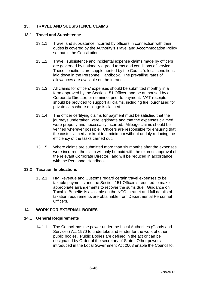# **13. TRAVEL AND SUBSISTENCE CLAIMS**

#### **13.1 Travel and Subsistence**

- 13.1.1 Travel and subsistence incurred by officers in connection with their duties is covered by the Authority's Travel and Accommodation Policy set out in the Constitution.
- 13.1.2 Travel, subsistence and incidental expense claims made by officers are governed by nationally agreed terms and conditions of service. These conditions are supplemented by the Council's local conditions laid down in the Personnel Handbook. The prevailing rates of allowances are available on the intranet.
- 13.1.3 All claims for officers' expenses should be submitted monthly in a form approved by the Section 151 Officer, and be authorised by a Corporate Director, or nominee, prior to payment. VAT receipts should be provided to support all claims, including fuel purchased for private cars where mileage is claimed.
- 13.1.4 The officer certifying claims for payment must be satisfied that the journeys undertaken were legitimate and that the expenses claimed were properly and necessarily incurred. Mileage claims should be verified wherever possible. Officers are responsible for ensuring that the costs claimed are kept to a minimum without unduly reducing the efficiency of the tasks carried out.
- 13.1.5 Where claims are submitted more than six months after the expenses were incurred, the claim will only be paid with the express approval of the relevant Corporate Director, and will be reduced in accordance with the Personnel Handbook.

### **13.2 Taxation Implications**

13.2.1 HM Revenue and Customs regard certain travel expenses to be taxable payments and the Section 151 Officer is required to make appropriate arrangements to recover the sums due. Guidance on Taxable Benefits is available on the NCC Intranet and full details of taxation requirements are obtainable from Departmental Personnel **Officers** 

### **14. WORK FOR EXTERNAL BODIES**

#### **14.1 General Requirements**

14.1.1 The Council has the power under the Local Authorities (Goods and Services) Act 1970 to undertake and tender for the work of other public bodies. Public Bodies are defined in the act or can be designated by Order of the secretary of State. Other powers introduced in the Local Government Act 2003 enable the Council to: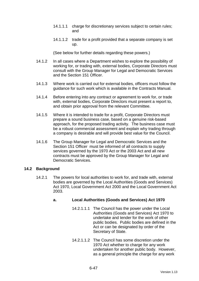- 14.1.1.1 charge for discretionary services subject to certain rules; and
- 14.1.1.2 trade for a profit provided that a separate company is set up.

(See below for further details regarding these powers.)

- 14.1.2 In all cases where a Department wishes to explore the possibility of working for, or trading with, external bodies, Corporate Directors must consult with the Group Manager for Legal and Democratic Services and the Section 151 Officer.
- 14.1.3 Where work is carried out for external bodies, officers must follow the guidance for such work which is available in the Contracts Manual.
- 14.1.4 Before entering into any contract or agreement to work for, or trade with, external bodies, Corporate Directors must present a report to, and obtain prior approval from the relevant Committee.
- 14.1.5 Where it is intended to trade for a profit, Corporate Directors must prepare a sound business case, based on a genuine risk-based approach, for the proposed trading activity. The business case must be a robust commercial assessment and explain why trading through a company is desirable and will provide best value for the Council.
- 14.1.6 The Group Manager for Legal and Democratic Services and the Section 151 Officer must be informed of all contracts to supply services governed by the 1970 Act or the 2003 Act and all new contracts must be approved by the Group Manager for Legal and Democratic Services.

### **14.2 Background**

14.2.1 The powers for local authorities to work for, and trade with, external bodies are governed by the Local Authorities (Goods and Services) Act 1970, Local Government Act 2000 and the Local Government Act 2003.

# **a. Local Authorities (Goods and Services) Act 1970**

- 14.2.1.1.1 The Council has the power under the Local Authorities (Goods and Services) Act 1970 to undertake and tender for the work of other public bodies. Public bodies are defined in the Act or can be designated by order of the Secretary of State.
- 14.2.1.1.2 The Council has some discretion under the 1970 Act whether to charge for any work undertaken for another public body. However, as a general principle the charge for any work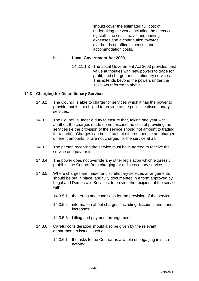should cover the estimated full cost of undertaking the work, including the direct cost eg staff time costs, travel and printing expenses and a contribution towards overheads eg office expenses and accommodation costs.

#### **b. Local Government Act 2003**

14.2.1.1.3 The Local Government Act 2003 provides best value authorities with new powers to trade for profit, and charge for discretionary services. This extends beyond the powers under the 1970 Act referred to above.

#### **14.3 Charging for Discretionary Services**

- 14.3.1 The Council is able to charge for services which it has the power to provide, but is not obliged to provide to the public, ie discretionary services.
- 14.3.2 The Council is under a duty to ensure that, taking one year with another, the charges made do not exceed the cost of providing the services (ie the provision of the service should not amount to trading for a profit). Charges can be set so that different people are charged different amounts, or are not charged for the service at all.
- 14.3.3 The person receiving the service must have agreed to receive the service and pay for it.
- 14.3.4 The power does not override any other legislation which expressly prohibits the Council from charging for a discretionary service.
- 14.3.5 Where charges are made for discretionary services arrangements should be put in place, and fully documented in a form approved by Legal and Democratic Services, to provide the recipient of the service with:
	- 14.3.5.1 the terms and conditions for the provision of the service;
	- 14.3.5.2 information about charges, including discounts and annual increases;
	- 14.3.5.3 billing and payment arrangements.
- 14.3.6 Careful consideration should also be given by the relevant department to issues such as:
	- 14.3.6.1 the risks to the Council as a whole of engaging in such activity;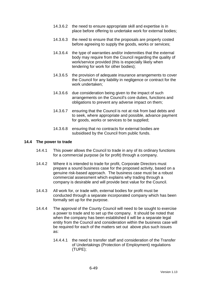- 14.3.6.2 the need to ensure appropriate skill and expertise is in place before offering to undertake work for external bodies;
- 14.3.6.3 the need to ensure that the proposals are properly costed before agreeing to supply the goods, works or services;
- 14.3.6.4 the type of warranties and/or indemnities that the external body may require from the Council regarding the quality of work/service provided (this is especially likely when tendering for work for other bodies);
- 14.3.6.5 the provision of adequate insurance arrangements to cover the Council for any liability in negligence or contract for the work undertaken;
- 14.3.6.6 due consideration being given to the impact of such arrangements on the Council's core duties, functions and obligations to prevent any adverse impact on them;
- 14.3.6.7 ensuring that the Council is not at risk from bad debts and to seek, where appropriate and possible, advance payment for goods, works or services to be supplied;
- 14.3.6.8 ensuring that no contracts for external bodies are subsidised by the Council from public funds.

#### **14.4 The power to trade**

- 14.4.1 This power allows the Council to trade in any of its ordinary functions for a commercial purpose (ie for profit) through a company.
- 14.4.2 Where it is intended to trade for profit, Corporate Directors must prepare a sound business case for the proposed activity, based on a genuine risk-based approach. The business case must be a robust commercial assessment which explains why trading through a company is desirable and will provide best value for the Council.
- 14.4.3 All work for, or trade with, external bodies for profit must be conducted through a separate incorporated company which has been formally set up for the purpose.
- 14.4.4 The approval of the County Council will need to be sought to exercise a power to trade and to set up the company. It should be noted that when the company has been established it will be a separate legal entity from the Council and consideration within the business case will be required for each of the matters set out above plus such issues as:
	- 14.4.4.1 the need to transfer staff and consideration of the Transfer of Undertakings (Protection of Employment) regulations (TUPE);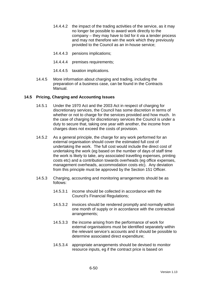- 14.4.4.2 the impact of the trading activities of the service, as it may no longer be possible to award work directly to the company – they may have to bid for it via a tender process and may not therefore win the work which they previously provided to the Council as an in-house service;
- 14.4.4.3 pensions implications;
- 14.4.4.4 premises requirements;
- 14.4.4.5 taxation implications.
- 14.4.5 More information about charging and trading, including the preparation of a business case, can be found in the Contracts Manual.

### **14.5 Pricing, Charging and Accounting Issues**

- 14.5.1 Under the 1970 Act and the 2003 Act in respect of charging for discretionary services, the Council has some discretion in terms of whether or not to charge for the services provided and how much. In the case of charging for discretionary services the Council is under a duty to secure that, taking one year with another, the income from charges does not exceed the costs of provision.
- 14.5.2 As a general principle, the charge for any work performed for an external organisation should cover the estimated full cost of undertaking the work. The full cost would include the direct cost of undertaking the work (eg based on the number of days of staff time the work is likely to take, any associated travelling expenses, printing costs etc) and a contribution towards overheads (eg office expenses, management overheads, accommodation costs etc). Any deviation from this principle must be approved by the Section 151 Officer.
- 14.5.3 Charging, accounting and monitoring arrangements should be as follows:
	- 14.5.3.1 income should be collected in accordance with the Council's Financial Regulations;
	- 14.5.3.2 invoices should be rendered promptly and normally within one month of supply or in accordance with the contractual arrangements;
	- 14.5.3.3 the income arising from the performance of work for external organisations must be identified separately within the relevant service's accounts and it should be possible to determine associated direct expenditure;
	- 14.5.3.4 appropriate arrangements should be devised to monitor resource inputs, eg if the contract price is based on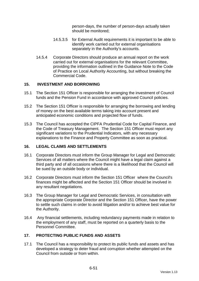person-days, the number of person-days actually taken should be monitored;

- 14.5.3.5 for External Audit requirements it is important to be able to identify work carried out for external organisations separately in the Authority's accounts.
- 14.5.4 Corporate Directors should produce an annual report on the work carried out for external organisations for the relevant Committee, providing the information outlined in the Guidance Note to the Code of Practice on Local Authority Accounting, but without breaking the Commercial Code.

### **15. INVESTMENT AND BORROWING**

- 15.1 The Section 151 Officer is responsible for arranging the investment of Council funds and the Pension Fund in accordance with approved Council policies.
- 15.2 The Section 151 Officer is responsible for arranging the borrowing and lending of money on the best available terms taking into account present and anticipated economic conditions and projected flow of funds.
- 15.3 The Council has accepted the CIPFA Prudential Code for Capital Finance, and the Code of Treasury Management. The Section 151 Officer must report any significant variations to the Prudential Indicators, with any necessary explanations to the Finance and Property Committee as soon as practical.

### **16. LEGAL CLAIMS AND SETTLEMENTS**

- 16.1 Corporate Directors must inform the Group Manager for Legal and Democratic Services of all matters where the Council might have a legal claim against a third party and of all occasions where there is a likelihood that the Council will be sued by an outside body or individual.
- 16.2 Corporate Directors must inform the Section 151 Officer where the Council's finances might be affected and the Section 151 Officer should be involved in any resultant negotiations.
- 16.3 The Group Manager for Legal and Democratic Services, in consultation with the appropriate Corporate Director and the Section 151 Officer, have the power to settle such claims in order to avoid litigation and/or to achieve best value for the Authority.
- 16.4 Any financial settlements, including redundancy payments made in relation to the employment of any staff, must be reported on a quarterly basis to the Personnel Committee.

# **17. PROTECTING PUBLIC FUNDS AND ASSETS**

17.1 The Council has a responsibility to protect its public funds and assets and has developed a strategy to deter fraud and corruption whether attempted on the Council from outside or from within.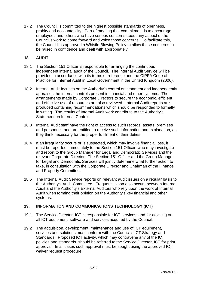17.2 The Council is committed to the highest possible standards of openness, probity and accountability. Part of meeting that commitment is to encourage employees and others who have serious concerns about any aspect of the Council's work to come forward and voice those concerns. To facilitate this, the Council has approved a Whistle Blowing Policy to allow these concerns to be raised in confidence and dealt with appropriately.

### **18. AUDIT**

- 18.1 The Section 151 Officer is responsible for arranging the continuous independent internal audit of the Council. The Internal Audit Service will be provided in accordance with its terms of reference and the CIPFA Code of Practice for Internal Audit in Local Government in the United Kingdom (2006).
- 18.2 Internal Audit focuses on the Authority's control environment and independently appraises the internal controls present in financial and other systems. The arrangements made by Corporate Directors to secure the economic, efficient and effective use of resources are also reviewed. Internal Audit reports are produced containing recommendations which should be responded to formally in writing. The results of Internal Audit work contribute to the Authority's Statement on Internal Control.
- 18.3 Internal Audit staff have the right of access to such records, assets, premises and personnel, and are entitled to receive such information and explanation, as they think necessary for the proper fulfilment of their duties.
- 18.4 If an irregularity occurs or is suspected, which may involve financial loss, it must be reported immediately to the Section 151 Officer who may investigate and report to the Group Manager for Legal and Democratic Services and the relevant Corporate Director. The Section 151 Officer and the Group Manager for Legal and Democratic Services will jointly determine what further action to take, in consultation with the Corporate Director and Chairman of the Finance and Property Committee.
- 18.5 The Internal Audit Service reports on relevant audit issues on a regular basis to the Authority's Audit Committee. Frequent liaison also occurs between Internal Audit and the Authority's External Auditors who rely upon the work of Internal Audit when forming their opinion on the Authority's key financial and other systems.

# **19. INFORMATION AND COMMUNICATIONS TECHNOLOGY (ICT)**

- 19.1 The Service Director, ICT is responsible for ICT services, and for advising on all ICT equipment, software and services acquired by the Council.
- 19.2 The acquisition, development, maintenance and use of ICT equipment, services and solutions must conform with the Council's ICT Strategy and Standards. Proposed ICT activity, which may contravene any of the ICT policies and standards, should be referred to the Service Director, ICT for prior approval. In all cases such approval must be sought using the approved ICT waiver request procedure.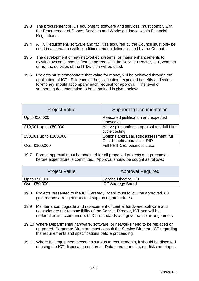- 19.3 The procurement of ICT equipment, software and services, must comply with the Procurement of Goods, Services and Works guidance within Financial Regulations.
- 19.4 All ICT equipment, software and facilities acquired by the Council must only be used in accordance with conditions and guidelines issued by the Council.
- 19.5 The development of new networked systems, or major enhancements to existing systems, should first be agreed with the Service Director, ICT, whether or not the services of the IT Division will be used.
- 19.6 Projects must demonstrate that value for money will be achieved through the application of ICT. Evidence of the justification, expected benefits and valuefor-money should accompany each request for approval. The level of supporting documentation to be submitted is given below:

| <b>Project Value</b>   | <b>Supporting Documentation</b>                                          |
|------------------------|--------------------------------------------------------------------------|
| Up to £10,000          | Reasoned justification and expected<br>timescales                        |
| £10,001 up to £50,000  | Above plus options appraisal and full Life-<br>cycle costing             |
| £50,001 up to £100,000 | Options appraisal, Risk assessment, full<br>Cost-benefit appraisal + PID |
| Over £100,000          | Full PRINCE2 business case                                               |

19.7 Formal approval must be obtained for all proposed projects and purchases before expenditure is committed. Approval should be sought as follows:

| <b>Project Value</b> | <b>Approval Required</b>  |
|----------------------|---------------------------|
| Up to £50,000        | Service Director, ICT     |
| Over £50,000         | <b>ICT Strategy Board</b> |

- 19.8 Projects presented to the ICT Strategy Board must follow the approved ICT governance arrangements and supporting procedures.
- 19.9 Maintenance, upgrade and replacement of central hardware, software and networks are the responsibility of the Service Director, ICT and will be undertaken in accordance with ICT standards and governance arrangements.
- 19.10 Where Departmental hardware, software, or networks need to be replaced or upgraded, Corporate Directors must consult the Service Director, ICT regarding the requirements and specifications before proceeding.
- 19.11 Where ICT equipment becomes surplus to requirements, it should be disposed of using the ICT disposal procedures. Data storage media, eg disks and tapes,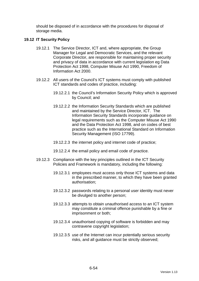should be disposed of in accordance with the procedures for disposal of storage media.

### **19.12 IT Security Policy**

- 19.12.1 The Service Director, ICT and, where appropriate, the Group Manager for Legal and Democratic Services, and the relevant Corporate Director, are responsible for maintaining proper security and privacy of data in accordance with current legislation eg Data Protection Act 1998, Computer Misuse Act 1990, Freedom of Information Act 2000.
- 19.12.2 All users of the Council's ICT systems must comply with published ICT standards and codes of practice, including:
	- 19.12.2.1 the Council's Information Security Policy which is approved by Council; and
	- 19.12.2.2 the Information Security Standards which are published and maintained by the Service Director, ICT. The Information Security Standards incorporate guidance on legal requirements such as the Computer Misuse Act 1990 and the Data Protection Act 1998, and on codes of best practice such as the International Standard on Information Security Management (ISO 17799).
	- 19.12.2.3 the internet policy and internet code of practice;
	- 19.12.2.4 the email policy and email code of practice.
- 19.12.3 Compliance with the key principles outlined in the ICT Security Policies and Framework is mandatory, including the following:
	- 19.12.3.1 employees must access only those ICT systems and data in the prescribed manner, to which they have been granted authorisation;
	- 19.12.3.2 passwords relating to a personal user identity must never be divulged to another person;
	- 19.12.3.3 attempts to obtain unauthorised access to an ICT system may constitute a criminal offence punishable by a fine or imprisonment or both;
	- 19.12.3.4 unauthorised copying of software is forbidden and may contravene copyright legislation;
	- 19.12.3.5 use of the Internet can incur potentially serious security risks, and all guidance must be strictly observed;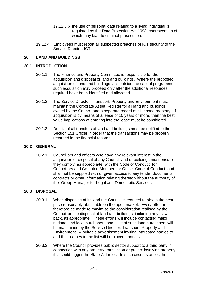- 19.12.3.6 the use of personal data relating to a living individual is regulated by the Data Protection Act 1998, contravention of which may lead to criminal prosecution.
- 19.12.4 Employees must report all suspected breaches of ICT security to the Service Director, ICT.

# **20. LAND AND BUILDINGS**

#### **20.1 INTRODUCTION**

- 20.1.1 The Finance and Property Committee is responsible for the acquisition and disposal of land and buildings. Where the proposed acquisition of land and buildings falls outside the capital programme, such acquisition may proceed only after the additional resources required have been identified and allocated.
- 20.1.2 The Service Director, Transport, Property and Environment must maintain the Corporate Asset Register for all land and buildings owned by the Council and a separate record of all leased property. If acquisition is by means of a lease of 10 years or more, then the best value implications of entering into the lease must be considered.
- 20.1.3 Details of all transfers of land and buildings must be notified to the Section 151 Officer in order that the transactions may be properly recorded in the financial records.

### **20.2 GENERAL**

20.2.1 Councillors and officers who have any relevant interest in the acquisition or disposal of any Council land or buildings must ensure they comply, as appropriate, with the Code of Conduct for Councillors and Co-opted Members or Officer Code of Conduct, and shall not be supplied with or given access to any tender documents, contracts or other information relating thereto without the authority of the Group Manager for Legal and Democratic Services.

### **20.3 DISPOSAL**

- 20.3.1 When disposing of its land the Council is required to obtain the best price reasonably obtainable on the open market. Every effort must therefore be made to maximise the consideration realised by the Council on the disposal of land and buildings, including any clawback, as appropriate. These efforts will include contacting major national and local purchasers and a list of such land purchasers will be maintained by the Service Director, Transport, Property and Environment. A suitable advertisement inviting interested parties to add their names to the list will be placed annually.
- 20.3.2 Where the Council provides public sector support to a third party in connection with any property transaction or project involving property, this could trigger the State Aid rules. In such circumstances the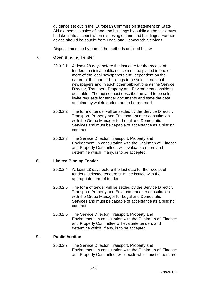guidance set out in the 'European Commission statement on State Aid elements in sales of land and buildings by public authorities' must be taken into account when disposing of land and buildings. Further advice should be sought from Legal and Democratic Services.

Disposal must be by one of the methods outlined below:

### **7. Open Binding Tender**

- 20.3.2.1 At least 28 days before the last date for the receipt of tenders, an initial public notice must be placed in one or more of the local newspapers and, dependent on the nature of the land or buildings to be sold, in national newspapers and in such other publications as the Service Director, Transport, Property and Environment considers desirable. The notice must describe the land to be sold, invite requests for tender documents and state the date and time by which tenders are to be returned.
- 20.3.2.2 The form of tender will be settled by the Service Director, Transport, Property and Environment after consultation with the Group Manager for Legal and Democratic Services and must be capable of acceptance as a binding contract.
- 20.3.2.3 The Service Director, Transport, Property and Environment, in consultation with the Chairman of Finance and Property Committee , will evaluate tenders and determine which, if any, is to be accepted.

### **8. Limited Binding Tender**

- 20.3.2.4 At least 28 days before the last date for the receipt of tenders, selected tenderers will be issued with the appropriate form of tender.
- 20.3.2.5 The form of tender will be settled by the Service Director, Transport, Property and Environment after consultation with the Group Manager for Legal and Democratic Services and must be capable of acceptance as a binding contract.
- 20.3.2.6 The Service Director, Transport, Property and Environment, in consultation with the Chairman of Finance and Property Committee will evaluate tenders and determine which, if any, is to be accepted.

### **9. Public Auction**

20.3.2.7 The Service Director, Transport, Property and Environment, in consultation with the Chairman of Finance and Property Committee, will decide which auctioneers are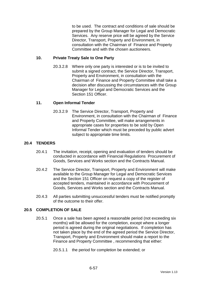to be used. The contract and conditions of sale should be prepared by the Group Manager for Legal and Democratic Services. Any reserve price will be agreed by the Service Director, Transport, Property and Environment, in consultation with the Chairman of Finance and Property Committee and with the chosen auctioneers.

### **10. Private Treaty Sale to One Party**

20.3.2.8 Where only one party is interested or is to be invited to submit a signed contract, the Service Director, Transport, Property and Environment, in consultation with the Chairman of Finance and Property Committee shall take a decision after discussing the circumstances with the Group Manager for Legal and Democratic Services and the Section 151 Officer.

### **11. Open Informal Tender**

20.3.2.9 The Service Director, Transport, Property and Environment, in consultation with the Chairman of Finance and Property Committee, will make arrangements in appropriate cases for properties to be sold by Open Informal Tender which must be preceded by public advert subject to appropriate time limits.

# **20.4 TENDERS**

- 20.4.1 The invitation, receipt, opening and evaluation of tenders should be conducted in accordance with Financial Regulations Procurement of Goods, Services and Works section and the Contracts Manual.
- 20.4.2 The Service Director, Transport, Property and Environment will make available to the Group Manager for Legal and Democratic Services and the Section 151 Officer on request a copy of the register of accepted tenders, maintained in accordance with Procurement of Goods, Services and Works section and the Contracts Manual.
- 20.4.3 All parties submitting unsuccessful tenders must be notified promptly of the outcome to their offer.

### **20.5 COMPLETION OF SALE**

- 20.5.1 Once a sale has been agreed a reasonable period (not exceeding six months) will be allowed for the completion, except where a longer period is agreed during the original negotiations. If completion has not taken place by the end of the agreed period the Service Director, Transport, Property and Environment should make a report to the Finance and Property Committee , recommending that either:
	- 20.5.1.1 the period for completion be extended; or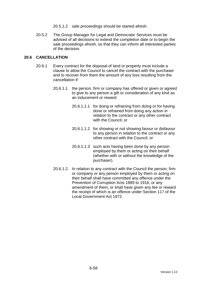- 20.5.1.2 sale proceedings should be started afresh.
- 20.5.2 The Group Manager for Legal and Democratic Services must be advised of all decisions to extend the completion date or to begin the sale proceedings afresh, so that they can inform all interested parties of the decision.

### **20.6 CANCELLATION**

- 20.6.1 Every contract for the disposal of land or property must include a clause to allow the Council to cancel the contract with the purchaser and to recover from them the amount of any loss resulting from the cancellation if:
	- 20.6.1.1 the person, firm or company has offered or given or agreed to give to any person a gift or consideration of any kind as an inducement or reward:
		- 20.6.1.1.1 for doing or refraining from doing or for having done or refrained from doing any action in relation to the contract or any other contract with the Council; or
		- 20.6.1.1.2 for showing or not showing favour or disfavour to any person in relation to the contract or any other contract with the Council; or
		- 20.6.1.1.3 such acts having been done by any person employed by them or acting on their behalf (whether with or without the knowledge of the purchaser).
	- 20.6.1.2 In relation to any contract with the Council the person, firm or company or any person employed by them or acting on their behalf shall have committed any offence under the Prevention of Corruption Acts 1889 to 1916, or any amendment of them, or shall have given any fee or reward the receipt of which is an offence under Section 117 of the Local Government Act 1972.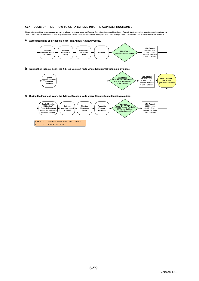#### 4.2.1 DECISION TREE - HOW TO GET A SCHEME INTO THE CAPITAL PROGRAMME

All capital expenditure requires approval by the relevant approval body. All County Council projects requiring County Council funds should be appraised and prioritised by<br>CAMG. Proposed expenditure on land acquisitions a

a. At the beginning of a Financial Year - The Annual Review Process.



LEC = Latest Estimate Cost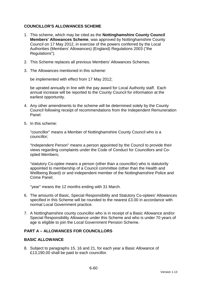# **COUNCILLOR'S ALLOWANCES SCHEME**

- 1. This scheme, which may be cited as the **Nottinghamshire County Council Members' Allowances Scheme**, was approved by Nottinghamshire County Council on 17 May 2012, in exercise of the powers conferred by the Local Authorities (Members' Allowances) (England) Regulations 2003 ("the Regulations").
- 2. This Scheme replaces all previous Members' Allowances Schemes.
- 3. The Allowances mentioned in this scheme:

be implemented with effect from 17 May 2012;

be uprated annually in line with the pay award for Local Authority staff. Each annual increase will be reported to the County Council for information at the earliest opportunity.

- 4. Any other amendments to the scheme will be determined solely by the County Council following receipt of recommendations from the Independent Remuneration Panel.
- 5. In this scheme:

"councillor" means a Member of Nottinghamshire County Council who is a councillor;

"Independent Person" means a person appointed by the Council to provide their views regarding complaints under the Code of Conduct for Councillors and Coopted Members;

"statutory Co-optee means a person (other than a councillor) who is statutorily appointed to membership of a Council committee (other than the Health and Wellbeing Board) or and independent member of the Nottinghamshire Police and Crime Panel;

"year" means the 12 months ending with 31 March.

- 6. The amounts of Basic, Special Responsibility and Statutory Co-optees' Allowances specified in this Scheme will be rounded to the nearest £3.00 in accordance with normal Local Government practice.
- 7. A Nottinghamshire county councillor who is in receipt of a Basic Allowance and/or Special Responsibility Allowance under this Scheme and who is under 70 years of age is eligible to join the Local Government Pension Scheme.

### **PART A – ALLOWANCES FOR COUNCILLORS**

### **BASIC ALLOWANCE**

8. Subject to paragraphs 15, 16 and 21, for each year a Basic Allowance of £13,190.00 shall be paid to each councillor.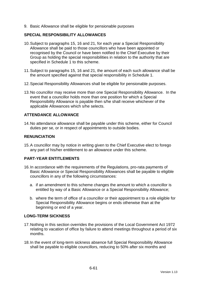9. Basic Allowance shall be eligible for pensionable purposes

### **SPECIAL RESPONSIBILITY ALLOWANCES**

- 10. Subject to paragraphs 15, 16 and 21, for each year a Special Responsibility Allowance shall be paid to those councillors who have been appointed or recognised by the Council or have been notified to the Chief Executive by their Group as holding the special responsibilities in relation to the authority that are specified in Schedule 1 to this scheme.
- 11. Subject to paragraphs 15, 16 and 21, the amount of each such allowance shall be the amount specified against that special responsibility in Schedule 1.
- 12. Special Responsibility Allowances shall be eligible for pensionable purposes.
- 13. No councillor may receive more than one Special Responsibility Allowance. In the event that a councillor holds more than one position for which a Special Responsibility Allowance is payable then s/he shall receive whichever of the applicable Allowances which s/he selects.

# **ATTENDANCE ALLOWANCE**

14. No attendance allowance shall be payable under this scheme, either for Council duties per se, or in respect of appointments to outside bodies.

### **RENUNCIATION**

15. A councillor may by notice in writing given to the Chief Executive elect to forego any part of his/her entitlement to an allowance under this scheme.

### **PART-YEAR ENTITLEMENTS**

- 16. In accordance with the requirements of the Regulations, pro-rata payments of Basic Allowance or Special Responsibility Allowances shall be payable to eligible councillors in any of the following circumstances:
	- a. if an amendment to this scheme changes the amount to which a councillor is entitled by way of a Basic Allowance or a Special Responsibility Allowance;
	- b. where the term of office of a councillor or their appointment to a role eligible for Special Responsibility Allowance begins or ends otherwise than at the beginning or end of a year.

### **LONG-TERM SICKNESS**

- 17. Nothing in this section overrides the provisions of the Local Government Act 1972 relating to vacation of office by failure to attend meetings throughout a period of six months.
- 18. In the event of long-term sickness absence full Special Responsibility Allowance shall be payable to eligible councillors, reducing to 50% after six months and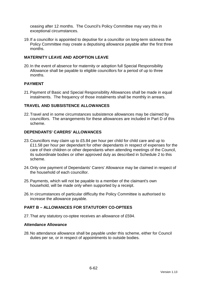ceasing after 12 months. The Council's Policy Committee may vary this in exceptional circumstances.

19. If a councillor is appointed to deputise for a councillor on long-term sickness the Policy Committee may create a deputising allowance payable after the first three months.

# **MATERNITY LEAVE AND ADOPTION LEAVE**

20. In the event of absence for maternity or adoption full Special Responsibility Allowance shall be payable to eligible councillors for a period of up to three months.

### **PAYMENT**

21. Payment of Basic and Special Responsibility Allowances shall be made in equal instalments. The frequency of those instalments shall be monthly in arrears.

### **TRAVEL AND SUBSISTENCE ALLOWANCES**

22. Travel and in some circumstances subsistence allowances may be claimed by councillors. The arrangements for these allowances are included in Part D of this scheme.

### **DEPENDANTS' CARERS' ALLOWANCES**

- 23. Councillors may claim up to £5.84 per hour per child for child care and up to £11.58 per hour per dependant for other dependants in respect of expenses for the care of their children or other dependants when attending meetings of the Council, its subordinate bodies or other approved duty as described in Schedule 2 to this scheme.
- 24. Only one payment of Dependants' Carers' Allowance may be claimed in respect of the household of each councillor.
- 25. Payments, which will not be payable to a member of the claimant's own household, will be made only when supported by a receipt.
- 26. In circumstances of particular difficulty the Policy Committee is authorised to increase the allowance payable.

# **PART B – ALLOWANCES FOR STATUTORY CO-OPTEES**

27. That any statutory co-optee receives an allowance of £594.

#### **Attendance Allowance**

28. No attendance allowance shall be payable under this scheme, either for Council duties per se, or in respect of appointments to outside bodies.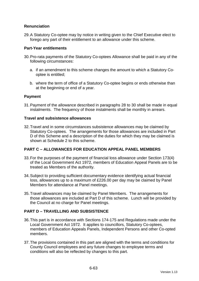# **Renunciation**

29. A Statutory Co-optee may by notice in writing given to the Chief Executive elect to forego any part of their entitlement to an allowance under this scheme.

### **Part-Year entitlements**

- 30. Pro-rata payments of the Statutory Co-optees Allowance shall be paid in any of the following circumstances:
	- a. if an amendment to this scheme changes the amount to which a Statutory Cooptee is entitled;
	- b. where the term of office of a Statutory Co-optee begins or ends otherwise than at the beginning or end of a year.

### **Payment**

31. Payment of the allowance described in paragraphs 28 to 30 shall be made in equal instalments. The frequency of those instalments shall be monthly in arrears.

### **Travel and subsistence allowances**

32. Travel and in some circumstances subsistence allowances may be claimed by Statutory Co-optees. The arrangements for those allowances are included in Part D of this Scheme and a description of the duties for which they may be claimed is shown at Schedule 2 to this scheme.

# **PART C – ALLOWANCES FOR EDUCATION APPEAL PANEL MEMBERS**

- 33. For the purposes of the payment of financial loss allowance under Section 173(4) of the Local Government Act 1972, members of Education Appeal Panels are to be treated as Members of the authority.
- 34. Subject to providing sufficient documentary evidence identifying actual financial loss, allowances up to a maximum of £226.00 per day may be claimed by Panel Members for attendance at Panel meetings.
- 35. Travel allowances may be claimed by Panel Members. The arrangements for those allowances are included at Part D of this scheme. Lunch will be provided by the Council at no charge for Panel meetings.

# **PART D – TRAVELLING AND SUBSISTENCE**

- 36. This part is in accordance with Sections 174-175 and Regulations made under the Local Government Act 1972. It applies to councillors, Statutory Co-optees, members of Education Appeals Panels, Independent Persons and other Co-opted members.
- 37. The provisions contained in this part are aligned with the terms and conditions for County Council employees and any future changes to employee terms and conditions will also be reflected by changes to this part.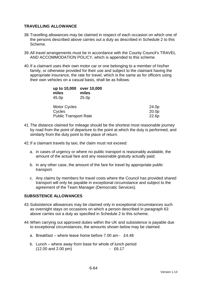### **TRAVELLING ALLOWANCE**

- 38. Travelling allowances may be claimed in respect of each occasion on which one of the persons described above carries out a duty as described in Schedule 2 to this Scheme.
- 39. All travel arrangements must be in accordance with the County Council's TRAVEL AND ACCOMMODATION POLICY, which is appended to this scheme.
- 40. If a claimant uses their own motor car or one belonging to a member of his/her family, or otherwise provided for their use and subject to the claimant having the appropriate insurance, the rate for travel, which is the same as for officers using their own vehicles on a casual basis, shall be as follows:

| up to 10,000<br>miles<br>45.0p | over 10,000<br>miles<br>25.0 <sub>p</sub> |       |
|--------------------------------|-------------------------------------------|-------|
| <b>Motor Cycles</b>            |                                           | 24.0p |
| Cycles                         |                                           | 20.0p |
| <b>Public Transport Rate</b>   |                                           | 22.6p |

- 41. The distance claimed for mileage should be the shortest most reasonable journey by road from the point of departure to the point at which the duty is performed, and similarly from the duty point to the place of return.
- 42. If a claimant travels by taxi, the claim must not exceed:
	- a. in cases of urgency or where no public transport is reasonably available, the amount of the actual fare and any reasonable gratuity actually paid;
	- b. in any other case, the amount of the fare for travel by appropriate public transport.
	- c. Any claims by members for travel costs where the Council has provided shared transport will only be payable in exceptional circumstance and subject to the agreement of the Team Manager (Democratic Services).

### **SUBSISTENCE ALLOWANCES**

- 43. Subsistence allowances may be claimed only in exceptional circumstances such as overnight stays on occasions on which a person described in paragraph 63 above carries out a duty as specified in Schedule 2 to this scheme.
- 44. When carrying out approved duties within the UK and subsistence is payable due to exceptional circumstances, the amounts shown below may be claimed.
	- a. Breakfast where leave home before 7.00 am £4.48
	- b. Lunch where away from base for whole of lunch period (12.00 and 2.00 pm) - £6.17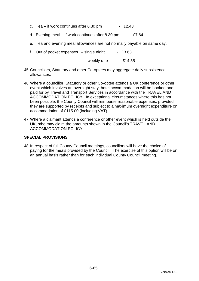- c. Tea if work continues after  $6.30 \text{ pm}$  £2.43
- d. Evening meal if work continues after 8.30 pm £7.64
- e. Tea and evening meal allowances are not normally payable on same day.
- f. Out of pocket expenses  $-$  single night  $-$  £3.63

 $-$  weekly rate  $-$  £14.55

- 45. Councillors, Statutory and other Co-optees may aggregate daily subsistence allowances.
- 46. Where a councillor, Statutory or other Co-optee attends a UK conference or other event which involves an overnight stay, hotel accommodation will be booked and paid for by Travel and Transport Services in accordance with the TRAVEL AND ACCOMMODATION POLICY. In exceptional circumstances where this has not been possible, the County Council will reimburse reasonable expenses, provided they are supported by receipts and subject to a maximum overnight expenditure on accommodation of £115.00 (including VAT).
- 47. Where a claimant attends a conference or other event which is held outside the UK, s/he may claim the amounts shown in the Council's TRAVEL AND ACCOMMODATION POLICY.

### **SPECIAL PROVISIONS**

48. In respect of full County Council meetings, councillors will have the choice of paying for the meals provided by the Council. The exercise of this option will be on an annual basis rather than for each individual County Council meeting.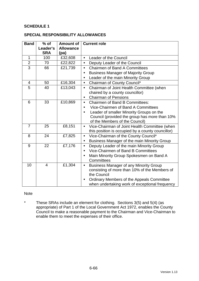# **SCHEDULE 1**

### **SPECIAL RESPONSIBILITY ALLOWANCES**

| <b>Band</b>    | $%$ of         | <b>Amount of</b> | <b>Current role</b>                                        |  |
|----------------|----------------|------------------|------------------------------------------------------------|--|
|                | Leader's       | <b>Allowance</b> |                                                            |  |
|                | <b>SRA</b>     | (pa)             |                                                            |  |
| $\mathbf{1}$   | 100            | £32,608          | Leader of the Council<br>$\bullet$                         |  |
| $\overline{2}$ | 70             | £22,822          | Deputy Leader of the Council<br>$\bullet$                  |  |
| $\overline{3}$ | 66             | £21,739          | <b>Chairmen of Band A Committees</b><br>$\bullet$          |  |
|                |                |                  | <b>Business Manager of Majority Group</b><br>$\bullet$     |  |
|                |                |                  | Leader of the main Minority Group                          |  |
| $\overline{4}$ | 50             | £16,304          | Chairman of County Council*<br>$\bullet$                   |  |
| 5              | 40             | £13,043          | Chairman of Joint Health Committee (when<br>$\bullet$      |  |
|                |                |                  | chaired by a county councillor)                            |  |
|                |                |                  | <b>Chairman of Pensions</b><br>$\bullet$                   |  |
| 6              | 33             | £10,869          | <b>Chairmen of Band B Committees:</b><br>$\bullet$         |  |
|                |                |                  | Vice-Chairmen of Band A Committees                         |  |
|                |                |                  | Leader of smaller Minority Groups on the<br>$\bullet$      |  |
|                |                |                  | Council (provided the group has more than 10%              |  |
|                |                |                  | of the Members of the Council)                             |  |
| $\overline{7}$ | 25             | £8,151           | Vice-Chairman of Joint Health Committee (when<br>$\bullet$ |  |
|                |                |                  | this position is occupied by a county councillor)          |  |
| 8              | 24             | £7,825           | Vice-Chairman of the County Council*<br>$\bullet$          |  |
|                |                |                  | Business Manager of the main Minority Group<br>$\bullet$   |  |
| 9              | 22             | £7,176           | Deputy Leader of the main Minority Group<br>$\bullet$      |  |
|                |                |                  | Vice-Chairmen of Band B Committees<br>$\bullet$            |  |
|                |                |                  | Main Minority Group Spokesmen on Band A                    |  |
|                |                |                  | Committees                                                 |  |
| 10             | $\overline{4}$ | £1,304           | <b>Business Manager of any Minority Group</b><br>$\bullet$ |  |
|                |                |                  | consisting of more than 10% of the Members of              |  |
|                |                |                  | the Council                                                |  |
|                |                |                  | Ordinary Members of the Appeals Committee<br>$\bullet$     |  |
|                |                |                  | when undertaking work of exceptional frequency             |  |

### Note

\* These SRAs include an element for clothing. Sections 3(5) and 5(4) (as appropriate) of Part 1 of the Local Government Act 1972, enables the County Council to make a reasonable payment to the Chairman and Vice-Chairman to enable them to meet the expenses of their office.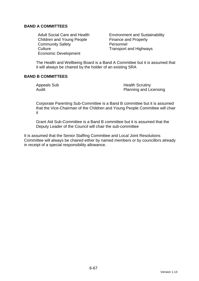# **BAND A COMMITTEES**

Children and Young People Finance and Property Community Safety **Personnel** Culture Culture **Transport and Highways** Economic Development

Adult Social Care and Health Environment and Sustainability

The Health and Wellbeing Board is a Band A Committee but it is assumed that it will always be chaired by the holder of an existing SRA

# **BAND B COMMITTEES**

Appeals Sub **Health Scrutiny** Audit **Audit** Planning and Licensing

Corporate Parenting Sub-Committee is a Band B committee but it is assumed that the Vice-Chairman of the Children and Young People Committee will chair it

Grant Aid Sub-Committee is a Band B committee but it is assumed that the Deputy Leader of the Council will chair the sub-committee

It is assumed that the Senior Staffing Committee and Local Joint Resolutions Committee will always be chaired either by named members or by councillors already in receipt of a special responsibility allowance.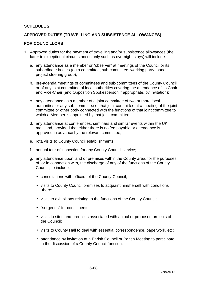### **SCHEDULE 2**

### **APPROVED DUTIES (TRAVELLING AND SUBSISTENCE ALLOWANCES)**

#### **FOR COUNCILLORS**

- 1. Approved duties for the payment of travelling and/or subsistence allowances (the latter in exceptional circumstances only such as overnight stays) will include:
	- a. any attendance as a member or "observer" at meetings of the Council or its subordinate bodies (eg a committee, sub-committee, working party, panel, project steering group);
	- b. pre-agenda meetings of committees and sub-committees of the County Council or of any joint committee of local authorities covering the attendance of its Chair and Vice-Chair (and Opposition Spokesperson if appropriate, by invitation);
	- c. any attendance as a member of a joint committee of two or more local authorities or any sub-committee of that joint committee at a meeting of the joint committee or other body connected with the functions of that joint committee to which a Member is appointed by that joint committee;
	- d. any attendance at conferences, seminars and similar events within the UK mainland, provided that either there is no fee payable or attendance is approved in advance by the relevant committee;
	- e. rota visits to County Council establishments;
	- f. annual tour of inspection for any County Council service;
	- g. any attendance upon land or premises within the County area, for the purposes of, or in connection with, the discharge of any of the functions of the County Council, to include:
		- consultations with officers of the County Council;
		- visits to County Council premises to acquaint him/herself with conditions there;
		- visits to exhibitions relating to the functions of the County Council;
		- "surgeries" for constituents;
		- visits to sites and premises associated with actual or proposed projects of the Council;
		- visits to County Hall to deal with essential correspondence, paperwork, etc;
		- attendance by invitation at a Parish Council or Parish Meeting to participate in the discussion of a County Council function.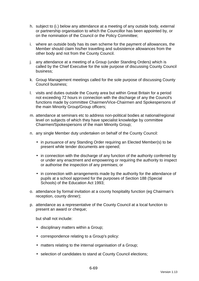- h. subject to (i.) below any attendance at a meeting of any outside body, external or partnership organisation to which the Councillor has been appointed by, or on the nomination of the Council or the Policy Committee;
- i. where an outside body has its own scheme for the payment of allowances, the Member should claim his/her travelling and subsistence allowances from the other body and not from the County Council.
- j. any attendance at a meeting of a Group (under Standing Orders) which is called by the Chief Executive for the sole purpose of discussing County Council business;
- k. Group Management meetings called for the sole purpose of discussing County Council business;
- l. visits and duties outside the County area but within Great Britain for a period not exceeding 72 hours in connection with the discharge of any the Council's functions made by committee Chairmen/Vice-Chairmen and Spokespersons of the main Minority Group/Group officers;
- m. attendance at seminars etc to address non-political bodies at national/regional level on subjects of which they have specialist knowledge by committee Chairmen/Spokespersons of the main Minority Group;
- n. any single Member duty undertaken on behalf of the County Council:
	- in pursuance of any Standing Order requiring an Elected Member(s) to be present while tender documents are opened;
	- in connection with the discharge of any function of the authority conferred by or under any enactment and empowering or requiring the authority to inspect or authorise the inspection of any premises; or
	- in connection with arrangements made by the authority for the attendance of pupils at a school approved for the purposes of Section 188 (Special Schools) of the Education Act 1993;
- o. attendance by formal invitation at a county hospitality function (eg Chairman's reception, county dinner);
- p. attendance as a representative of the County Council at a local function to present an award or cheque;

but shall not include:

- disciplinary matters within a Group;
- correspondence relating to a Group's policy:
- matters relating to the internal organisation of a Group;
- selection of candidates to stand at County Council elections;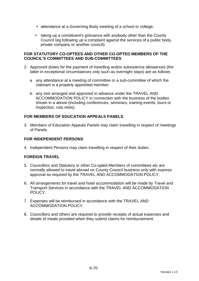- attendance at a Governing Body meeting of a school or college;
- taking up a constituent's grievance with anybody other than the County Council (eg following up a complaint against the services of a public body, private company or another council).

### **FOR STATUTORY CO-OPTEES AND OTHER CO-OPTED MEMBERS OF THE COUNCIL'S COMMITTEES AND SUB-COMMITTEES**

- 2. Approved duties for the payment of travelling and/or subsistence allowances (the latter in exceptional circumstances only such as overnight stays) are as follows:
	- a. any attendance at a meeting of committee or a sub-committee of which the claimant is a properly appointed member;
	- b. any visit arranged and approved in advance under the TRAVEL AND ACCOMMODATION POLICY in connection with the business of the bodies shown in a above (including conferences, seminars, training events, tours or inspection, rota visits).

# **FOR MEMBERS OF EDUCATION APPEALS PANELS**

3. Members of Education Appeals Panels may claim travelling in respect of meetings of Panels.

### **FOR INDEPENDENT PERSONS**

4. Independent Persons may claim travelling in respect of their duties.

### **FOREIGN TRAVEL**

- 5. Councillors and Statutory or other Co-opted Members of committees etc are normally allowed to travel abroad on County Council business only with express approval as required by the TRAVEL AND ACCOMMODATION POLICY.
- 6. All arrangements for travel and hotel accommodation will be made by Travel and Transport Services in accordance with the TRAVEL AND ACCOMMODATION POLICY.
- 7. Expenses will be reimbursed in accordance with the TRAVEL AND ACCOMMODATION POLICY.
- 8. Councillors and others are required to provide receipts of actual expenses and details of meals provided when they submit claims for reimbursement.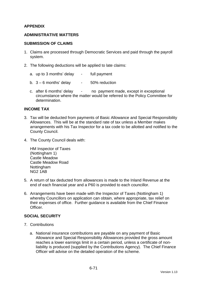# **APPENDIX**

### **ADMINISTRATIVE MATTERS**

#### **SUBMISSION OF CLAIMS**

- 1. Claims are processed through Democratic Services and paid through the payroll system.
- 2. The following deductions will be applied to late claims:
	- a. up to 3 months' delay full payment
	- b.  $3 6$  months' delay  $-50\%$  reduction
	- c. after 6 months' delay no payment made, except in exceptional circumstance where the matter would be referred to the Policy Committee for determination.

#### **INCOME TAX**

- 3. Tax will be deducted from payments of Basic Allowance and Special Responsibility Allowances. This will be at the standard rate of tax unless a Member makes arrangements with his Tax Inspector for a tax code to be allotted and notified to the County Council.
- 4. The County Council deals with:

HM Inspector of Taxes (Nottingham 1) Castle Meadow Castle Meadow Road Nottingham NG2 1AB

- 5. A return of tax deducted from allowances is made to the Inland Revenue at the end of each financial year and a P60 is provided to each councillor.
- 6. Arrangements have been made with the Inspector of Taxes (Nottingham 1) whereby Councillors on application can obtain, where appropriate, tax relief on their expenses of office. Further guidance is available from the Chief Finance **Officer**

### **SOCIAL SECURITY**

- 7. Contributions
	- a. National insurance contributions are payable on any payment of Basic Allowance and Special Responsibility Allowances provided the gross amount reaches a lower earnings limit in a certain period, unless a certificate of nonliability is produced (supplied by the Contributions Agency). The Chief Finance Officer will advise on the detailed operation of the scheme.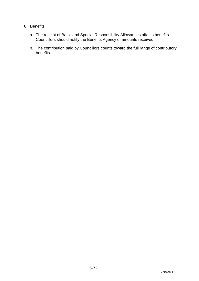# 8. Benefits

- a. The receipt of Basic and Special Responsibility Allowances affects benefits. Councillors should notify the Benefits Agency of amounts received.
- b. The contribution paid by Councillors counts toward the full range of contributory benefits.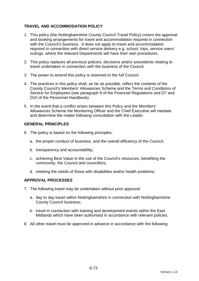# **TRAVEL AND ACCOMMODATION POLICY**

- 1. This policy (the Nottinghamshire County Council Travel Policy) covers the approval and booking arrangements for travel and accommodation required in connection with the Council's business. It does not apply to travel and accommodation required in connection with direct service delivery e.g. school, trips, service users' outings, where the relevant Departments will have their own procedures.
- 2. This policy replaces all previous policies, decisions and/or precedents relating to travel undertaken in connection with the business of the Council.
- 3. The power to amend this policy is reserved to the full Council.
- 4. The practices in this policy shall, as far as possible, reflect the contents of the County Council's Members' Allowances Scheme and the Terms and Conditions of Service for Employees (see paragraph 9 of the Financial Regulations and D7 and D10 of the Personnel Handbook).
- 5. In the event that a conflict arises between this Policy and the Members' Allowances Scheme the Monitoring Officer and the Chief Executive will mediate and determine the matter following consultation with the Leader.

### **GENERAL PRINCIPLES**

- 6. The policy is based on the following principles:
	- a. the proper conduct of business, and the overall efficiency of the Council;
	- b. transparency and accountability;
	- c. achieving Best Value in the use of the Council's resources, benefiting the community, the Council and councillors;
	- d. meeting the needs of those with disabilities and/or health problems.

### **APPROVAL PROCESSES**

- 7. The following travel may be undertaken without prior approval:
	- a. day to day travel within Nottinghamshire in connection with Nottinghamshire County Council business;
	- b. travel in connection with training and development events within the East Midlands which have been authorised in accordance with relevant policies.
- 8. All other travel must be approved in advance in accordance with the following: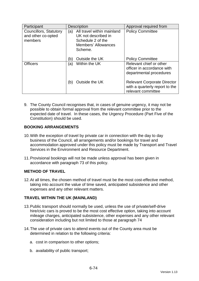| Participant                                             | <b>Description</b>                                                                                                     | Approval required from                                                                     |
|---------------------------------------------------------|------------------------------------------------------------------------------------------------------------------------|--------------------------------------------------------------------------------------------|
| Councillors, Statutory<br>and other co-opted<br>members | All travel within mainland<br>(a)<br>UK not described in<br>Schedule 2 of the<br><b>Members' Allowances</b><br>Scheme. | <b>Policy Committee</b>                                                                    |
|                                                         | Outside the UK<br>(b)                                                                                                  | <b>Policy Committee</b>                                                                    |
| <b>Officers</b>                                         | Within the UK<br>(a)                                                                                                   | Relevant chief or other<br>officer in accordance with<br>departmental procedures           |
|                                                         | Outside the UK<br>(b)                                                                                                  | <b>Relevant Corporate Director</b><br>with a quarterly report to the<br>relevant committee |

9. The County Council recognises that, in cases of genuine urgency, it may not be possible to obtain formal approval from the relevant committee prior to the expected date of travel. In these cases, the Urgency Procedure (Part Five of the Constitution) should be used.

## **BOOKING ARRANGEMENTS**

- 10. With the exception of travel by private car in connection with the day to day business of the Council, all arrangements and/or bookings for travel and accommodation approved under this policy must be made by Transport and Travel Services in the Environment and Resource Department.
- 11. Provisional bookings will not be made unless approval has been given in accordance with paragraph 73 of this policy.

### **METHOD OF TRAVEL**

12. At all times, the chosen method of travel must be the most cost-effective method, taking into account the value of time saved, anticipated subsistence and other expenses and any other relevant matters.

### **TRAVEL WITHIN THE UK (MAINLAND)**

- 13. Public transport should normally be used, unless the use of private/self-drive hire/civic cars is proved to be the most cost effective option, taking into account mileage charges, anticipated subsistence, other expenses and any other relevant consideration including but not limited to those at paragraph 74
- 14. The use of private cars to attend events out of the County area must be determined in relation to the following criteria:
	- a. cost in comparison to other options;
	- b. availability of public transport;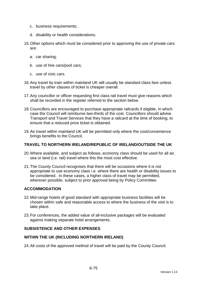- c. business requirements;
- d. disability or health considerations.
- 15. Other options which must be considered prior to approving the use of private cars are:
	- a. car sharing;
	- b. use of hire cars/pool cars;
	- c. use of civic cars.
- 16. Any travel by train within mainland UK will usually be standard class fare unless travel by other classes of ticket is cheaper overall.
- 17. Any councillor or officer requesting first class rail travel must give reasons which shall be recorded in the register referred to the section below.
- 18. Councillors are encouraged to purchase appropriate railcards if eligible, in which case the Council will reimburse two-thirds of the cost. Councillors should advise Transport and Travel Services that they have a railcard at the time of booking, to ensure that a reduced price ticket is obtained.
- 19. Air travel within mainland UK will be permitted only where the cost/convenience brings benefits to the Council.

#### **TRAVEL TO NORTHERN IRELAND/REPUBLIC OF IRELAND/OUTSIDE THE UK**

- 20. Where available, and subject as follows, economy class should be used for all air, sea or land (i.e. rail) travel where this the most cost effective.
- 21. The County Council recognises that there will be occasions where it is not appropriate to use economy class i.e. where there are health or disability issues to be considered. In these cases, a higher class of travel may be permitted, wherever possible, subject to prior approval being by Policy Committee.

#### **ACCOMMODATION**

- 22. Mid-range hotels of good standard with appropriate business facilities will be chosen within safe and reasonable access to where the business of the visit is to take place.
- 23. For conferences, the added value of all-inclusive packages will be evaluated against making separate hotel arrangements.

#### **SUBSISTENCE AND OTHER EXPENSES**

#### **WITHIN THE UK (INCLUDING NORTHERN IRELAND)**

24. All costs of the approved method of travel will be paid by the County Council.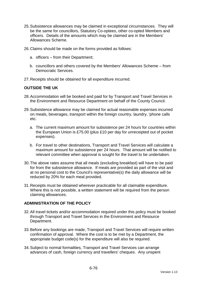- 25. Subsistence allowances may be claimed in exceptional circumstances. They will be the same for councillors, Statutory Co-optees, other co-opted Members and officers. Details of the amounts which may be claimed are in the Members' Allowances Scheme.
- 26. Claims should be made on the forms provided as follows:
	- a. officers from their Department;
	- b. councillors and others covered by the Members' Allowances Scheme from Democratic Services.
- 27. Receipts should be obtained for all expenditure incurred.

#### **OUTSIDE THE UK**

- 28. Accommodation will be booked and paid for by Transport and Travel Services in the Environment and Resource Department on behalf of the County Council.
- 29. Subsistence allowance may be claimed for actual reasonable expenses incurred on meals, beverages, transport within the foreign country, laundry, 'phone calls etc.
	- a. The current maximum amount for subsistence per 24 hours for countries within the European Union is £75.00 (plus £10 per day for unreceipted out of pocket expenses).
	- b. For travel to other destinations, Transport and Travel Services will calculate a maximum amount for subsistence per 24 hours. That amount will be notified to relevant committee when approval is sought for the travel to be undertaken.
- 30. The above rates assume that all meals (excluding breakfast) will have to be paid for from the subsistence allowance. If meals are provided as part of the visit and at no personal cost to the Council's representative(s) the daily allowance will be reduced by 20% for each meal provided.
- 31. Receipts must be obtained wherever practicable for all claimable expenditure. Where this is not possible, a written statement will be required from the person claiming allowances.

#### **ADMINISTRATION OF THE POLICY**

- 32. All travel tickets and/or accommodation required under this policy must be booked through Transport and Travel Services in the Environment and Resource Department.
- 33. Before any bookings are made, Transport and Travel Services will require written confirmation of approval. Where the cost is to be met by a Department, the appropriate budget code(s) for the expenditure will also be required.
- 34. Subject to normal formalities, Transport and Travel Services can arrange advances of cash, foreign currency and travellers' cheques. Any unspent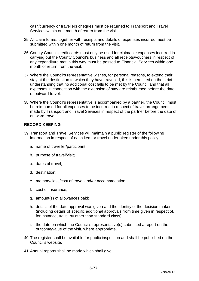cash/currency or travellers cheques must be returned to Transport and Travel Services within one month of return from the visit.

- 35. All claim forms, together with receipts and details of expenses incurred must be submitted within one month of return from the visit.
- 36. County Council credit cards must only be used for claimable expenses incurred in carrying out the County Council's business and all receipts/vouchers in respect of any expenditure met in this way must be passed to Financial Services within one month of return from the visit.
- 37. Where the Council's representative wishes, for personal reasons, to extend their stay at the destination to which they have travelled, this is permitted on the strict understanding that no additional cost falls to be met by the Council and that all expenses in connection with the extension of stay are reimbursed before the date of outward travel.
- 38. Where the Council's representative is accompanied by a partner, the Council must be reimbursed for all expenses to be incurred in respect of travel arrangements made by Transport and Travel Services in respect of the partner before the date of outward travel.

### **RECORD KEEPING**

- 39. Transport and Travel Services will maintain a public register of the following information in respect of each item or travel undertaken under this policy:
	- a. name of traveller/participant;
	- b. purpose of travel/visit;
	- c. dates of travel;
	- d. destination;
	- e. method/class/cost of travel and/or accommodation;
	- f. cost of insurance;
	- g. amount(s) of allowances paid;
	- h. details of the date approval was given and the identity of the decision maker (including details of specific additional approvals from time given in respect of, for instance, travel by other than standard class);
	- i. the date on which the Council's representative(s) submitted a report on the outcome/value of the visit, where appropriate.
- 40. The register shall be available for public inspection and shall be published on the Council's website.
- 41. Annual reports shall be made which shall give: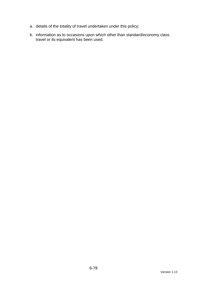- a. details of the totality of travel undertaken under this policy;
- b. information as to occasions upon which other than standard/economy class travel or its equivalent has been used.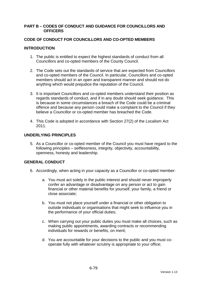#### **PART B – CODES OF CONDUCT AND GUIDANCE FOR COUNCILLORS AND OFFICERS**

### **CODE OF CONDUCT FOR COUNCILLORS AND CO-OPTED MEMBERS**

### **INTRODUCTION**

- 1. The public is entitled to expect the highest standards of conduct from all Councillors and co-opted members of the County Council.
- 2. The Code sets out the standards of service that are expected from Councillors and co-opted members of the Council. In particular, Councillors and co-opted members should act in an open and transparent manner and should not do anything which would prejudice the reputation of the Council.
- 3. It is important Councillors and co-opted members understand their position as regards standards of conduct, and if in any doubt should seek guidance. This is because in some circumstances a breach of the Code could be a criminal offence and because any person could make a complaint to the Council if they believe a Councillor or co-opted member has breached the Code.
- 4. This Code is adopted in accordance with Section 27(2) of the Localism Act 2011.

### **UNDERLYING PRINCIPLES**

5. As a Councillor or co-opted member of the Council you must have regard to the following principles – selflessness, integrity, objectivity, accountability, openness, honesty and leadership.

### **GENERAL CONDUCT**

- 6. Accordingly, when acting in your capacity as a Councillor or co-opted member:
	- a. You must act solely in the public interest and should never improperly confer an advantage or disadvantage on any person or act to gain financial or other material benefits for yourself, your family, a friend or close associate;
	- b. You must not place yourself under a financial or other obligation to outside individuals or organisations that might seek to influence you in the performance of your official duties;
	- c. When carrying out your public duties you must make all choices, such as making public appointments, awarding contracts or recommending individuals for rewards or benefits, on merit;
	- d. You are accountable for your decisions to the public and you must cooperate fully with whatever scrutiny is appropriate to your office;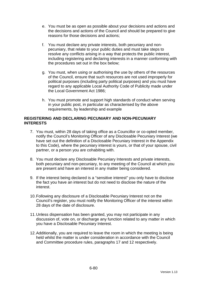- e. You must be as open as possible about your decisions and actions and the decisions and actions of the Council and should be prepared to give reasons for those decisions and actions;
- f. You must declare any private interests, both pecuniary and nonpecuniary, that relate to your public duties and must take steps to resolve any conflicts arising in a way that protects the public interest, including registering and declaring interests in a manner conforming with the procedures set out in the box below;
- g. You must, when using or authorising the use by others of the resources of the Council, ensure that such resources are not used improperly for political purposes (including party political purposes) and you must have regard to any applicable Local Authority Code of Publicity made under the Local Government Act 1986;
- h. You must promote and support high standards of conduct when serving in your public post, in particular as characterised by the above requirements, by leadership and example

#### **REGISTERING AND DECLARING PECUNIARY AND NON-PECUNIARY INTERESTS**

- 7. You must, within 28 days of taking office as a Councillor or co-opted member, notify the Council's Monitoring Officer of any Disclosable Pecuniary Interest (we have set out the definition of a Disclosable Pecuniary Interest in the Appendix to this Code), where the pecuniary interest is yours, or that of your spouse, civil partner, or a person you are cohabiting with.
- 8. You must declare any Disclosable Pecuniary Interests and private interests, both pecuniary and non-pecuniary, to any meeting of the Council at which you are present and have an interest in any matter being considered.
- 9. If the interest being declared is a "sensitive interest" you only have to disclose the fact you have an interest but do not need to disclose the nature of the interest.
- 10. Following any disclosure of a Disclosable Pecuniary Interest not on the Council's register, you must notify the Monitoring Officer of the interest within 28 days of the date of disclosure.
- 11. Unless dispensation has been granted, you may not participate in any discussion of, vote on, or discharge any function related to any matter in which you have a Disclosable Pecuniary Interest.
- 12. Additionally, you are required to leave the room in which the meeting is being held whilst the matter is under consideration in accordance with the Council and Committee procedure rules, paragraphs 17 and 12 respectively.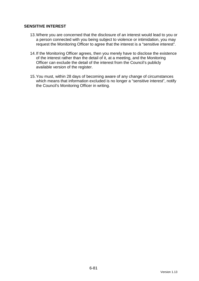### **SENSITIVE INTEREST**

- 13. Where you are concerned that the disclosure of an interest would lead to you or a person connected with you being subject to violence or intimidation, you may request the Monitoring Officer to agree that the interest is a "sensitive interest".
- 14. If the Monitoring Officer agrees, then you merely have to disclose the existence of the interest rather than the detail of it, at a meeting, and the Monitoring Officer can exclude the detail of the interest from the Council's publicly available version of the register.
- 15. You must, within 28 days of becoming aware of any change of circumstances which means that information excluded is no longer a "sensitive interest", notify the Council's Monitoring Officer in writing.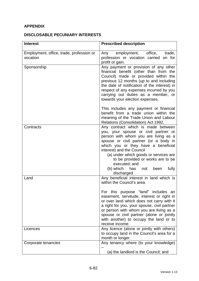# **APPENDIX**

# **DISCLOSABLE PECUNIARY INTERESTS**

| <b>Interest</b>                                      | <b>Prescribed description</b>                                                                                                                                                                                                                                                                                                                                                                               |
|------------------------------------------------------|-------------------------------------------------------------------------------------------------------------------------------------------------------------------------------------------------------------------------------------------------------------------------------------------------------------------------------------------------------------------------------------------------------------|
| Employment, office, trade, profession or<br>vocation | Any employment, office,<br>trade,<br>profession or vocation carried on for<br>profit or gain.                                                                                                                                                                                                                                                                                                               |
| Sponsorship                                          | Any payment or provision of any other<br>financial benefit (other than from the<br>Council) made or provided within the<br>previous 12 months (up to and including<br>the date of notification of the interest) in<br>respect of any expenses incurred by you<br>carrying out duties as a member, or<br>towards your election expenses.                                                                     |
|                                                      | This includes any payment or financial<br>benefit from a trade union within the<br>meaning of the Trade Union and Labour<br>Relations (Consolidation) Act 1992.                                                                                                                                                                                                                                             |
| Contracts                                            | Any contract which is made between<br>you, your spouse or civil partner or<br>person with whom you are living as a<br>spouse or civil partner (or a body in<br>which you or they have a beneficial<br>interest) and the Council<br>(a) under which goods or services are<br>to be provided or works are to be<br>executed; and<br>(b) which<br>has<br>fully<br>been<br>not<br>discharged                    |
| Land                                                 | Any beneficial interest in land which is<br>within the Council's area.<br>For this purpose "land" includes an<br>easement, servitude, interest or right in<br>or over land which does not carry with it<br>a right for you, your spouse, civil partner<br>or person with whom you are living as a<br>spouse or civil partner (alone or jointly<br>with another) to occupy the land or to<br>receive income. |
| Licences                                             | Any licence (alone or jointly with others)<br>to occupy land in the Council's area for a<br>month or longer.                                                                                                                                                                                                                                                                                                |
| Corporate tenancies                                  | Any tenancy where (to your knowledge)<br>(a) the landlord is the Council; and                                                                                                                                                                                                                                                                                                                               |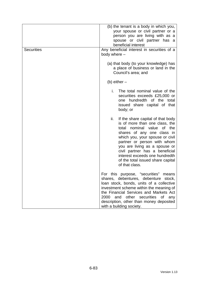| <b>Securities</b> | (b) the tenant is a body in which you,<br>your spouse or civil partner or a<br>person you are living with as a<br>spouse or civil partner has a<br>beneficial interest<br>Any beneficial interest in securities of a<br>body where -                                                                                                                                       |  |
|-------------------|----------------------------------------------------------------------------------------------------------------------------------------------------------------------------------------------------------------------------------------------------------------------------------------------------------------------------------------------------------------------------|--|
|                   | (a) that body (to your knowledge) has<br>a place of business or land in the<br>Council's area; and                                                                                                                                                                                                                                                                         |  |
|                   | (b) either $-$                                                                                                                                                                                                                                                                                                                                                             |  |
|                   | i.<br>The total nominal value of the<br>securities exceeds £25,000 or<br>one hundredth of the total<br>issued share capital of that<br>body; or                                                                                                                                                                                                                            |  |
|                   | ii.<br>If the share capital of that body<br>is of more than one class, the<br>nominal value<br>of the<br>total<br>shares of any one class in<br>which you, your spouse or civil<br>partner or person with whom<br>you are living as a spouse or<br>civil partner has a beneficial<br>interest exceeds one hundredth<br>of the total issued share capital<br>of that class. |  |
|                   | For this purpose, "securities"<br>means<br>shares, debentures, debenture stock,<br>loan stock, bonds, units of a collective<br>investment scheme within the meaning of<br>the Financial Services and Markets Act<br>2000<br>and other securities of<br>any<br>description, other than money deposited<br>with a building society.                                          |  |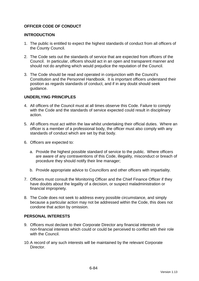### **OFFICER CODE OF CONDUCT**

#### **INTRODUCTION**

- 1. The public is entitled to expect the highest standards of conduct from all officers of the County Council.
- 2. The Code sets out the standards of service that are expected from officers of the Council. In particular, officers should act in an open and transparent manner and should not do anything which would prejudice the reputation of the Council.
- 3. The Code should be read and operated in conjunction with the Council's Constitution and the Personnel Handbook. It is important officers understand their position as regards standards of conduct, and if in any doubt should seek guidance.

### **UNDERLYING PRINCIPLES**

- 4. All officers of the Council must at all times observe this Code. Failure to comply with the Code and the standards of service expected could result in disciplinary action.
- 5. All officers must act within the law whilst undertaking their official duties. Where an officer is a member of a professional body, the officer must also comply with any standards of conduct which are set by that body.
- 6. Officers are expected to:
	- a. Provide the highest possible standard of service to the public. Where officers are aware of any contraventions of this Code, illegality, misconduct or breach of procedure they should notify their line manager;
	- b. Provide appropriate advice to Councillors and other officers with impartiality.
- 7. Officers must consult the Monitoring Officer and the Chief Finance Officer if they have doubts about the legality of a decision, or suspect maladministration or financial impropriety.
- 8. The Code does not seek to address every possible circumstance, and simply because a particular action may not be addressed within the Code, this does not condone that action by omission.

#### **PERSONAL INTERESTS**

- 9. Officers must declare to their Corporate Director any financial interests or non-financial interests which could or could be perceived to conflict with their role with the Council.
- 10. A record of any such interests will be maintained by the relevant Corporate **Director**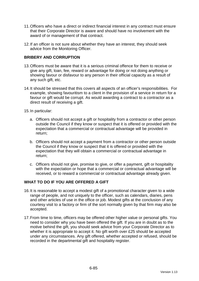- 11. Officers who have a direct or indirect financial interest in any contract must ensure that their Corporate Director is aware and should have no involvement with the award of or management of that contract.
- 12. If an officer is not sure about whether they have an interest, they should seek advice from the Monitoring Officer.

### **BRIBERY AND CORRUPTION**

- 13. Officers must be aware that it is a serious criminal offence for them to receive or give any gift, loan, fee, reward or advantage for doing or not doing anything or showing favour or disfavour to any person in their official capacity as a result of any such gift, etc.
- 14. It should be stressed that this covers all aspects of an officer's responsibilities. For example, showing favouritism to a client in the provision of a service in return for a favour or gift would be corrupt. As would awarding a contract to a contractor as a direct result of receiving a gift.
- 15. In particular:
	- a. Officers should not accept a gift or hospitality from a contractor or other person outside the Council if they know or suspect that it is offered or provided with the expectation that a commercial or contractual advantage will be provided in return;
	- b. Officers should not accept a payment from a contractor or other person outside the Council if they know or suspect that it is offered or provided with the expectation that they will obtain a commercial or contractual advantage in return;
	- c. Officers should not give, promise to give, or offer a payment, gift or hospitality with the expectation or hope that a commercial or contractual advantage will be received, or to reward a commercial or contractual advantage already given.

### **WHAT TO DO IF YOU ARE OFFERED A GIFT**

- 16. It is reasonable to accept a modest gift of a promotional character given to a wide range of people, and not uniquely to the officer, such as calendars, diaries, pens and other articles of use in the office or job. Modest gifts at the conclusion of any courtesy visit to a factory or firm of the sort normally given by that firm may also be accepted.
- 17. From time to time, officers may be offered other higher value or personal gifts. You need to consider why you have been offered the gift. If you are in doubt as to the motive behind the gift, you should seek advice from your Corporate Director as to whether it is appropriate to accept it. No gift worth over £25 should be accepted under any circumstances. Any gift offered, whether accepted or refused, should be recorded in the departmental gift and hospitality register.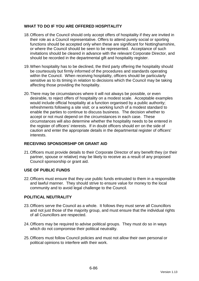## **WHAT TO DO IF YOU ARE OFFERED HOSPITALITY**

- 18. Officers of the Council should only accept offers of hospitality if they are invited in their role as a Council representative. Offers to attend purely social or sporting functions should be accepted only when these are significant for Nottinghamshire, or where the Council should be seen to be represented. Acceptance of such invitations should be cleared in advance with the relevant Corporate Director, and should be recorded in the departmental gift and hospitality register.
- 19. When hospitality has to be declined, the third party offering the hospitality should be courteously but firmly informed of the procedures and standards operating within the Council. When receiving hospitality, officers should be particularly sensitive as to its timing in relation to decisions which the Council may be taking affecting those providing the hospitality.
- 20. There may be circumstances where it will not always be possible, or even desirable, to reject offers of hospitality on a modest scale. Acceptable examples would include official hospitality at a function organised by a public authority; refreshments following a site visit; or a working lunch of a modest standard to enable the parties to continue to discuss business. The decision whether to accept or not must depend on the circumstances in each case. These circumstances will also determine whether the hospitality needs to be entered in the register of officers' interests. If in doubt officers should err on the side of caution and enter the appropriate details in the departmental register of officers' interests.

### **RECEIVING SPONSORSHIP OR GRANT AID**

21. Officers must provide details to their Corporate Director of any benefit they (or their partner, spouse or relative) may be likely to receive as a result of any proposed Council sponsorship or grant aid.

### **USE OF PUBLIC FUNDS**

22. Officers must ensure that they use public funds entrusted to them in a responsible and lawful manner. They should strive to ensure value for money to the local community and to avoid legal challenge to the Council.

### **POLITICAL NEUTRALITY**

- 23. Officers serve the Council as a whole. It follows they must serve all Councillors and not just those of the majority group, and must ensure that the individual rights of all Councillors are respected.
- 24. Officers may be required to advise political groups. They must do so in ways which do not compromise their political neutrality.
- 25. Officers must follow Council policies and must not allow their own personal or political opinions to interfere with their work.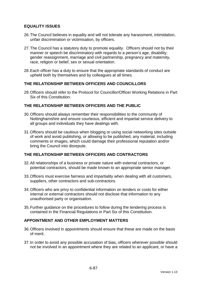### **EQUALITY ISSUES**

- 26. The Council believes in equality and will not tolerate any harassment, intimidation, unfair discrimination or victimisation, by officers.
- 27. The Council has a statutory duty to promote equality. Officers should not by their manner or speech be discriminatory with regards to a person's age, disability, gender reassignment, marriage and civil partnership, pregnancy and maternity, race, religion or belief, sex or sexual orientation.
- 28. Each officer has a duty to ensure that the appropriate standards of conduct are upheld both by themselves and by colleagues at all times.

### **THE RELATIONSHIP BETWEEN OFFICERS AND COUNCILLORS**

29. Officers should refer to the Protocol for Councillor/Officer Working Relations in Part Six of this Constitution.

### **THE RELATIONSHIP BETWEEN OFFICERS AND THE PUBLIC**

- 30. Officers should always remember their responsibilities to the community of Nottinghamshire and ensure courteous, efficient and impartial service delivery to all groups and individuals they have dealings with.
- 31. Officers should be cautious when blogging or using social networking sites outside of work and avoid publishing, or allowing to be published, any material, including comments or images, which could damage their professional reputation and/or bring the Council into disrepute.

### **THE RELATIONSHIP BETWEEN OFFICERS AND CONTRACTORS**

- 32. All relationships of a business or private nature with external contractors, or potential contractors, should be made known to an appropriate senior manager.
- 33. Officers must exercise fairness and impartiality when dealing with all customers, suppliers, other contractors and sub-contractors.
- 34. Officers who are privy to confidential information on tenders or costs for either internal or external contractors should not disclose that information to any unauthorised party or organisation.
- 35. Further guidance on the procedures to follow during the tendering process is contained in the Financial Regulations in Part Six of this Constitution.

#### **APPOINTMENT AND OTHER EMPLOYMENT MATTERS**

- 36. Officers involved in appointments should ensure that these are made on the basis of merit.
- 37. In order to avoid any possible accusation of bias, officers wherever possible should not be involved in an appointment where they are related to an applicant, or have a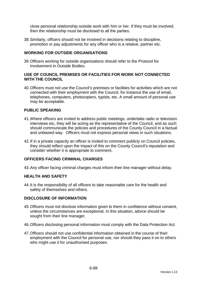close personal relationship outside work with him or her. If they must be involved, then the relationship must be disclosed to all the parties.

38. Similarly, officers should not be involved in decisions relating to discipline, promotion or pay adjustments for any officer who is a relative, partner etc.

### **WORKING FOR OUTSIDE ORGANISATIONS**

39. Officers working for outside organisations should refer to the Protocol for Involvement in Outside Bodies.

#### **USE OF COUNCIL PREMISES OR FACILITIES FOR WORK NOT CONNECTED WITH THE COUNCIL**

40. Officers must not use the Council's premises or facilities for activities which are not connected with their employment with the Council, for instance the use of email, telephones, computers, photocopiers, typists, etc. A small amount of personal use may be acceptable.

### **PUBLIC SPEAKING**

- 41. Where officers are invited to address public meetings, undertake radio or television interviews etc, they will be acting as the representative of the Council, and as such should communicate the policies and procedures of the County Council in a factual and unbiased way. Officers must not express personal views in such situations.
- 42. If in a private capacity an officer is invited to comment publicly on Council policies, they should reflect upon the impact of this on the County Council's reputation and consider whether it is appropriate to comment.

#### **OFFICERS FACING CRIMINAL CHARGES**

43. Any officer facing criminal charges must inform their line manager without delay.

#### **HEALTH AND SAFETY**

44. It is the responsibility of all officers to take reasonable care for the health and safety of themselves and others.

#### **DISCLOSURE OF INFORMATION**

- 45. Officers must not disclose information given to them in confidence without consent, unless the circumstances are exceptional. In this situation, advice should be sought from their line manager.
- 46. Officers disclosing personal information must comply with the Data Protection Act.
- 47. Officers should not use confidential information obtained in the course of their employment with the Council for personal use, nor should they pass it on to others who might use it for unauthorised purposes.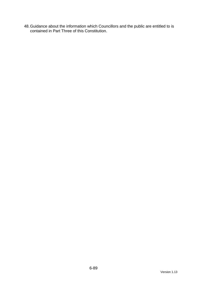48. Guidance about the information which Councillors and the public are entitled to is contained in Part Three of this Constitution.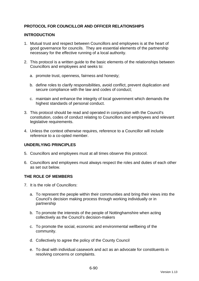### **PROTOCOL FOR COUNCILLOR AND OFFICER RELATIONSHIPS**

#### **INTRODUCTION**

- 1. Mutual trust and respect between Councillors and employees is at the heart of good governance for councils. They are essential elements of the partnership necessary for the effective running of a local authority.
- 2. This protocol is a written guide to the basic elements of the relationships between Councillors and employees and seeks to:
	- a. promote trust, openness, fairness and honesty;
	- b. define roles to clarify responsibilities, avoid conflict, prevent duplication and secure compliance with the law and codes of conduct;
	- c. maintain and enhance the integrity of local government which demands the highest standards of personal conduct.
- 3. This protocol should be read and operated in conjunction with the Council's constitution, codes of conduct relating to Councillors and employees and relevant legislative requirements.
- 4. Unless the context otherwise requires, reference to a Councillor will include reference to a co-opted member.

### **UNDERLYING PRINCIPLES**

- 5. Councillors and employees must at all times observe this protocol.
- 6. Councillors and employees must always respect the roles and duties of each other as set out below.

#### **THE ROLE OF MEMBERS**

- 7. It is the role of Councillors:
	- a. To represent the people within their communities and bring their views into the Council's decision making process through working individually or in partnership
	- b. To promote the interests of the people of Nottinghamshire when acting collectively as the Council's decision-makers
	- c. To promote the social, economic and environmental wellbeing of the community.
	- d. Collectively to agree the policy of the County Council
	- e. To deal with individual casework and act as an advocate for constituents in resolving concerns or complaints.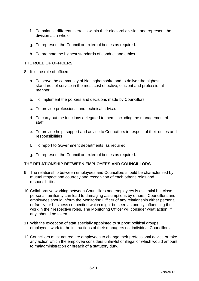- f. To balance different interests within their electoral division and represent the division as a whole.
- g. To represent the Council on external bodies as required.
- h. To promote the highest standards of conduct and ethics.

### **THE ROLE OF OFFICERS**

- 8. It is the role of officers:
	- a. To serve the community of Nottinghamshire and to deliver the highest standards of service in the most cost effective, efficient and professional manner.
	- b. To implement the policies and decisions made by Councillors.
	- c. To provide professional and technical advice.
	- d. To carry out the functions delegated to them, including the management of staff.
	- e. To provide help, support and advice to Councillors in respect of their duties and responsibilities
	- f. To report to Government departments, as required.
	- g. To represent the Council on external bodies as required.

#### **THE RELATIONSHIP BETWEEN EMPLOYEES AND COUNCILLORS**

- 9. The relationship between employees and Councillors should be characterised by mutual respect and courtesy and recognition of each other's roles and responsibilities.
- 10. Collaborative working between Councillors and employees is essential but close personal familiarity can lead to damaging assumptions by others. Councillors and employees should inform the Monitoring Officer of any relationship either personal or family, or business connection which might be seen as unduly influencing their work in their respective roles. The Monitoring Officer will consider what action, if any, should be taken.
- 11. With the exception of staff specially appointed to support political groups, employees work to the instructions of their managers not individual Councillors.
- 12. Councillors must not require employees to change their professional advice or take any action which the employee considers unlawful or illegal or which would amount to maladministration or breach of a statutory duty.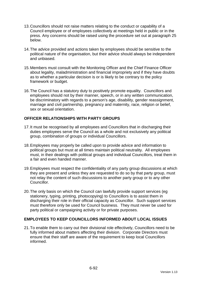- 13. Councillors should not raise matters relating to the conduct or capability of a Council employee or of employees collectively at meetings held in public or in the press. Any concerns should be raised using the procedure set out at paragraph 25 below.
- 14. The advice provided and actions taken by employees should be sensitive to the political nature of the organisation, but their advice should always be independent and unbiased.
- 15. Members must consult with the Monitoring Officer and the Chief Finance Officer about legality, maladministration and financial impropriety and if they have doubts as to whether a particular decision is or is likely to be contrary to the policy framework or budget.
- 16. The Council has a statutory duty to positively promote equality. Councillors and employees should not by their manner, speech, or in any written communication, be discriminatory with regards to a person's age, disability, gender reassignment, marriage and civil partnership, pregnancy and maternity, race, religion or belief, sex or sexual orientation.

# **OFFICER RELATIONSHIPS WITH PARTY GROUPS**

- 17. It must be recognised by all employees and Councillors that in discharging their duties employees serve the Council as a whole and not exclusively any political group, combination of groups or individual Councillors.
- 18. Employees may properly be called upon to provide advice and information to political groups but must at all times maintain political neutrality. All employees must, in their dealings with political groups and individual Councillors, treat them in a fair and even handed manner.
- 19. Employees must respect the confidentiality of any party group discussions at which they are present and unless they are requested to do so by that party group, must not relay the content of such discussions to another party group or to any other Councillor.
- 20. The only basis on which the Council can lawfully provide support services (eg stationery, typing, printing, photocopying) to Councillors is to assist them in discharging their role in their official capacity as Councillor. Such support services must therefore only be used for Council business. They must never be used for party political or campaigning activity or for private purposes.

### **EMPLOYEES TO KEEP COUNCILLORS INFORMED ABOUT LOCAL ISSUES**

21. To enable them to carry out their divisional role effectively, Councillors need to be fully informed about matters affecting their division. Corporate Directors must ensure that their staff are aware of the requirement to keep local Councillors informed.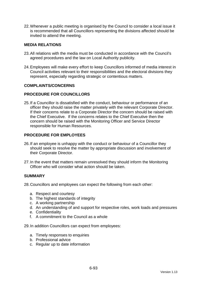22. Whenever a public meeting is organised by the Council to consider a local issue it is recommended that all Councillors representing the divisions affected should be invited to attend the meeting.

#### **MEDIA RELATIONS**

- 23. All relations with the media must be conducted in accordance with the Council's agreed procedures and the law on Local Authority publicity.
- 24. Employees will make every effort to keep Councillors informed of media interest in Council activities relevant to their responsibilities and the electoral divisions they represent, especially regarding strategic or contentious matters.

#### **COMPLAINTS/CONCERNS**

### **PROCEDURE FOR COUNCILLORS**

25. If a Councillor is dissatisfied with the conduct, behaviour or performance of an officer they should raise the matter privately with the relevant Corporate Director. If their concerns relate to a Corporate Director the concern should be raised with the Chief Executive. If the concerns relates to the Chief Executive then the concern should be raised with the Monitoring Officer and Service Director responsible for Human Resources.

### **PROCEDURE FOR EMPLOYEES**

- 26. If an employee is unhappy with the conduct or behaviour of a Councillor they should seek to resolve the matter by appropriate discussion and involvement of their Corporate Director.
- 27. In the event that matters remain unresolved they should inform the Monitoring Officer who will consider what action should be taken.

#### **SUMMARY**

28. Councillors and employees can expect the following from each other:

- a. Respect and courtesy
- b. The highest standards of integrity
- c. A working partnership
- d. An understanding of and support for respective roles, work loads and pressures
- e. Confidentiality
- f. A commitment to the Council as a whole

29. In addition Councillors can expect from employees:

- a. Timely responses to enquiries
- b. Professional advice
- c. Regular up to date information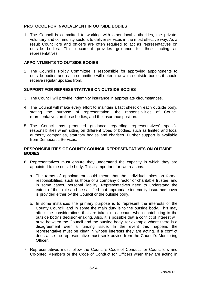### **PROTOCOL FOR INVOLVEMENT IN OUTSIDE BODIES**

1. The Council is committed to working with other local authorities, the private, voluntary and community sectors to deliver services in the most effective way. As a result Councillors and officers are often required to act as representatives on outside bodies. This document provides guidance for those acting as representatives.

#### **APPOINTMENTS TO OUTSIDE BODIES**

2. The Council's Policy Committee is responsible for approving appointments to outside bodies and each committee will determine which outside bodies it should receive regular updates from.

### **SUPPORT FOR REPRESENTATIVES ON OUTSIDE BODIES**

- 3. The Council will provide indemnity insurance in appropriate circumstances.
- 4. The Council will make every effort to maintain a fact sheet on each outside body, stating the purpose of representation, the responsibilities of Council representatives on those bodies, and the insurance position.
- 5. The Council has produced guidance regarding representatives' specific responsibilities when sitting on different types of bodies, such as limited and local authority companies, statutory bodies and charities. Further support is available from Democratic Services.

### **RESPONSIBILITIES OF COUNTY COUNCIL REPRESENTATIVES ON OUTSIDE BODIES**

- 6. Representatives must ensure they understand the capacity in which they are appointed to the outside body. This is important for two reasons:
	- a. The terms of appointment could mean that the individual takes on formal responsibilities, such as those of a company director or charitable trustee, and in some cases, personal liability. Representatives need to understand the extent of their role and be satisfied that appropriate indemnity insurance cover is provided either by the Council or the outside body.
	- b. In some instances the primary purpose is to represent the interests of the County Council, and in some the main duty is to the outside body. This may affect the considerations that are taken into account when contributing to the outside body's decision-making. Also, it is possible that a conflict of interest will arise between the Council and the outside body, for example where there is a disagreement over a funding issue. In the event this happens the representative must be clear in whose interests they are acting. If a conflict does arise the representative must seek advice from the Council's Monitoring Officer.
- 7. Representatives must follow the Council's Code of Conduct for Councillors and Co-opted Members or the Code of Conduct for Officers when they are acting in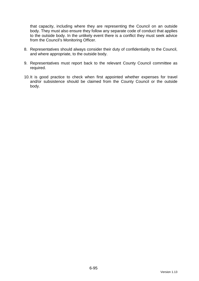that capacity, including where they are representing the Council on an outside body. They must also ensure they follow any separate code of conduct that applies to the outside body. In the unlikely event there is a conflict they must seek advice from the Council's Monitoring Officer.

- 8. Representatives should always consider their duty of confidentiality to the Council, and where appropriate, to the outside body.
- 9. Representatives must report back to the relevant County Council committee as required.
- 10. It is good practice to check when first appointed whether expenses for travel and/or subsistence should be claimed from the County Council or the outside body.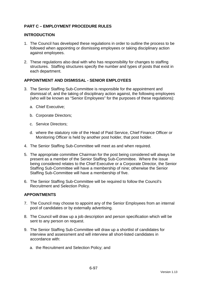## **PART C – EMPLOYMENT PROCEDURE RULES**

#### **INTRODUCTION**

- 1. The Council has developed these regulations in order to outline the process to be followed when appointing or dismissing employees or taking disciplinary action against employees.
- 2. These regulations also deal with who has responsibility for changes to staffing structures. Staffing structures specify the number and types of posts that exist in each department.

### **APPOINTMENT AND DISMISSAL - SENIOR EMPLOYEES**

- 3. The Senior Staffing Sub-Committee is responsible for the appointment and dismissal of, and the taking of disciplinary action against, the following employees (who will be known as "Senior Employees" for the purposes of these regulations):
	- a. Chief Executive;
	- b. Corporate Directors;
	- c. Service Directors;
	- d. where the statutory role of the Head of Paid Service, Chief Finance Officer or Monitoring Officer is held by another post holder, that post holder.
- 4. The Senior Staffing Sub-Committee will meet as and when required.
- 5. The appropriate committee Chairman for the post being considered will always be present as a member of the Senior Staffing Sub-Committee. Where the issue being considered relates to the Chief Executive or a Corporate Director, the Senior Staffing Sub-Committee will have a membership of nine; otherwise the Senior Staffing Sub-Committee will have a membership of five.
- 6. The Senior Staffing Sub-Committee will be required to follow the Council's Recruitment and Selection Policy.

### **APPOINTMENTS**

- 7. The Council may choose to appoint any of the Senior Employees from an internal pool of candidates or by externally advertising.
- 8. The Council will draw up a job description and person specification which will be sent to any person on request.
- 9. The Senior Staffing Sub-Committee will draw up a shortlist of candidates for interview and assessment and will interview all short-listed candidates in accordance with:
	- a. the Recruitment and Selection Policy; and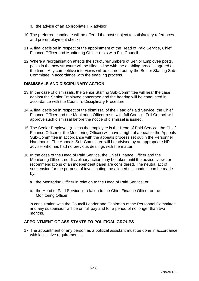- b. the advice of an appropriate HR advisor.
- 10. The preferred candidate will be offered the post subject to satisfactory references and pre-employment checks.
- 11. A final decision in respect of the appointment of the Head of Paid Service, Chief Finance Officer and Monitoring Officer rests with Full Council.
- 12. Where a reorganisation affects the structure/numbers of Senior Employee posts, posts in the new structure will be filled in line with the enabling process agreed at the time. Any competitive interviews will be carried out by the Senior Staffing Sub-Committee in accordance with the enabling process.

#### **DISMISSALS AND DISCIPLINARY ACTION**

- 13. In the case of dismissals, the Senior Staffing Sub-Committee will hear the case against the Senior Employee concerned and the hearing will be conducted in accordance with the Council's Disciplinary Procedure.
- 14. A final decision in respect of the dismissal of the Head of Paid Service, the Chief Finance Officer and the Monitoring Officer rests with full Council. Full Council will approve such dismissal before the notice of dismissal is issued.
- 15. The Senior Employee (unless the employee is the Head of Paid Service, the Chief Finance Officer or the Monitoring Officer) will have a right of appeal to the Appeals Sub-Committee in accordance with the appeals process set out in the Personnel Handbook. The Appeals Sub-Committee will be advised by an appropriate HR adviser who has had no previous dealings with the matter.
- 16. In the case of the Head of Paid Service, the Chief Finance Officer and the Monitoring Officer, no disciplinary action may be taken until the advice, views or recommendations of an independent panel are considered. The neutral act of suspension for the purpose of investigating the alleged misconduct can be made by:
	- a. the Monitoring Officer in relation to the Head of Paid Service; or
	- b. the Head of Paid Service in relation to the Chief Finance Officer or the Monitoring Officer,

in consultation with the Council Leader and Chairman of the Personnel Committee and any suspension will be on full pay and for a period of no longer than two months.

#### **APPOINTMENT OF ASSISTANTS TO POLITICAL GROUPS**

17. The appointment of any person as a political assistant must be done in accordance with legislative requirements.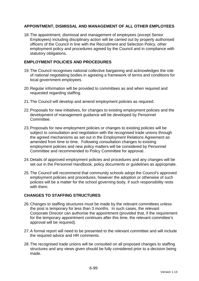### **APPOINTMENT, DISMISSAL AND MANAGEMENT OF ALL OTHER EMPLOYEES**

18. The appointment, dismissal and management of employees (except Senior Employees) including disciplinary action will be carried out by properly authorised officers of the Council in line with the Recruitment and Selection Policy, other employment policy and procedures agreed by the Council and in compliance with statutory obligations.

### **EMPLOYMENT POLICIES AND PROCEDURES**

- 19. The Council recognises national collective bargaining and acknowledges the role of national negotiating bodies in agreeing a framework of terms and conditions for local government employees.
- 20. Regular information will be provided to committees as and when required and requested regarding staffing.
- 21. The Council will develop and amend employment policies as required.
- 22. Proposals for new initiatives, for changes to existing employment policies and the development of management guidance will be developed by Personnel Committee.
- 23. Proposals for new employment policies or changes to existing policies will be subject to consultation and negotiation with the recognised trade unions through the agreed mechanisms as set out in the Employment Relations Agreement as amended from time to time. Following consultation changes to existing employment policies and new policy matters will be considered by Personnel Committee and recommended to Policy Committee for approval.
- 24. Details of approved employment policies and procedures and any changes will be set out in the Personnel Handbook, policy documents or guidelines as appropriate.
- 25. The Council will recommend that community schools adopt the Council's approved employment policies and procedures; however the adoption or otherwise of such policies will be a matter for the school governing body, if such responsibility rests with them.

### **CHANGES TO STAFFING STRUCTURES**

- 26. Changes to staffing structures must be made by the relevant committees unless the post is temporary for less than 3 months. In such cases, the relevant Corporate Director can authorise the appointment (provided that, if the requirement for the temporary appointment continues after this time, the relevant committee's approval will be required).
- 27. A formal report will need to be presented to the relevant committee and will include the required advice and HR comments.
- 28. The recognised trade unions will be consulted on all proposed changes to staffing structures and any views given should be fully considered prior to a decision being made.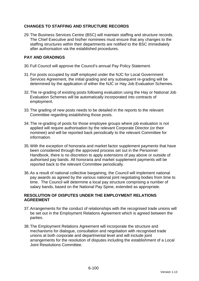### **CHANGES TO STAFFING AND STRUCTURE RECORDS**

29. The Business Services Centre (BSC) will maintain staffing and structure records. The Chief Executive and his/her nominees must ensure that any changes to the staffing structures within their departments are notified to the BSC immediately after authorisation via the established procedures.

### **PAY AND GRADINGS**

- 30. Full Council will approve the Council's annual Pay Policy Statement.
- 31. For posts occupied by staff employed under the NJC for Local Government Services Agreement, the initial grading and any subsequent re-grading will be determined by the application of either the NJC or Hay Job Evaluation Schemes.
- 32. The re-grading of existing posts following evaluation using the Hay or National Job Evaluation Schemes will be automatically incorporated into contracts of employment.
- 33. The grading of new posts needs to be detailed in the reports to the relevant Committee regarding establishing those posts.
- 34. The re-grading of posts for those employee groups where job evaluation is not applied will require authorisation by the relevant Corporate Director (or their nominee) and will be reported back periodically to the relevant Committee for information.
- 35. With the exception of honoraria and market factor supplement payments that have been considered through the approved process set out in the Personnel Handbook, there is no discretion to apply extensions of pay above or outside of authorised pay bands. All honoraria and market supplement payments will be reported back to the relevant Committee periodically.
- 36. As a result of national collective bargaining, the Council will implement national pay awards as agreed by the various national joint negotiating bodies from time to time. The Council will determine a local pay structure comprising a number of salary bands, based on the National Pay Spine, extended as appropriate.

### **RESOLUTION OF DISPUTES UNDER THE EMPLOYMENT RELATIONS AGREEMENT**

- 37. Arrangements for the conduct of relationships with the recognised trade unions will be set out in the Employment Relations Agreement which is agreed between the parties.
- 38. The Employment Relations Agreement will incorporate the structure and mechanisms for dialogue, consultation and negotiation with recognised trade unions at both corporate and departmental level and will include joint arrangements for the resolution of disputes including the establishment of a Local Joint Resolutions Committee.